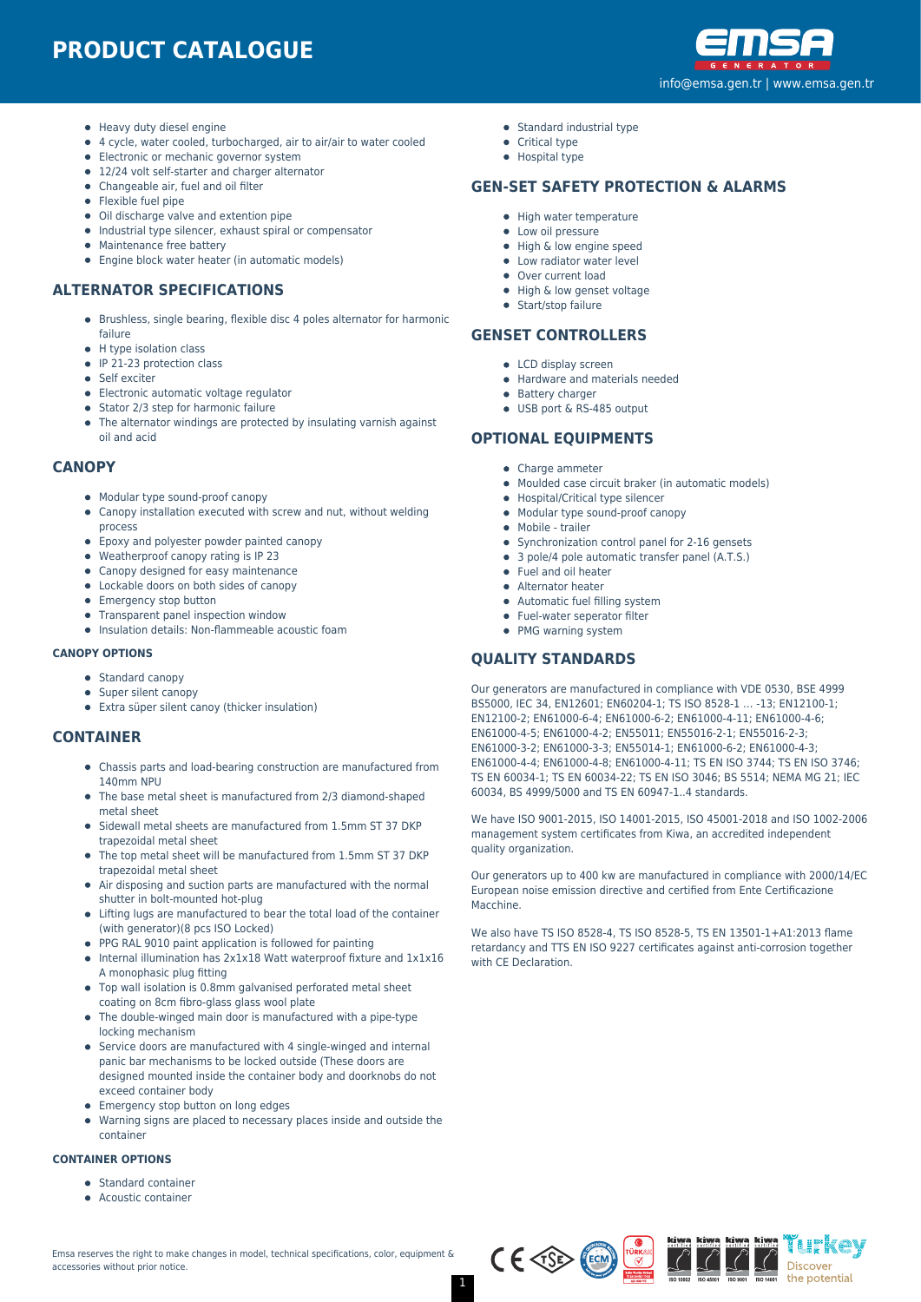

Heavy duty diesel engine

**ENGINE SPECIFICATIONS**

- 4 cycle, water cooled, turbocharged, air to air/air to water cooled
- Electronic or mechanic governor system
- 12/24 volt self-starter and charger alternator
- Changeable air, fuel and oil filter
- **•** Flexible fuel pipe
- Oil discharge valve and extention pipe
- Industrial type silencer, exhaust spiral or compensator
- Maintenance free battery
- **•** Engine block water heater (in automatic models)

#### **ALTERNATOR SPECIFICATIONS**

- Brushless, single bearing, flexible disc 4 poles alternator for harmonic failure
- H type isolation class
- IP 21-23 protection class
- **Self** exciter
- Electronic automatic voltage regulator
- Stator 2/3 step for harmonic failure
- The alternator windings are protected by insulating varnish against oil and acid

#### **CANOPY**

- Modular type sound-proof canopy
- Canopy installation executed with screw and nut, without welding process
- Epoxy and polyester powder painted canopy
- Weatherproof canopy rating is IP 23
- Canopy designed for easy maintenance
- Lockable doors on both sides of canopy
- Emergency stop button
- Transparent panel inspection window
- Insulation details: Non-flammeable acoustic foam

#### **CANOPY OPTIONS**

- Standard canopy
- Super silent canopy
- Extra süper silent canoy (thicker insulation)

#### **CONTAINER**

- Chassis parts and load-bearing construction are manufactured from 140mm NPU
- The base metal sheet is manufactured from 2/3 diamond-shaped metal sheet
- Sidewall metal sheets are manufactured from 1.5mm ST 37 DKP trapezoidal metal sheet
- The top metal sheet will be manufactured from 1.5mm ST 37 DKP trapezoidal metal sheet
- Air disposing and suction parts are manufactured with the normal shutter in bolt-mounted hot-plug
- Lifting lugs are manufactured to bear the total load of the container (with generator)(8 pcs ISO Locked)
- PPG RAL 9010 paint application is followed for painting
- Internal illumination has 2x1x18 Watt waterproof fixture and 1x1x16 A monophasic plug fitting
- Top wall isolation is 0.8mm galvanised perforated metal sheet coating on 8cm fibro-glass glass wool plate
- The double-winged main door is manufactured with a pipe-type locking mechanism
- Service doors are manufactured with 4 single-winged and internal panic bar mechanisms to be locked outside (These doors are designed mounted inside the container body and doorknobs do not exceed container body
- Emergency stop button on long edges
- Warning signs are placed to necessary places inside and outside the container

#### **CONTAINER OPTIONS**

- **Standard container**
- Acoustic container



- Standard industrial type
- Critical type • Hospital type

**SILENCER OPTIONS**

#### **GEN-SET SAFETY PROTECTION & ALARMS**

- High water temperature
- Low oil pressure
- High & low engine speed
- Low radiator water level
- Over current load
- High & low genset voltage • Start/stop failure
- 

## **GENSET CONTROLLERS**

- LCD display screen
- Hardware and materials needed
- **•** Battery charger
- USB port & RS-485 output

## **OPTIONAL EQUIPMENTS**

- Charge ammeter
- Moulded case circuit braker (in automatic models)
- Hospital/Critical type silencer
- Modular type sound-proof canopy
- Mobile trailer
- Synchronization control panel for 2-16 gensets
- 3 pole/4 pole automatic transfer panel (A.T.S.)
- Fuel and oil heater
- Alternator heater
- Automatic fuel filling system
- Fuel-water seperator filter
- PMG warning system

#### **QUALITY STANDARDS**

Our generators are manufactured in compliance with VDE 0530, BSE 4999 BS5000, IEC 34, EN12601; EN60204-1; TS ISO 8528-1 … -13; EN12100-1; EN12100-2; EN61000-6-4; EN61000-6-2; EN61000-4-11; EN61000-4-6; EN61000-4-5; EN61000-4-2; EN55011; EN55016-2-1; EN55016-2-3; EN61000-3-2; EN61000-3-3; EN55014-1; EN61000-6-2; EN61000-4-3; EN61000-4-4; EN61000-4-8; EN61000-4-11; TS EN ISO 3744; TS EN ISO 3746; TS EN 60034-1; TS EN 60034-22; TS EN ISO 3046; BS 5514; NEMA MG 21; IEC 60034, BS 4999/5000 and TS EN 60947-1..4 standards.

We have ISO 9001-2015, ISO 14001-2015, ISO 45001-2018 and ISO 1002-2006 management system certificates from Kiwa, an accredited independent quality organization.

Our generators up to 400 kw are manufactured in compliance with 2000/14/EC European noise emission directive and certified from Ente Certificazione Macchine.

We also have TS ISO 8528-4, TS ISO 8528-5, TS EN 13501-1+A1:2013 flame retardancy and TTS EN ISO 9227 certificates against anti-corrosion together with CE Declaration.

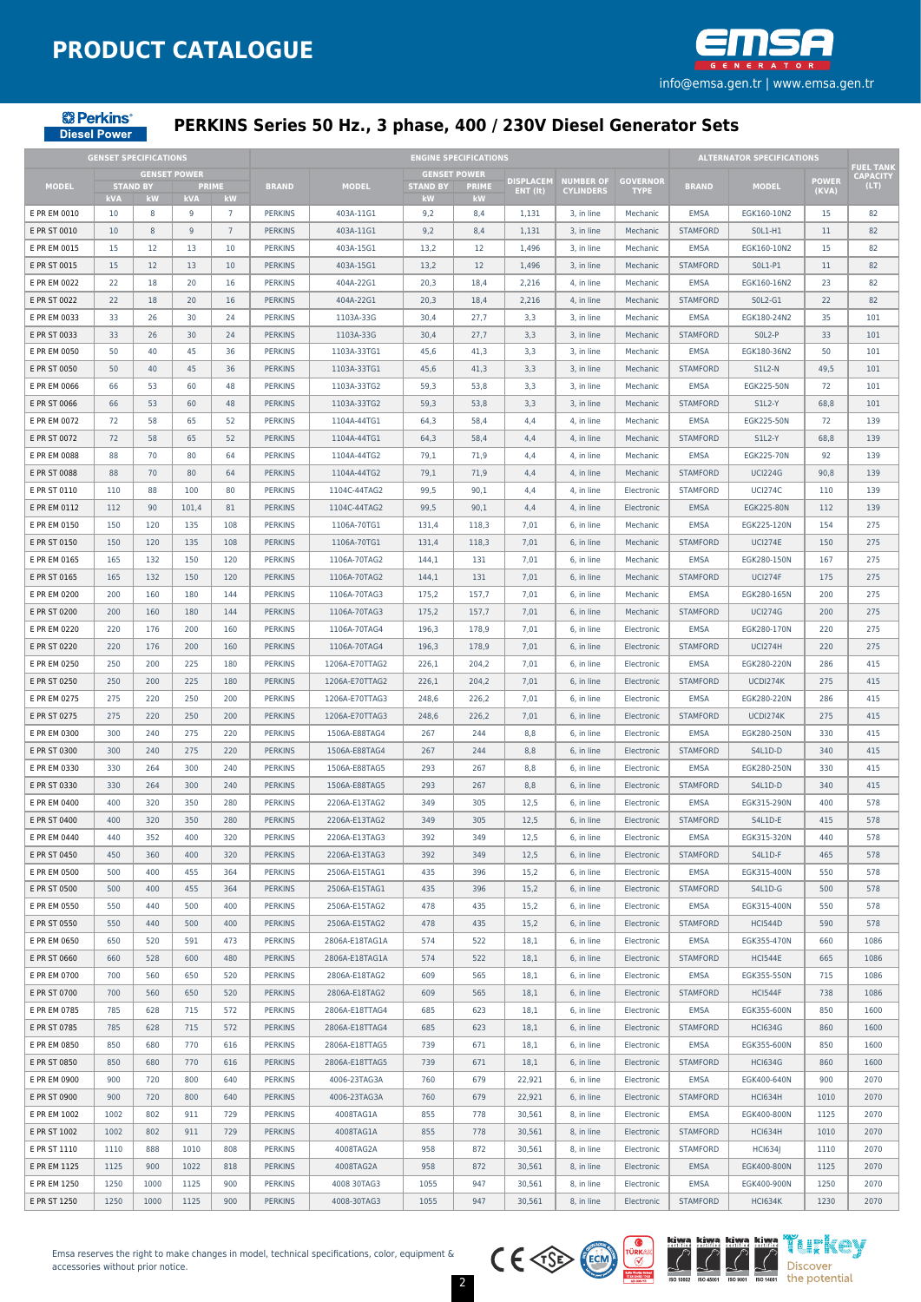

**& Perkins**® **Diesel Power** 

## **PERKINS Series 50 Hz., 3 phase, 400 / 230V Diesel Generator Sets**

|              | <b>GENSET SPECIFICATIONS</b> |                     |            |                 |                |                |                 | <b>ENGINE SPECIFICATIONS</b> |                              |                                      |                                |                 | <b>ALTERNATOR SPECIFICATIONS</b> |                       |                                     |
|--------------|------------------------------|---------------------|------------|-----------------|----------------|----------------|-----------------|------------------------------|------------------------------|--------------------------------------|--------------------------------|-----------------|----------------------------------|-----------------------|-------------------------------------|
|              |                              | <b>GENSET POWER</b> |            |                 |                |                |                 | <b>GENSET POWER</b>          |                              |                                      |                                |                 |                                  |                       | <b>FUEL TANK</b><br><b>CAPACITY</b> |
| <b>MODEL</b> |                              | <b>STAND BY</b>     |            | <b>PRIME</b>    | <b>BRAND</b>   | <b>MODEL</b>   | <b>STAND BY</b> | <b>PRIME</b>                 | <b>DISPLACEM</b><br>ENT (It) | <b>NUMBER OF</b><br><b>CYLINDERS</b> | <b>GOVERNOR</b><br><b>TYPE</b> | <b>BRAND</b>    | <b>MODEL</b>                     | <b>POWER</b><br>(KVA) | (LT)                                |
|              | kVA                          | kW                  | <b>kVA</b> | kW              |                |                | kW              | kW                           |                              |                                      |                                |                 |                                  |                       |                                     |
| E PR EM 0010 | 10                           | 8                   | 9          | $\overline{7}$  | <b>PERKINS</b> | 403A-11G1      | 9,2             | 8,4                          | 1,131                        | 3, in line                           | Mechanic                       | <b>EMSA</b>     | EGK160-10N2                      | 15                    | 82                                  |
| E PR ST 0010 | 10                           | 8                   | 9          | $7\phantom{.0}$ | <b>PERKINS</b> | 403A-11G1      | 9,2             | 8,4                          | 1,131                        | 3, in line                           | Mechanic                       | <b>STAMFORD</b> | S0L1-H1                          | 11                    | 82                                  |
| E PR EM 0015 | 15                           | 12                  | 13         | 10              | <b>PERKINS</b> | 403A-15G1      | 13,2            | 12                           | 1,496                        | 3, in line                           | Mechanic                       | <b>EMSA</b>     | EGK160-10N2                      | 15                    | 82                                  |
| E PR ST 0015 | 15                           | 12                  | 13         | 10              | <b>PERKINS</b> | 403A-15G1      | 13,2            | 12                           | 1,496                        | 3, in line                           | Mechanic                       | <b>STAMFORD</b> | S0L1-P1                          | 11                    | 82                                  |
| E PR EM 0022 | 22                           | 18                  | 20         | 16              | <b>PERKINS</b> | 404A-22G1      | 20,3            | 18,4                         | 2,216                        | 4, in line                           | Mechanic                       | <b>EMSA</b>     | EGK160-16N2                      | 23                    | 82                                  |
| E PR ST 0022 | 22                           | 18                  | 20         | 16              | <b>PERKINS</b> | 404A-22G1      | 20,3            | 18,4                         | 2,216                        | 4, in line                           | Mechanic                       | <b>STAMFORD</b> | S0L2-G1                          | 22                    | 82                                  |
| E PR EM 0033 | 33                           | 26                  | 30         | 24              | <b>PERKINS</b> | 1103A-33G      | 30,4            | 27,7                         | 3,3                          | 3, in line                           | Mechanic                       | <b>EMSA</b>     | EGK180-24N2                      | 35                    | 101                                 |
| E PR ST 0033 | 33                           | 26                  | 30         | 24              | <b>PERKINS</b> | 1103A-33G      | 30,4            | 27,7                         | 3,3                          | 3, in line                           | Mechanic                       | <b>STAMFORD</b> | SOL2-P                           | 33                    | 101                                 |
| E PR EM 0050 | 50                           | 40                  | 45         | 36              | <b>PERKINS</b> | 1103A-33TG1    | 45,6            | 41,3                         | 3,3                          | 3. in line                           | Mechanic                       | <b>EMSA</b>     | EGK180-36N2                      | 50                    | 101                                 |
| E PR ST 0050 | 50                           | 40                  | 45         | 36              | <b>PERKINS</b> | 1103A-33TG1    | 45,6            | 41,3                         | 3,3                          | 3, in line                           | Mechanic                       | <b>STAMFORD</b> | <b>S1L2-N</b>                    | 49,5                  | 101                                 |
| E PR EM 0066 | 66                           | 53                  | 60         | 48              | <b>PERKINS</b> | 1103A-33TG2    | 59,3            | 53,8                         | 3,3                          | 3, in line                           | Mechanic                       | <b>EMSA</b>     | EGK225-50N                       | 72                    | 101                                 |
| E PR ST 0066 | 66                           | 53                  | 60         | 48              | <b>PERKINS</b> | 1103A-33TG2    | 59,3            | 53,8                         | 3,3                          | 3, in line                           | Mechanic                       | <b>STAMFORD</b> | <b>S1L2-Y</b>                    | 68,8                  | 101                                 |
| E PR EM 0072 | 72                           | 58                  | 65         | 52              | <b>PERKINS</b> | 1104A-44TG1    | 64,3            | 58,4                         | 4,4                          | 4, in line                           | Mechanic                       | <b>EMSA</b>     | EGK225-50N                       | 72                    | 139                                 |
| E PR ST 0072 | 72                           | 58                  | 65         | 52              | <b>PERKINS</b> | 1104A-44TG1    | 64,3            | 58,4                         | 4,4                          | 4, in line                           | Mechanic                       | <b>STAMFORD</b> | <b>S1L2-Y</b>                    | 68,8                  | 139                                 |
| E PR EM 0088 | 88                           | 70                  | 80         | 64              | <b>PERKINS</b> | 1104A-44TG2    | 79,1            | 71,9                         | 4,4                          | 4, in line                           | Mechanic                       | <b>EMSA</b>     | EGK225-70N                       | 92                    | 139                                 |
| E PR ST 0088 | 88                           | 70                  | 80         | 64              | <b>PERKINS</b> | 1104A-44TG2    | 79,1            | 71,9                         | 4,4                          | 4, in line                           | Mechanic                       | <b>STAMFORD</b> | <b>UCI224G</b>                   | 90,8                  | 139                                 |
| E PR ST 0110 | 110                          | 88                  | 100        | 80              | <b>PERKINS</b> | 1104C-44TAG2   | 99,5            | 90,1                         | 4,4                          | 4, in line                           | Electronic                     | <b>STAMFORD</b> | <b>UCI274C</b>                   | 110                   | 139                                 |
| E PR EM 0112 | 112                          | 90                  | 101,4      | 81              | <b>PERKINS</b> | 1104C-44TAG2   | 99,5            | 90,1                         | 4,4                          | 4, in line                           | Electronic                     | <b>EMSA</b>     | EGK225-80N                       | 112                   | 139                                 |
| E PR EM 0150 | 150                          | 120                 | 135        | 108             | <b>PERKINS</b> | 1106A-70TG1    | 131,4           | 118,3                        | 7,01                         | 6, in line                           | Mechanic                       | <b>EMSA</b>     | EGK225-120N                      | 154                   | 275                                 |
| E PR ST 0150 | 150                          | 120                 | 135        | 108             | <b>PERKINS</b> | 1106A-70TG1    | 131,4           | 118,3                        | 7,01                         | 6, in line                           | Mechanic                       | <b>STAMFORD</b> | <b>UCI274E</b>                   | 150                   | 275                                 |
| E PR EM 0165 | 165                          | 132                 | 150        | 120             | <b>PERKINS</b> | 1106A-70TAG2   | 144,1           | 131                          | 7,01                         | 6, in line                           | Mechanic                       | <b>EMSA</b>     | EGK280-150N                      | 167                   | 275                                 |
| E PR ST 0165 | 165                          | 132                 | 150        | 120             | <b>PERKINS</b> | 1106A-70TAG2   | 144,1           | 131                          | 7,01                         | 6, in line                           | Mechanic                       | <b>STAMFORD</b> | <b>UCI274F</b>                   | 175                   | 275                                 |
| E PR EM 0200 | 200                          | 160                 | 180        | 144             | <b>PERKINS</b> | 1106A-70TAG3   | 175,2           | 157,7                        | 7,01                         | 6, in line                           | Mechanic                       | <b>EMSA</b>     | EGK280-165N                      | 200                   | 275                                 |
| E PR ST 0200 | 200                          | 160                 | 180        | 144             | <b>PERKINS</b> | 1106A-70TAG3   | 175,2           | 157,7                        | 7,01                         | 6, in line                           | Mechanic                       | <b>STAMFORD</b> | <b>UCI274G</b>                   | 200                   | 275                                 |
| E PR EM 0220 | 220                          | 176                 | 200        | 160             | <b>PERKINS</b> | 1106A-70TAG4   | 196,3           | 178,9                        | 7,01                         | 6, in line                           | Electronic                     | <b>EMSA</b>     | EGK280-170N                      | 220                   | 275                                 |
| E PR ST 0220 | 220                          | 176                 | 200        | 160             | <b>PERKINS</b> | 1106A-70TAG4   | 196,3           | 178,9                        | 7,01                         | 6, in line                           | Electronic                     | <b>STAMFORD</b> | <b>UCI274H</b>                   | 220                   | 275                                 |
| E PR EM 0250 | 250                          | 200                 | 225        | 180             | <b>PERKINS</b> | 1206A-E70TTAG2 | 226,1           | 204,2                        | 7,01                         | 6, in line                           | Electronic                     | <b>EMSA</b>     | EGK280-220N                      | 286                   | 415                                 |
| E PR ST 0250 | 250                          | 200                 | 225        | 180             | <b>PERKINS</b> | 1206A-E70TTAG2 | 226,1           | 204,2                        | 7,01                         | 6, in line                           | Electronic                     | <b>STAMFORD</b> | UCDI274K                         | 275                   | 415                                 |
| E PR EM 0275 | 275                          | 220                 | 250        | 200             | <b>PERKINS</b> | 1206A-E70TTAG3 | 248,6           | 226,2                        | 7,01                         | 6, in line                           | Electronic                     | EMSA            | EGK280-220N                      | 286                   | 415                                 |
| E PR ST 0275 | 275                          | 220                 | 250        | 200             | <b>PERKINS</b> | 1206A-E70TTAG3 | 248,6           | 226,2                        | 7,01                         | 6, in line                           | Electronic                     | <b>STAMFORD</b> | UCDI274K                         | 275                   | 415                                 |
| E PR EM 0300 | 300                          | 240                 | 275        | 220             | <b>PERKINS</b> | 1506A-E88TAG4  | 267             | 244                          | 8,8                          | 6, in line                           | Electronic                     | <b>EMSA</b>     | EGK280-250N                      | 330                   | 415                                 |
| E PR ST 0300 | 300                          | 240                 | 275        | 220             | <b>PERKINS</b> | 1506A-E88TAG4  | 267             | 244                          | 8,8                          | 6, in line                           | Electronic                     | <b>STAMFORD</b> | S4L1D-D                          | 340                   | 415                                 |
| E PR EM 0330 |                              |                     | 300        | 240             | <b>PERKINS</b> |                | 293             |                              |                              |                                      |                                |                 |                                  |                       | 415                                 |
|              | 330                          | 264                 |            |                 |                | 1506A-E88TAG5  |                 | 267                          | 8,8                          | 6, in line                           | Electronic                     | EMSA            | EGK280-250N                      | 330                   |                                     |
| E PR ST 0330 | 330                          | 264                 | 300        | 240             | <b>PERKINS</b> | 1506A-E88TAG5  | 293             | 267                          | 8,8                          | 6. in line                           | Electronic                     | <b>STAMFORD</b> | S4L1D-D                          | 340                   | 415                                 |
| E PR EM 0400 | 400                          | 320                 | 350        | 280             | <b>PERKINS</b> | 2206A-E13TAG2  | 349             | 305                          | 12,5                         | 6, in line                           | Electronic                     | <b>EMSA</b>     | EGK315-290N                      | 400                   | 578                                 |
| E PR ST 0400 | 400                          | 320                 | 350        | 280             | <b>PERKINS</b> | 2206A-E13TAG2  | 349             | 305                          | 12,5                         | 6, in line                           | Electronic                     | <b>STAMFORD</b> | S4L1D-E                          | 415                   | 578                                 |
| E PR EM 0440 | 440                          | 352                 | 400        | 320             | <b>PERKINS</b> | 2206A-E13TAG3  | 392             | 349                          | 12,5                         | 6, in line                           | Electronic                     | <b>EMSA</b>     | EGK315-320N                      | 440                   | 578                                 |
| E PR ST 0450 | 450                          | 360                 | 400        | 320             | <b>PERKINS</b> | 2206A-E13TAG3  | 392             | 349                          | 12,5                         | 6, in line                           | Electronic                     | <b>STAMFORD</b> | S4L1D-F                          | 465                   | 578                                 |
| E PR EM 0500 | 500                          | 400                 | 455        | 364             | <b>PERKINS</b> | 2506A-E15TAG1  | 435             | 396                          | 15,2                         | 6, in line                           | Electronic                     | <b>EMSA</b>     | EGK315-400N                      | 550                   | 578                                 |
| E PR ST 0500 | 500                          | 400                 | 455        | 364             | <b>PERKINS</b> | 2506A-E15TAG1  | 435             | 396                          | 15,2                         | 6, in line                           | Electronic                     | <b>STAMFORD</b> | S4L1D-G                          | 500                   | 578                                 |
| E PR EM 0550 | 550                          | 440                 | 500        | 400             | <b>PERKINS</b> | 2506A-E15TAG2  | 478             | 435                          | 15,2                         | 6, in line                           | Electronic                     | EMSA            | EGK315-400N                      | 550                   | 578                                 |
| E PR ST 0550 | 550                          | 440                 | 500        | 400             | <b>PERKINS</b> | 2506A-E15TAG2  | 478             | 435                          | 15,2                         | 6, in line                           | Electronic                     | <b>STAMFORD</b> | <b>HCI544D</b>                   | 590                   | 578                                 |
| E PR EM 0650 | 650                          | 520                 | 591        | 473             | <b>PERKINS</b> | 2806A-E18TAG1A | 574             | 522                          | 18,1                         | 6, in line                           | Electronic                     | EMSA            | EGK355-470N                      | 660                   | 1086                                |
| E PR ST 0660 | 660                          | 528                 | 600        | 480             | <b>PERKINS</b> | 2806A-E18TAG1A | 574             | 522                          | 18,1                         | 6, in line                           | Electronic                     | <b>STAMFORD</b> | <b>HCI544E</b>                   | 665                   | 1086                                |
| E PR EM 0700 | 700                          | 560                 | 650        | 520             | <b>PERKINS</b> | 2806A-E18TAG2  | 609             | 565                          | 18,1                         | 6, in line                           | Electronic                     | <b>EMSA</b>     | EGK355-550N                      | 715                   | 1086                                |
| E PR ST 0700 | 700                          | 560                 | 650        | 520             | <b>PERKINS</b> | 2806A-E18TAG2  | 609             | 565                          | 18,1                         | 6, in line                           | Electronic                     | <b>STAMFORD</b> | <b>HCI544F</b>                   | 738                   | 1086                                |
| E PR EM 0785 | 785                          | 628                 | 715        | 572             | <b>PERKINS</b> | 2806A-E18TTAG4 | 685             | 623                          | 18,1                         | 6, in line                           | Electronic                     | <b>EMSA</b>     | EGK355-600N                      | 850                   | 1600                                |
| E PR ST 0785 | 785                          | 628                 | 715        | 572             | <b>PERKINS</b> | 2806A-E18TTAG4 | 685             | 623                          | 18,1                         | 6, in line                           | Electronic                     | <b>STAMFORD</b> | <b>HCI634G</b>                   | 860                   | 1600                                |
| E PR EM 0850 | 850                          | 680                 | 770        | 616             | <b>PERKINS</b> | 2806A-E18TTAG5 | 739             | 671                          | 18,1                         | 6, in line                           | Electronic                     | <b>EMSA</b>     | EGK355-600N                      | 850                   | 1600                                |
| E PR ST 0850 | 850                          | 680                 | 770        | 616             | <b>PERKINS</b> | 2806A-E18TTAG5 | 739             | 671                          | 18,1                         | 6, in line                           | Electronic                     | <b>STAMFORD</b> | <b>HCI634G</b>                   | 860                   | 1600                                |
| E PR EM 0900 | 900                          | 720                 | 800        | 640             | <b>PERKINS</b> | 4006-23TAG3A   | 760             | 679                          | 22,921                       | 6, in line                           | Electronic                     | EMSA            | EGK400-640N                      | 900                   | 2070                                |
| E PR ST 0900 | 900                          | 720                 | 800        | 640             | <b>PERKINS</b> | 4006-23TAG3A   | 760             | 679                          | 22,921                       | 6, in line                           | Electronic                     | <b>STAMFORD</b> | <b>HCI634H</b>                   | 1010                  | 2070                                |
| E PR EM 1002 | 1002                         | 802                 | 911        | 729             | <b>PERKINS</b> | 4008TAG1A      | 855             | 778                          | 30,561                       | 8, in line                           | Electronic                     | <b>EMSA</b>     | EGK400-800N                      | 1125                  | 2070                                |
| E PR ST 1002 | 1002                         | 802                 | 911        | 729             | <b>PERKINS</b> | 4008TAG1A      | 855             | 778                          | 30,561                       | 8, in line                           | Electronic                     | <b>STAMFORD</b> | <b>HCI634H</b>                   | 1010                  | 2070                                |
| E PR ST 1110 | 1110                         | 888                 | 1010       | 808             | <b>PERKINS</b> | 4008TAG2A      | 958             | 872                          | 30,561                       | 8, in line                           | Electronic                     | <b>STAMFORD</b> | <b>HCI634J</b>                   | 1110                  | 2070                                |
| E PR EM 1125 | 1125                         | 900                 | 1022       | 818             | <b>PERKINS</b> | 4008TAG2A      | 958             | 872                          | 30,561                       | 8, in line                           | Electronic                     | <b>EMSA</b>     | EGK400-800N                      | 1125                  | 2070                                |
| E PR EM 1250 | 1250                         | 1000                | 1125       | 900             | <b>PERKINS</b> | 4008 30TAG3    | 1055            | 947                          | 30,561                       | 8, in line                           | Electronic                     | <b>EMSA</b>     | EGK400-900N                      | 1250                  | 2070                                |
| E PR ST 1250 | 1250                         | 1000                | 1125       | 900             | <b>PERKINS</b> | 4008-30TAG3    | 1055            | 947                          | 30,561                       | 8, in line                           | Electronic                     | <b>STAMFORD</b> | <b>HCI634K</b>                   | 1230                  | 2070                                |
|              |                              |                     |            |                 |                |                |                 |                              |                              |                                      |                                |                 |                                  |                       |                                     |

Emsa reserves the right to make changes in model, technical specifications, color, equipment & accessories without prior notice.





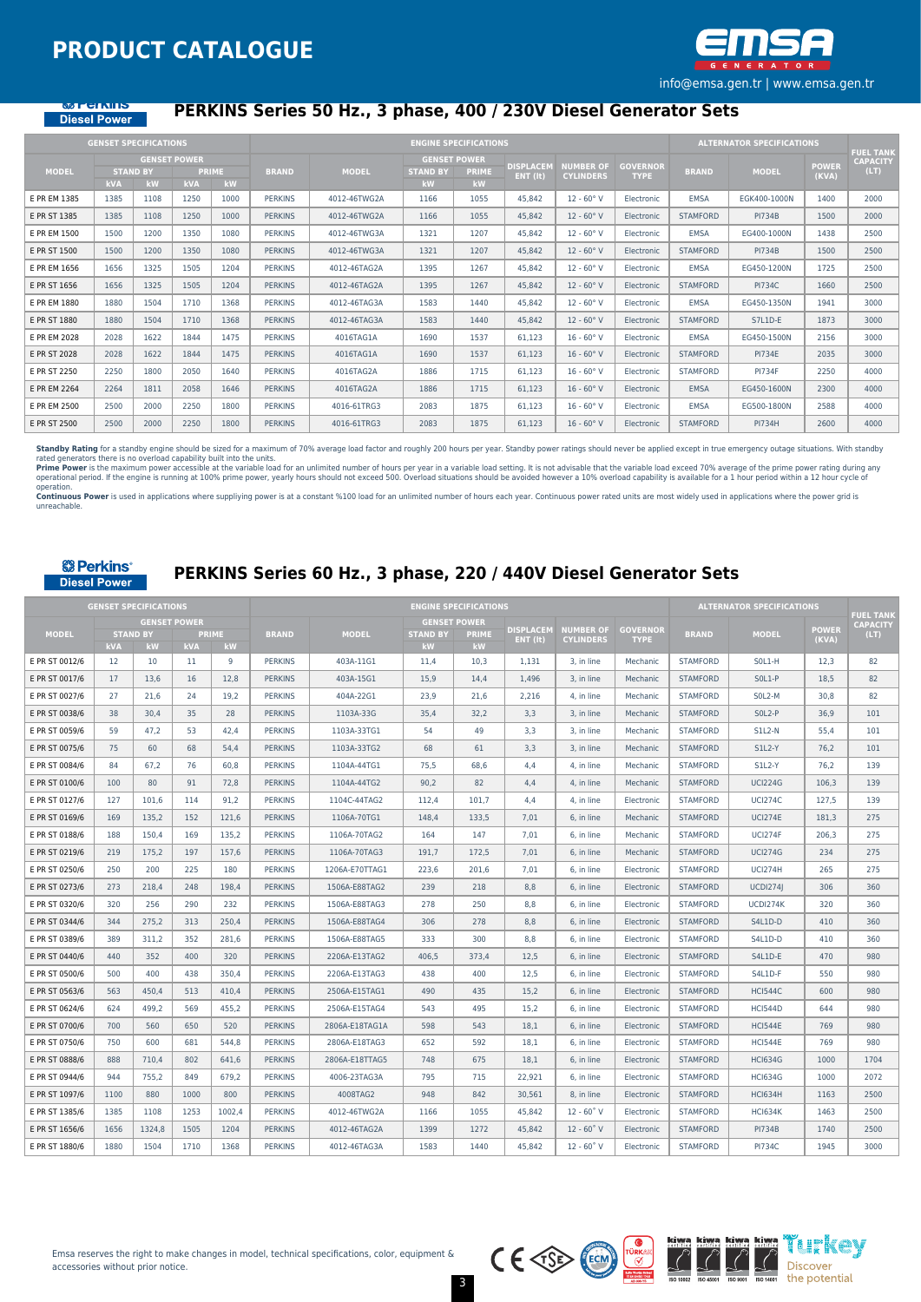

#### **MERICALIST** Diesel Power

## **PERKINS Series 50 Hz., 3 phase, 400 / 230V Diesel Generator Sets**

|              | <b>GENSET SPECIFICATIONS</b> |                       |                                   |                    |                |              |                                              | <b>ENGINE SPECIFICATIONS</b> |                              |                                      |                                |                 | <b>ALTERNATOR SPECIFICATIONS</b> |                       | <b>FUEL TANK</b>        |
|--------------|------------------------------|-----------------------|-----------------------------------|--------------------|----------------|--------------|----------------------------------------------|------------------------------|------------------------------|--------------------------------------|--------------------------------|-----------------|----------------------------------|-----------------------|-------------------------|
| <b>MODEL</b> | <b>kVA</b>                   | <b>STAND BY</b><br>kW | <b>GENSET POWER</b><br><b>kVA</b> | <b>PRIME</b><br>kW | <b>BRAND</b>   | <b>MODEL</b> | <b>GENSET POWER</b><br><b>STAND BY</b><br>kW | <b>PRIME</b><br><b>kW</b>    | <b>DISPLACEM</b><br>ENT (It) | <b>NUMBER OF</b><br><b>CYLINDERS</b> | <b>GOVERNOR</b><br><b>TYPE</b> | <b>BRAND</b>    | <b>MODEL</b>                     | <b>POWER</b><br>(KVA) | <b>CAPACITY</b><br>(LT) |
| E PR EM 1385 | 1385                         | 1108                  | 1250                              | 1000               | <b>PERKINS</b> | 4012-46TWG2A | 1166                                         | 1055                         | 45.842                       | $12 - 60°V$                          | Electronic                     | <b>EMSA</b>     | EGK400-1000N                     | 1400                  | 2000                    |
| E PR ST 1385 | 1385                         | 1108                  | 1250                              | 1000               | <b>PERKINS</b> | 4012-46TWG2A | 1166                                         | 1055                         | 45.842                       | $12 - 60°V$                          | Electronic                     | <b>STAMFORD</b> | <b>PI734B</b>                    | 1500                  | 2000                    |
| E PR EM 1500 | 1500                         | 1200                  | 1350                              | 1080               | <b>PERKINS</b> | 4012-46TWG3A | 1321                                         | 1207                         | 45,842                       | $12 - 60^\circ V$                    | Electronic                     | <b>EMSA</b>     | EG400-1000N                      | 1438                  | 2500                    |
| E PR ST 1500 | 1500                         | 1200                  | 1350                              | 1080               | <b>PERKINS</b> | 4012-46TWG3A | 1321                                         | 1207                         | 45,842                       | $12 - 60°V$                          | Electronic                     | <b>STAMFORD</b> | <b>PI734B</b>                    | 1500                  | 2500                    |
| E PR EM 1656 | 1656                         | 1325                  | 1505                              | 1204               | <b>PERKINS</b> | 4012-46TAG2A | 1395                                         | 1267                         | 45.842                       | $12 - 60°V$                          | Electronic                     | <b>EMSA</b>     | EG450-1200N                      | 1725                  | 2500                    |
| E PR ST 1656 | 1656                         | 1325                  | 1505                              | 1204               | <b>PERKINS</b> | 4012-46TAG2A | 1395                                         | 1267                         | 45,842                       | $12 - 60°V$                          | Electronic                     | <b>STAMFORD</b> | <b>PI734C</b>                    | 1660                  | 2500                    |
| E PR EM 1880 | 1880                         | 1504                  | 1710                              | 1368               | <b>PERKINS</b> | 4012-46TAG3A | 1583                                         | 1440                         | 45,842                       | $12 - 60^\circ V$                    | Electronic                     | <b>EMSA</b>     | EG450-1350N                      | 1941                  | 3000                    |
| E PR ST 1880 | 1880                         | 1504                  | 1710                              | 1368               | <b>PERKINS</b> | 4012-46TAG3A | 1583                                         | 1440                         | 45,842                       | $12 - 60^\circ V$                    | Electronic                     | <b>STAMFORD</b> | S7L1D-E                          | 1873                  | 3000                    |
| E PR EM 2028 | 2028                         | 1622                  | 1844                              | 1475               | <b>PERKINS</b> | 4016TAG1A    | 1690                                         | 1537                         | 61,123                       | $16 - 60°V$                          | Electronic                     | <b>EMSA</b>     | EG450-1500N                      | 2156                  | 3000                    |
| E PR ST 2028 | 2028                         | 1622                  | 1844                              | 1475               | <b>PERKINS</b> | 4016TAG1A    | 1690                                         | 1537                         | 61,123                       | $16 - 60°V$                          | Electronic                     | <b>STAMFORD</b> | <b>PI734E</b>                    | 2035                  | 3000                    |
| E PR ST 2250 | 2250                         | 1800                  | 2050                              | 1640               | <b>PERKINS</b> | 4016TAG2A    | 1886                                         | 1715                         | 61,123                       | $16 - 60°V$                          | Electronic                     | <b>STAMFORD</b> | <b>PI734F</b>                    | 2250                  | 4000                    |
| E PR EM 2264 | 2264                         | 1811                  | 2058                              | 1646               | <b>PERKINS</b> | 4016TAG2A    | 1886                                         | 1715                         | 61,123                       | $16 - 60°V$                          | Electronic                     | <b>EMSA</b>     | EG450-1600N                      | 2300                  | 4000                    |
| E PR EM 2500 | 2500                         | 2000                  | 2250                              | 1800               | <b>PERKINS</b> | 4016-61TRG3  | 2083                                         | 1875                         | 61.123                       | $16 - 60°V$                          | Electronic                     | <b>EMSA</b>     | EG500-1800N                      | 2588                  | 4000                    |
| E PR ST 2500 | 2500                         | 2000                  | 2250                              | 1800               | <b>PERKINS</b> | 4016-61TRG3  | 2083                                         | 1875                         | 61,123                       | $16 - 60°V$                          | Electronic                     | <b>STAMFORD</b> | <b>PI734H</b>                    | 2600                  | 4000                    |

**Standby Rating** for a standby engine should be sized for a maximum of 70% average load factor and roughly 200 hours per year. Standby power ratings should never be applied except in true emergency outage situations. With

operation.<br>**Continuous Power** is used in applications where suppliying power is at a constant %100 load for an unlimited number of hours each year. Continuous power rated units are most widely used in applications where th unreachable.

#### **& Perkins**® **Diesel Power**

## **PERKINS Series 60 Hz., 3 phase, 220 / 440V Diesel Generator Sets**

|                |            | <b>GENSET SPECIFICATIONS</b> |            |                    |                |                |                       | <b>ENGINE SPECIFICATIONS</b> |                  |                     |                 |                 | <b>ALTERNATOR SPECIFICATIONS</b> |              |                                     |
|----------------|------------|------------------------------|------------|--------------------|----------------|----------------|-----------------------|------------------------------|------------------|---------------------|-----------------|-----------------|----------------------------------|--------------|-------------------------------------|
|                |            | <b>GENSET POWER</b>          |            |                    |                |                |                       | <b>GENSET POWER</b>          | <b>DISPLACEM</b> | <b>NUMBER OF</b>    | <b>GOVERNOR</b> |                 |                                  | <b>POWER</b> | <b>FUEL TANK</b><br><b>CAPACITY</b> |
| <b>MODEL</b>   | <b>kVA</b> | <b>STAND BY</b><br>kW        | <b>kVA</b> | <b>PRIME</b><br>kW | <b>BRAND</b>   | <b>MODEL</b>   | <b>STAND BY</b><br>kW | <b>PRIME</b><br>kW           | ENT (It)         | <b>CYLINDERS</b>    | <b>TYPE</b>     | <b>BRAND</b>    | <b>MODEL</b>                     | (KVA)        | (LT)                                |
| E PR ST 0012/6 | 12         | 10                           | 11         | 9                  | <b>PERKINS</b> | 403A-11G1      | 11,4                  | 10.3                         | 1.131            | 3. in line          | Mechanic        | <b>STAMFORD</b> | $SOL1-H$                         | 12,3         | 82                                  |
| E PR ST 0017/6 | 17         | 13.6                         | 16         | 12.8               | <b>PERKINS</b> | 403A-15G1      | 15.9                  | 14,4                         | 1.496            | 3. in line          | Mechanic        | <b>STAMFORD</b> | $SOL1-P$                         | 18.5         | 82                                  |
| E PR ST 0027/6 | 27         | 21,6                         | 24         | 19,2               | <b>PERKINS</b> | 404A-22G1      | 23,9                  | 21,6                         | 2,216            | 4, in line          | Mechanic        | <b>STAMFORD</b> | SOL2-M                           | 30,8         | 82                                  |
| E PR ST 0038/6 | 38         | 30,4                         | 35         | 28                 | <b>PERKINS</b> | 1103A-33G      | 35,4                  | 32,2                         | 3,3              | 3, in line          | Mechanic        | <b>STAMFORD</b> | SOL2-P                           | 36,9         | 101                                 |
| E PR ST 0059/6 | 59         | 47.2                         | 53         | 42.4               | <b>PERKINS</b> | 1103A-33TG1    | 54                    | 49                           | 3.3              | 3. in line          | Mechanic        | <b>STAMFORD</b> | $SLL2-N$                         | 55.4         | 101                                 |
| E PR ST 0075/6 | 75         | 60                           | 68         | 54,4               | <b>PERKINS</b> | 1103A-33TG2    | 68                    | 61                           | 3.3              | 3. in line          | Mechanic        | <b>STAMFORD</b> | <b>S1L2-Y</b>                    | 76,2         | 101                                 |
| E PR ST 0084/6 | 84         | 67.2                         | 76         | 60,8               | <b>PERKINS</b> | 1104A-44TG1    | 75,5                  | 68,6                         | 4,4              | 4, in line          | Mechanic        | <b>STAMFORD</b> | <b>S1L2-Y</b>                    | 76,2         | 139                                 |
| E PR ST 0100/6 | 100        | 80                           | 91         | 72,8               | <b>PERKINS</b> | 1104A-44TG2    | 90,2                  | 82                           | 4.4              | 4, in line          | Mechanic        | <b>STAMFORD</b> | <b>UCI224G</b>                   | 106.3        | 139                                 |
| E PR ST 0127/6 | 127        | 101.6                        | 114        | 91.2               | <b>PERKINS</b> | 1104C-44TAG2   | 112.4                 | 101.7                        | 4.4              | 4. in line          | Electronic      | <b>STAMFORD</b> | <b>UCI274C</b>                   | 127.5        | 139                                 |
| E PR ST 0169/6 | 169        | 135.2                        | 152        | 121.6              | <b>PERKINS</b> | 1106A-70TG1    | 148.4                 | 133.5                        | 7.01             | 6. in line          | Mechanic        | <b>STAMFORD</b> | <b>UCI274E</b>                   | 181.3        | 275                                 |
| E PR ST 0188/6 | 188        | 150.4                        | 169        | 135,2              | <b>PERKINS</b> | 1106A-70TAG2   | 164                   | 147                          | 7,01             | 6, in line          | Mechanic        | <b>STAMFORD</b> | <b>UCI274F</b>                   | 206,3        | 275                                 |
| E PR ST 0219/6 | 219        | 175.2                        | 197        | 157,6              | <b>PERKINS</b> | 1106A-70TAG3   | 191.7                 | 172.5                        | 7.01             | 6, in line          | Mechanic        | <b>STAMFORD</b> | <b>UCI274G</b>                   | 234          | 275                                 |
| E PR ST 0250/6 | 250        | 200                          | 225        | 180                | <b>PERKINS</b> | 1206A-E70TTAG1 | 223,6                 | 201,6                        | 7,01             | 6, in line          | Electronic      | <b>STAMFORD</b> | <b>UCI274H</b>                   | 265          | 275                                 |
| E PR ST 0273/6 | 273        | 218.4                        | 248        | 198,4              | <b>PERKINS</b> | 1506A-E88TAG2  | 239                   | 218                          | 8.8              | 6, in line          | Electronic      | <b>STAMFORD</b> | <b>UCDI2741</b>                  | 306          | 360                                 |
| E PR ST 0320/6 | 320        | 256                          | 290        | 232                | <b>PERKINS</b> | 1506A-E88TAG3  | 278                   | 250                          | 8.8              | 6. in line          | Electronic      | <b>STAMFORD</b> | UCDI274K                         | 320          | 360                                 |
| E PR ST 0344/6 | 344        | 275.2                        | 313        | 250,4              | <b>PERKINS</b> | 1506A-E88TAG4  | 306                   | 278                          | 8.8              | 6. in line          | Electronic      | <b>STAMFORD</b> | S4L1D-D                          | 410          | 360                                 |
| E PR ST 0389/6 | 389        | 311.2                        | 352        | 281,6              | <b>PERKINS</b> | 1506A-E88TAG5  | 333                   | 300                          | 8.8              | 6. in line          | Electronic      | <b>STAMFORD</b> | S4L1D-D                          | 410          | 360                                 |
| E PR ST 0440/6 | 440        | 352                          | 400        | 320                | <b>PERKINS</b> | 2206A-E13TAG2  | 406.5                 | 373.4                        | 12.5             | 6. in line          | Electronic      | <b>STAMFORD</b> | S4L1D-E                          | 470          | 980                                 |
| E PR ST 0500/6 | 500        | 400                          | 438        | 350,4              | <b>PERKINS</b> | 2206A-E13TAG3  | 438                   | 400                          | 12,5             | 6, in line          | Electronic      | <b>STAMFORD</b> | S4L1D-F                          | 550          | 980                                 |
| E PR ST 0563/6 | 563        | 450.4                        | 513        | 410,4              | <b>PERKINS</b> | 2506A-E15TAG1  | 490                   | 435                          | 15.2             | 6, in line          | Electronic      | <b>STAMFORD</b> | <b>HCI544C</b>                   | 600          | 980                                 |
| E PR ST 0624/6 | 624        | 499.2                        | 569        | 455,2              | <b>PERKINS</b> | 2506A-E15TAG4  | 543                   | 495                          | 15.2             | 6. in line          | Electronic      | <b>STAMFORD</b> | <b>HCI544D</b>                   | 644          | 980                                 |
| E PR ST 0700/6 | 700        | 560                          | 650        | 520                | <b>PERKINS</b> | 2806A-E18TAG1A | 598                   | 543                          | 18.1             | 6. in line          | Electronic      | <b>STAMFORD</b> | <b>HCI544E</b>                   | 769          | 980                                 |
| E PR ST 0750/6 | 750        | 600                          | 681        | 544.8              | <b>PERKINS</b> | 2806A-E18TAG3  | 652                   | 592                          | 18.1             | 6. in line          | Electronic      | <b>STAMFORD</b> | <b>HCI544E</b>                   | 769          | 980                                 |
| E PR ST 0888/6 | 888        | 710.4                        | 802        | 641,6              | <b>PERKINS</b> | 2806A-E18TTAG5 | 748                   | 675                          | 18.1             | 6. in line          | Electronic      | <b>STAMFORD</b> | <b>HCI634G</b>                   | 1000         | 1704                                |
| E PR ST 0944/6 | 944        | 755.2                        | 849        | 679.2              | <b>PERKINS</b> | 4006-23TAG3A   | 795                   | 715                          | 22.921           | 6. in line          | Electronic      | <b>STAMFORD</b> | <b>HCI634G</b>                   | 1000         | 2072                                |
| E PR ST 1097/6 | 1100       | 880                          | 1000       | 800                | <b>PERKINS</b> | 4008TAG2       | 948                   | 842                          | 30,561           | 8, in line          | Electronic      | <b>STAMFORD</b> | <b>HCI634H</b>                   | 1163         | 2500                                |
| E PR ST 1385/6 | 1385       | 1108                         | 1253       | 1002,4             | <b>PERKINS</b> | 4012-46TWG2A   | 1166                  | 1055                         | 45,842           | $12 - 60°V$         | Electronic      | <b>STAMFORD</b> | <b>HCI634K</b>                   | 1463         | 2500                                |
| E PR ST 1656/6 | 1656       | 1324,8                       | 1505       | 1204               | <b>PERKINS</b> | 4012-46TAG2A   | 1399                  | 1272                         | 45,842           | $12 - 60^{\circ}$ V | Electronic      | <b>STAMFORD</b> | <b>PI734B</b>                    | 1740         | 2500                                |
| E PR ST 1880/6 | 1880       | 1504                         | 1710       | 1368               | <b>PERKINS</b> | 4012-46TAG3A   | 1583                  | 1440                         | 45,842           | $12 - 60°V$         | Electronic      | <b>STAMFORD</b> | <b>PI734C</b>                    | 1945         | 3000                                |



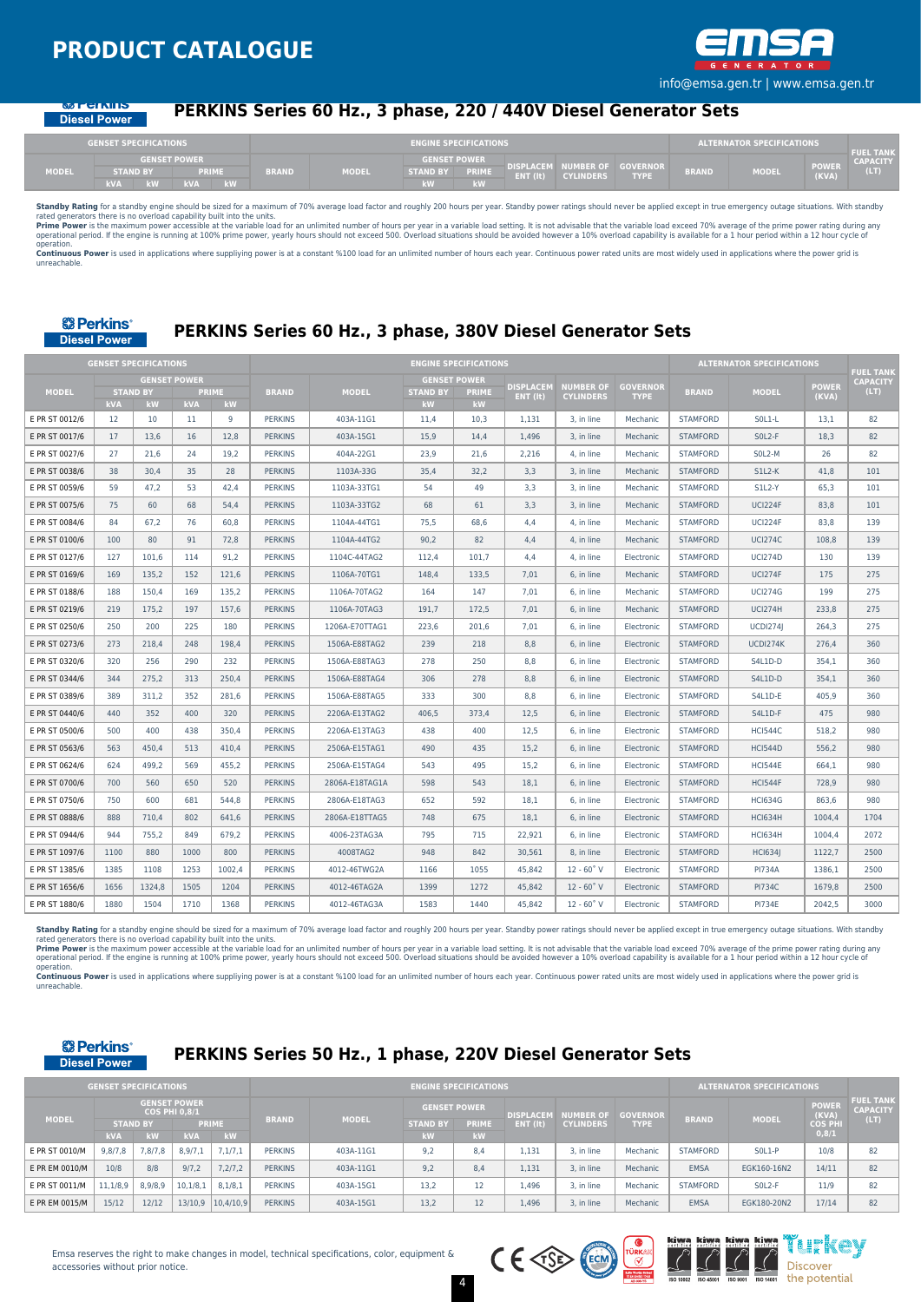

#### **MARGET DE Diesel Power**

## **PERKINS Series 60 Hz., 3 phase, 220 / 440V Diesel Generator Sets**

|              | <b>GENSET SPECIFICATIONS</b> |                     |              |              |                     | <b>ENGINE SPECIFICATIONS</b> |          |                                                |                                |              | <b>ALTERNATOR SPECIFICATIONS</b> |                       | <b>FUEL TANK</b> |
|--------------|------------------------------|---------------------|--------------|--------------|---------------------|------------------------------|----------|------------------------------------------------|--------------------------------|--------------|----------------------------------|-----------------------|------------------|
|              |                              | <b>GENSET POWER</b> |              |              | <b>GENSET POWER</b> |                              |          |                                                |                                |              |                                  |                       | <b>CAPACITY</b>  |
| <b>MODEL</b> | <b>STAND BY</b>              | <b>PRIME</b>        | <b>BRAND</b> | <b>MODEL</b> | <b>STAND BY</b>     | PRIMÉ                        | ENT (It) | <b>DISPLACEM NUMBER OF</b><br><b>CYLINDERS</b> | <b>GOVERNOR</b><br><b>TYPE</b> | <b>BRAND</b> | MODEL                            | <b>POWER</b><br>(KVA) | (LT)             |
|              | <b>kVA</b><br><b>PS 1.1</b>  | kW<br><b>LVA</b>    |              |              | kW                  | <b>CONTRACTOR</b><br>13V     |          |                                                |                                |              |                                  |                       |                  |

**Standby Rating** for a standby engine should be sized for a maximum of 70% average load factor and roughly 200 hours per year. Standby power ratings should never be applied except in true emergency outage situations. With

operation. Continuous Power is used in applications where suppliving power is at a constant %100 load for an unlimited number of hours each year. Continuous power rated units are most widely used in applications where the power grid unreachable.



## **PERKINS Series 60 Hz., 3 phase, 380V Diesel Generator Sets**

|                |            | <b>GENSET SPECIFICATIONS</b>                 |            |             |                |                |                                                     | <b>ENGINE SPECIFICATIONS</b> |                                       |                                      |                                |                 | <b>ALTERNATOR SPECIFICATIONS</b> |                       |                                             |
|----------------|------------|----------------------------------------------|------------|-------------|----------------|----------------|-----------------------------------------------------|------------------------------|---------------------------------------|--------------------------------------|--------------------------------|-----------------|----------------------------------|-----------------------|---------------------------------------------|
| <b>MODEL</b>   | <b>kVA</b> | <b>GENSET POWER</b><br><b>STAND BY</b><br>kW | <b>kVA</b> | PRIME<br>kW | <b>BRAND</b>   | <b>MODEL</b>   | <b>GENSET POWER</b><br><b>STAND BY</b><br><b>kW</b> | <b>PRIME</b><br>kW           | <b>DISPLACEM</b><br>$ENT$ ( $\{t\}$ ) | <b>NUMBER OF</b><br><b>CYLINDERS</b> | <b>GOVERNOR</b><br><b>TYPE</b> | <b>BRAND</b>    | <b>MODEL</b>                     | <b>POWER</b><br>(KVA) | <b>FUEL TANK</b><br><b>CAPACITY</b><br>(LT) |
| E PR ST 0012/6 | 12         | 10                                           | 11         | 9           | <b>PERKINS</b> | 403A-11G1      | 11,4                                                | 10,3                         | 1,131                                 | 3, in line                           | Mechanic                       | <b>STAMFORD</b> | SOL1-L                           | 13,1                  | 82                                          |
| E PR ST 0017/6 | 17         | 13,6                                         | 16         | 12,8        | <b>PERKINS</b> | 403A-15G1      | 15,9                                                | 14,4                         | 1,496                                 | 3, in line                           | Mechanic                       | <b>STAMFORD</b> | SOL2-F                           | 18,3                  | 82                                          |
| E PR ST 0027/6 | 27         | 21.6                                         | 24         | 19,2        | <b>PERKINS</b> | 404A-22G1      | 23,9                                                | 21.6                         | 2,216                                 | 4, in line                           | Mechanic                       | <b>STAMFORD</b> | SOL2-M                           | 26                    | 82                                          |
| E PR ST 0038/6 | 38         | 30.4                                         | 35         | 28          | <b>PERKINS</b> | 1103A-33G      | 35.4                                                | 32.2                         | 3.3                                   | 3. in line                           | Mechanic                       | <b>STAMFORD</b> | <b>S1L2-K</b>                    | 41.8                  | 101                                         |
| E PR ST 0059/6 | 59         | 47.2                                         | 53         | 42.4        | <b>PERKINS</b> | 1103A-33TG1    | 54                                                  | 49                           | 3.3                                   | 3. in line                           | Mechanic                       | <b>STAMFORD</b> | <b>S1L2-Y</b>                    | 65.3                  | 101                                         |
| E PR ST 0075/6 | 75         | 60                                           | 68         | 54.4        | <b>PERKINS</b> | 1103A-33TG2    | 68                                                  | 61                           | 3.3                                   | 3. in line                           | Mechanic                       | <b>STAMFORD</b> | <b>UCI224F</b>                   | 83.8                  | 101                                         |
| E PR ST 0084/6 | 84         | 67,2                                         | 76         | 60,8        | <b>PERKINS</b> | 1104A-44TG1    | 75,5                                                | 68,6                         | 4,4                                   | 4, in line                           | Mechanic                       | <b>STAMFORD</b> | UCI224F                          | 83,8                  | 139                                         |
| E PR ST 0100/6 | 100        | 80                                           | 91         | 72,8        | <b>PERKINS</b> | 1104A-44TG2    | 90,2                                                | 82                           | 4,4                                   | 4, in line                           | Mechanic                       | <b>STAMFORD</b> | <b>UCI274C</b>                   | 108,8                 | 139                                         |
| E PR ST 0127/6 | 127        | 101.6                                        | 114        | 91,2        | <b>PERKINS</b> | 1104C-44TAG2   | 112,4                                               | 101,7                        | 4,4                                   | 4, in line                           | Electronic                     | <b>STAMFORD</b> | <b>UCI274D</b>                   | 130                   | 139                                         |
| E PR ST 0169/6 | 169        | 135.2                                        | 152        | 121.6       | <b>PERKINS</b> | 1106A-70TG1    | 148.4                                               | 133.5                        | 7.01                                  | 6. in line                           | Mechanic                       | <b>STAMFORD</b> | <b>UCI274F</b>                   | 175                   | 275                                         |
| E PR ST 0188/6 | 188        | 150.4                                        | 169        | 135,2       | <b>PERKINS</b> | 1106A-70TAG2   | 164                                                 | 147                          | 7,01                                  | 6. in line                           | Mechanic                       | <b>STAMFORD</b> | <b>UCI274G</b>                   | 199                   | 275                                         |
| E PR ST 0219/6 | 219        | 175.2                                        | 197        | 157,6       | <b>PERKINS</b> | 1106A-70TAG3   | 191.7                                               | 172.5                        | 7,01                                  | 6. in line                           | Mechanic                       | <b>STAMFORD</b> | <b>UCI274H</b>                   | 233,8                 | 275                                         |
| E PR ST 0250/6 | 250        | 200                                          | 225        | 180         | <b>PERKINS</b> | 1206A-E70TTAG1 | 223.6                                               | 201.6                        | 7.01                                  | 6. in line                           | Electronic                     | <b>STAMFORD</b> | <b>UCDI2741</b>                  | 264.3                 | 275                                         |
| E PR ST 0273/6 | 273        | 218.4                                        | 248        | 198.4       | <b>PERKINS</b> | 1506A-E88TAG2  | 239                                                 | 218                          | 8.8                                   | 6. in line                           | Electronic                     | <b>STAMFORD</b> | UCDI274K                         | 276.4                 | 360                                         |
| E PR ST 0320/6 | 320        | 256                                          | 290        | 232         | <b>PERKINS</b> | 1506A-E88TAG3  | 278                                                 | 250                          | 8,8                                   | 6, in line                           | Electronic                     | <b>STAMFORD</b> | S4L1D-D                          | 354,1                 | 360                                         |
| E PR ST 0344/6 | 344        | 275.2                                        | 313        | 250,4       | <b>PERKINS</b> | 1506A-E88TAG4  | 306                                                 | 278                          | 8.8                                   | 6. in line                           | Electronic                     | <b>STAMFORD</b> | S4L1D-D                          | 354.1                 | 360                                         |
| E PR ST 0389/6 | 389        | 311.2                                        | 352        | 281,6       | <b>PERKINS</b> | 1506A-E88TAG5  | 333                                                 | 300                          | 8.8                                   | 6. in line                           | Electronic                     | <b>STAMFORD</b> | S4L1D-E                          | 405.9                 | 360                                         |
| E PR ST 0440/6 | 440        | 352                                          | 400        | 320         | <b>PERKINS</b> | 2206A-E13TAG2  | 406.5                                               | 373.4                        | 12.5                                  | 6, in line                           | Electronic                     | <b>STAMFORD</b> | S4L1D-F                          | 475                   | 980                                         |
| E PR ST 0500/6 | 500        | 400                                          | 438        | 350,4       | <b>PERKINS</b> | 2206A-E13TAG3  | 438                                                 | 400                          | 12.5                                  | 6, in line                           | Electronic                     | <b>STAMFORD</b> | <b>HCI544C</b>                   | 518,2                 | 980                                         |
| E PR ST 0563/6 | 563        | 450.4                                        | 513        | 410.4       | <b>PERKINS</b> | 2506A-E15TAG1  | 490                                                 | 435                          | 15.2                                  | 6. in line                           | Electronic                     | <b>STAMFORD</b> | <b>HCI544D</b>                   | 556.2                 | 980                                         |
| E PR ST 0624/6 | 624        | 499.2                                        | 569        | 455.2       | <b>PERKINS</b> | 2506A-E15TAG4  | 543                                                 | 495                          | 15.2                                  | 6. in line                           | Electronic                     | <b>STAMFORD</b> | <b>HCI544E</b>                   | 664.1                 | 980                                         |
| E PR ST 0700/6 | 700        | 560                                          | 650        | 520         | <b>PERKINS</b> | 2806A-E18TAG1A | 598                                                 | 543                          | 18,1                                  | 6, in line                           | Electronic                     | <b>STAMFORD</b> | <b>HCI544F</b>                   | 728,9                 | 980                                         |
| E PR ST 0750/6 | 750        | 600                                          | 681        | 544,8       | <b>PERKINS</b> | 2806A-E18TAG3  | 652                                                 | 592                          | 18,1                                  | 6, in line                           | Electronic                     | <b>STAMFORD</b> | <b>HCI634G</b>                   | 863,6                 | 980                                         |
| E PR ST 0888/6 | 888        | 710.4                                        | 802        | 641,6       | <b>PERKINS</b> | 2806A-E18TTAG5 | 748                                                 | 675                          | 18,1                                  | 6, in line                           | Electronic                     | <b>STAMFORD</b> | <b>HCI634H</b>                   | 1004,4                | 1704                                        |
| E PR ST 0944/6 | 944        | 755.2                                        | 849        | 679,2       | <b>PERKINS</b> | 4006-23TAG3A   | 795                                                 | 715                          | 22,921                                | 6, in line                           | Electronic                     | <b>STAMFORD</b> | <b>HCI634H</b>                   | 1004.4                | 2072                                        |
| E PR ST 1097/6 | 1100       | 880                                          | 1000       | 800         | <b>PERKINS</b> | 4008TAG2       | 948                                                 | 842                          | 30.561                                | 8. in line                           | Electronic                     | <b>STAMFORD</b> | <b>HCI634I</b>                   | 1122.7                | 2500                                        |
| E PR ST 1385/6 | 1385       | 1108                                         | 1253       | 1002.4      | <b>PERKINS</b> | 4012-46TWG2A   | 1166                                                | 1055                         | 45.842                                | $12 - 60^{\circ}$ V                  | Electronic                     | <b>STAMFORD</b> | <b>PI734A</b>                    | 1386.1                | 2500                                        |
| E PR ST 1656/6 | 1656       | 1324.8                                       | 1505       | 1204        | <b>PERKINS</b> | 4012-46TAG2A   | 1399                                                | 1272                         | 45.842                                | $12 - 60^{\circ}$ V                  | Electronic                     | <b>STAMFORD</b> | <b>PI734C</b>                    | 1679.8                | 2500                                        |
| E PR ST 1880/6 | 1880       | 1504                                         | 1710       | 1368        | <b>PERKINS</b> | 4012-46TAG3A   | 1583                                                | 1440                         | 45,842                                | $12 - 60°V$                          | Electronic                     | <b>STAMFORD</b> | <b>PI734E</b>                    | 2042,5                | 3000                                        |

Standby Rating for a standby engine should be sized for a maximum of 70% average load factor and roughly 200 hours per year. Standby power ratings should never be applied except in true emergency outage situations. With st rated generators there is no overload capability built into the units.

**Prime Power** is the maximum power accessible at the variable load for an unlimited number of hours per year in a variable load setting. It is not advisable that the variable load exceed 70% average of the prime power rati

operation.<br>Continuous Power is used in applications where suppliying power is at a constant %100 load for an unlimited number of hours each year. Continuous power rated units are most widely used in applications where the unreachable

#### **& Perkins Diesel Power**

## **PERKINS Series 50 Hz., 1 phase, 220V Diesel Generator Sets**

|                | <b>GENSET SPECIFICATIONS</b> |                 |                                      |              |                |              |                 | <b>ENGINE SPECIFICATIONS</b> |                  |                  |                 |                 | <b>ALTERNATOR SPECIFICATIONS</b> |                       |                                     |
|----------------|------------------------------|-----------------|--------------------------------------|--------------|----------------|--------------|-----------------|------------------------------|------------------|------------------|-----------------|-----------------|----------------------------------|-----------------------|-------------------------------------|
|                |                              |                 | <b>GENSET POWER</b><br>COS PHI 0,8/1 |              |                |              |                 | <b>GENSET POWER</b>          | <b>DISPLACEM</b> | <b>NUMBER OF</b> | <b>GOVERNOR</b> |                 |                                  | <b>POWER</b><br>(KVA) | <b>FUEL TANK</b><br><b>CAPACITY</b> |
| <b>MODEL</b>   |                              | <b>STAND BY</b> |                                      | <b>PRIME</b> | <b>BRAND</b>   | <b>MODEL</b> | <b>STAND BY</b> | <b>PRIME</b>                 | ENT (It)         | <b>CYLINDERS</b> | <b>TYPE</b>     | <b>BRAND</b>    | <b>MODEL</b>                     | <b>COS PHI</b>        | (LT)                                |
|                | <b>kVA</b>                   | kW              | <b>kVA</b>                           | kW           |                |              | kW.             | kW                           |                  |                  |                 |                 |                                  | 0,8/1                 |                                     |
| E PR ST 0010/M | 9,8/7,8                      | 7,8/7,8         | 8,9/7,1                              | 7,1/7,1      | <b>PERKINS</b> | 403A-11G1    | 9.2             | 8.4                          | 1.131            | 3. in line       | Mechanic        | STAMFORD        | $SOL1-P$                         | 10/8                  | 82                                  |
| E PR EM 0010/M | 10/8                         | 8/8             | 9/7,2                                | 7,2/7,2      | <b>PERKINS</b> | 403A-11G1    | 9,2             | 8.4                          | 1,131            | 3. in line       | Mechanic        | <b>EMSA</b>     | EGK160-16N2                      | 14/11                 | 82                                  |
| E PR ST 0011/M | 11.1/8.9                     | 8,9/8,9         | 10, 1/8, 1                           | 8.1/8.1      | <b>PERKINS</b> | 403A-15G1    | 13.2            |                              | 1.496            | 3. in line       | Mechanic        | <b>STAMFORD</b> | $SOL2-F$                         | 11/9                  | 82                                  |
| E PR EM 0015/M | 15/12                        | 12/12           | 13/10,9                              | 10,4/10,9    | <b>PERKINS</b> | 403A-15G1    | 13.2            |                              | 1,496            | 3. in line       | Mechanic        | <b>EMSA</b>     | EGK180-20N2                      | 17/14                 | 82                                  |

4





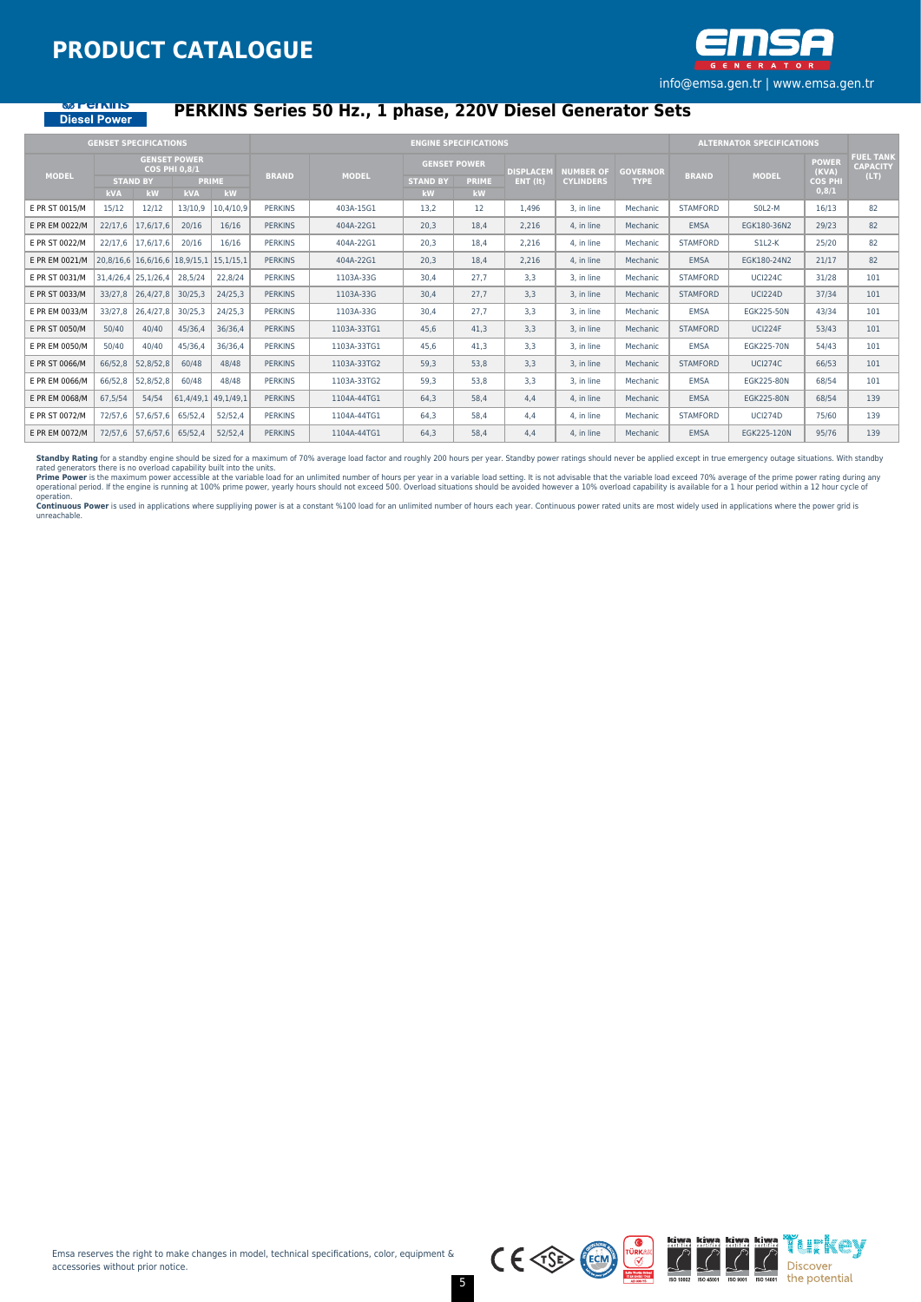

#### **SELLINE** Diesel Power

## **PERKINS Series 50 Hz., 1 phase, 220V Diesel Generator Sets**

|                |                         | <b>GENSET SPECIFICATIONS</b>                    |                                                           |                    |                |              |                                              | <b>ENGINE SPECIFICATIONS</b> |                                |                                      |                                |                 | <b>ALTERNATOR SPECIFICATIONS</b> |                                                  |                                             |
|----------------|-------------------------|-------------------------------------------------|-----------------------------------------------------------|--------------------|----------------|--------------|----------------------------------------------|------------------------------|--------------------------------|--------------------------------------|--------------------------------|-----------------|----------------------------------|--------------------------------------------------|---------------------------------------------|
| <b>MODEL</b>   | <b>kVA</b>              | <b>STAND BY</b><br>kW                           | <b>GENSET POWER</b><br><b>COS PHI 0.8/1</b><br><b>kVA</b> | <b>PRIME</b><br>kW | <b>BRAND</b>   | <b>MODEL</b> | <b>GENSET POWER</b><br><b>STAND BY</b><br>kW | <b>PRIME</b><br><b>kW</b>    | <b>DISPLACEM</b><br>$ENT$ (it) | <b>NUMBER OF</b><br><b>CYLINDERS</b> | <b>GOVERNOR</b><br><b>TYPE</b> | <b>BRAND</b>    | <b>MODEL</b>                     | <b>POWER</b><br>(KVA)<br><b>COS PHI</b><br>0,8/1 | <b>FUEL TANK</b><br><b>CAPACITY</b><br>(LT) |
| E PR ST 0015/M | 15/12                   | 12/12                                           | 13/10,9                                                   | 10,4/10,9          | <b>PERKINS</b> | 403A-15G1    | 13,2                                         | 12                           | 1.496                          | 3. in line                           | Mechanic                       | <b>STAMFORD</b> | SOL2-M                           | 16/13                                            | 82                                          |
| E PR EM 0022/M | 22/17,6                 | 17,6/17,6                                       | 20/16                                                     | 16/16              | <b>PERKINS</b> | 404A-22G1    | 20,3                                         | 18,4                         | 2,216                          | 4. in line                           | Mechanic                       | <b>EMSA</b>     | EGK180-36N2                      | 29/23                                            | 82                                          |
| E PR ST 0022/M | 22/17,6                 | 17,6/17,6                                       | 20/16                                                     | 16/16              | <b>PERKINS</b> | 404A-22G1    | 20,3                                         | 18.4                         | 2.216                          | 4. in line                           | Mechanic                       | <b>STAMFORD</b> | $SL2-K$                          | 25/20                                            | 82                                          |
| E PR EM 0021/M |                         | $20,8/16,6$   16,6/16,6   18,9/15,1   15,1/15,1 |                                                           |                    | <b>PERKINS</b> | 404A-22G1    | 20,3                                         | 18,4                         | 2,216                          | 4. in line                           | Mechanic                       | <b>EMSA</b>     | EGK180-24N2                      | 21/17                                            | 82                                          |
| E PR ST 0031/M | $31,4/26,4$ 25, 1/26, 4 |                                                 | 28,5/24                                                   | 22,8/24            | <b>PERKINS</b> | 1103A-33G    | 30,4                                         | 27.7                         | 3,3                            | 3, in line                           | Mechanic                       | <b>STAMFORD</b> | <b>UCI224C</b>                   | 31/28                                            | 101                                         |
| E PR ST 0033/M | 33/27,8                 | 26,4/27,8                                       | 30/25,3                                                   | 24/25,3            | <b>PERKINS</b> | 1103A-33G    | 30,4                                         | 27.7                         | 3,3                            | 3, in line                           | Mechanic                       | <b>STAMFORD</b> | <b>UCI224D</b>                   | 37/34                                            | 101                                         |
| E PR EM 0033/M | 33/27,8                 | 26,4/27,8                                       | 30/25,3                                                   | 24/25,3            | <b>PERKINS</b> | 1103A-33G    | 30,4                                         | 27.7                         | 3,3                            | 3. in line                           | Mechanic                       | <b>EMSA</b>     | EGK225-50N                       | 43/34                                            | 101                                         |
| E PR ST 0050/M | 50/40                   | 40/40                                           | 45/36,4                                                   | 36/36,4            | <b>PERKINS</b> | 1103A-33TG1  | 45,6                                         | 41,3                         | 3,3                            | 3. in line                           | Mechanic                       | <b>STAMFORD</b> | UCI224F                          | 53/43                                            | 101                                         |
| E PR EM 0050/M | 50/40                   | 40/40                                           | 45/36,4                                                   | 36/36,4            | <b>PERKINS</b> | 1103A-33TG1  | 45.6                                         | 41.3                         | 3.3                            | 3. in line                           | Mechanic                       | <b>EMSA</b>     | <b>EGK225-70N</b>                | 54/43                                            | 101                                         |
| E PR ST 0066/M | 66/52,8                 | 52,8/52,8                                       | 60/48                                                     | 48/48              | <b>PERKINS</b> | 1103A-33TG2  | 59,3                                         | 53,8                         | 3,3                            | 3. in line                           | Mechanic                       | <b>STAMFORD</b> | <b>UCI274C</b>                   | 66/53                                            | 101                                         |
| E PR EM 0066/M | 66/52,8                 | 52,8/52,8                                       | 60/48                                                     | 48/48              | <b>PERKINS</b> | 1103A-33TG2  | 59,3                                         | 53,8                         | 3,3                            | 3, in line                           | Mechanic                       | <b>EMSA</b>     | EGK225-80N                       | 68/54                                            | 101                                         |
| E PR EM 0068/M | 67,5/54                 | 54/54                                           | $61,4/49,1$ 49,1/49,1                                     |                    | <b>PERKINS</b> | 1104A-44TG1  | 64,3                                         | 58.4                         | 4,4                            | 4. in line                           | Mechanic                       | <b>EMSA</b>     | EGK225-80N                       | 68/54                                            | 139                                         |
| E PR ST 0072/M | 72/57.6                 | 57,6/57,6                                       | 65/52.4                                                   | 52/52.4            | <b>PERKINS</b> | 1104A-44TG1  | 64.3                                         | 58.4                         | 4.4                            | 4. in line                           | Mechanic                       | <b>STAMFORD</b> | <b>UCI274D</b>                   | 75/60                                            | 139                                         |
| E PR EM 0072/M |                         | 72/57,6 57,6/57,6                               | 65/52.4                                                   | 52/52.4            | <b>PERKINS</b> | 1104A-44TG1  | 64.3                                         | 58.4                         | 4.4                            | 4. in line                           | Mechanic                       | <b>EMSA</b>     | EGK225-120N                      | 95/76                                            | 139                                         |

**Standby Rating** for a standby engine should be sized for a maximum of 70% average load factor and roughly 200 hours per year. Standby power ratings should never be applied except in true emergency outage situations. With

operation.<br>**Continuous Power** is used in applications where suppliying power is at a constant %100 load for an unlimited number of hours each year. Continuous power rated units are most widely used in applications where th

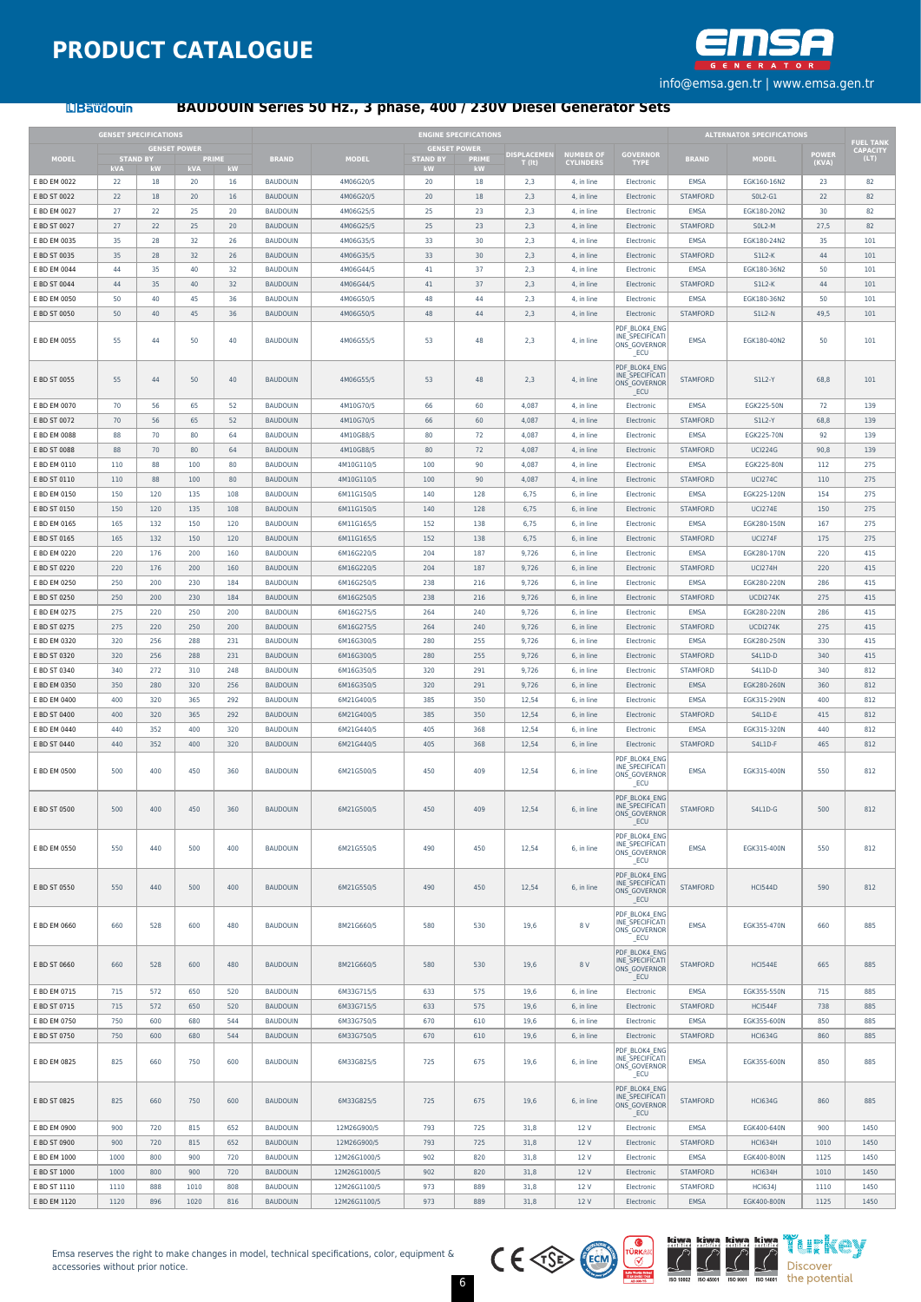

**LIBaudouin** 

#### **BAUDOUIN Series 50 Hz., 3 phase, 400 / 230V Diesel Generator Sets**

|                              | <b>GENSET SPECIFICATIONS</b><br><b>GENSET POWER</b> |            |              |            |                                    |                              |                 | <b>ENGINE SPECIFICATIONS</b> |                              |                               |                                                          |                                    | <b>ALTERNATOR SPECIFICATIONS</b> |                | <b>FUEL TANK</b>        |
|------------------------------|-----------------------------------------------------|------------|--------------|------------|------------------------------------|------------------------------|-----------------|------------------------------|------------------------------|-------------------------------|----------------------------------------------------------|------------------------------------|----------------------------------|----------------|-------------------------|
| <b>MODEL</b>                 | <b>STAND BY</b>                                     |            | <b>PRIME</b> |            | <b>BRAND</b>                       | <b>MODEL</b>                 | <b>STAND BY</b> | <b>GENSET POWER</b><br>PRIME | <b>DISPLACEMEN</b><br>r (lt) | NUMBER OF<br><b>CYLINDERS</b> | GOVERNOR<br>TYPE                                         | <b>BRAND</b>                       | <b>MODEL</b>                     | POWER<br>(KVA) | <b>CAPACITY</b><br>(LT) |
| E BD EM 0022                 | kVA<br>22                                           | 377<br>18  | kVA<br>20    | kW<br>16   | <b>BAUDOUIN</b>                    | 4M06G20/5                    | kМ<br>20        | кW<br>18                     | 2.3                          | 4, in line                    | Electronic                                               | EMSA                               | EGK160-16N2                      | 23             | 82                      |
| E BD ST 0022                 | 22                                                  | 18         | 20           | 16         | <b>BAUDOUIN</b>                    | 4M06G20/5                    | 20              | 18                           | 2,3                          | 4. in line                    | Electronic                                               | <b>STAMFORD</b>                    | $SOL2-G1$                        | 22             | 82                      |
| E BD EM 0027                 | 27                                                  | 22         | 25           | 20         | BAUDOUIN                           | 4M06G25/5                    | 25              | 23                           | 2,3                          | 4, in line                    | Electronic                                               | EMSA                               | EGK180-20N2                      | 30             | 82                      |
| E BD ST 0027                 | 27                                                  | 22         | 25           | 20         | <b>BAUDOUIN</b>                    | 4M06G25/5                    | 25              | 23                           | 2,3                          | 4, in line                    | Electronic                                               | <b>STAMFORD</b>                    | SOL2-M                           | 27,5           | 82                      |
| E BD EM 0035                 | 35                                                  | 28         | 32           | 26         | <b>BAUDOUIN</b>                    | 4M06G35/5                    | 33              | 30                           | 2,3                          | 4. in line                    | Electronic                                               | EMSA                               | EGK180-24N2                      | 35             | 101                     |
| E BD ST 0035                 | 35                                                  | 28         | 32           | 26         | <b>BAUDOUIN</b>                    | 4M06G35/5                    | 33              | 30                           | 2,3                          | 4, in line                    | Electronic                                               | <b>STAMFORD</b>                    | $SLL2-K$                         | 44             | 101                     |
| E BD EM 0044<br>E BD ST 0044 | 44<br>44                                            | 35<br>35   | 40<br>40     | 32<br>32   | BAUDOUIN<br><b>BAUDOUIN</b>        | 4M06G44/5<br>4M06G44/5       | 41<br>41        | 37<br>37                     | 2,3<br>2,3                   | 4, in line<br>4, in line      | Electronic<br>Electronic                                 | EMSA<br><b>STAMFORD</b>            | EGK180-36N2<br>$SLL2-K$          | 50<br>44       | 101<br>101              |
| E BD EM 0050                 | 50                                                  | 40         | 45           | 36         | <b>BAUDOUIN</b>                    | 4M06G50/5                    | 48              | 44                           | 2,3                          | 4, in line                    | Electronic                                               | EMSA                               | EGK180-36N2                      | 50             | 101                     |
| E BD ST 0050                 | 50                                                  | 40         | 45           | 36         | <b>BAUDOUIN</b>                    | 4M06G50/5                    | 48              | 44                           | 2,3                          | 4, in line                    | Electronic                                               | <b>STAMFORD</b>                    | $SLL2-N$                         | 49,5           | 101                     |
| E BD EM 0055                 | 55                                                  | 44         | 50           | 40         | <b>BAUDOUIN</b>                    | 4M06G55/5                    | 53              | 48                           | 2,3                          | 4. in line                    | PDF BLOK4 ENG<br>INE SPECIFICATI<br>ONS GOVERNOR<br>ECU  | <b>FMSA</b>                        | FGK180-40N2                      | 50             | 101                     |
| E BD ST 0055                 | 55                                                  | 44         | 50           | 40         | <b>BAUDOUIN</b>                    | 4M06G55/5                    | 53              | 48                           | 2,3                          | 4, in line                    | PDF BLOK4 ENG<br>INE SPECIFICATI<br>ONS GOVERNOR<br>_ECU | <b>STAMFORD</b>                    | <b>S1L2-Y</b>                    | 68,8           | 101                     |
| E BD EM 0070                 | 70                                                  | 56         | 65           | 52         | <b>BAUDOUIN</b>                    | 4M10G70/5                    | 66              | 60                           | 4,087                        | 4, in line                    | Electronic                                               | EMSA                               | EGK225-50N                       | 72             | 139                     |
| E BD ST 0072                 | 70                                                  | 56         | 65           | 52         | <b>BAUDOUIN</b>                    | 4M10G70/5                    | 66              | 60                           | 4,087                        | 4. in line                    | Electronic                                               | <b>STAMFORD</b>                    | <b>S1L2-Y</b>                    | 68,8           | 139                     |
| E BD EM 0088                 | 88                                                  | 70         | 80           | 64         | <b>BAUDOUIN</b>                    | 4M10G88/5                    | 80              | 72                           | 4,087                        | 4, in line                    | Electronic                                               | EMSA                               | EGK225-70N                       | 92             | 139                     |
| E BD ST 0088<br>E BD EM 0110 | 88<br>110                                           | 70<br>88   | 80<br>100    | 64<br>80   | <b>BAUDOUIN</b><br><b>BAUDOUIN</b> | 4M10G88/5<br>4M10G110/5      | 80<br>100       | 72<br>90                     | 4,087<br>4,087               | 4, in line<br>4. in line      | Electronic<br>Electronic                                 | <b>STAMFORD</b><br>EMSA            | <b>UCI224G</b><br>EGK225-80N     | 90,8<br>112    | 139<br>275              |
| E BD ST 0110                 | 110                                                 | 88         | 100          | 80         | <b>BAUDOUIN</b>                    | 4M10G110/5                   | 100             | 90                           | 4.087                        | 4, in line                    | Electronic                                               | <b>STAMFORD</b>                    | <b>UCI274C</b>                   | 110            | 275                     |
| E BD EM 0150                 | 150                                                 | 120        | 135          | 108        | <b>BAUDOUIN</b>                    | 6M11G150/5                   | 140             | 128                          | 6,75                         | 6, in line                    | Electronic                                               | EMSA                               | EGK225-120N                      | 154            | 275                     |
| E BD ST 0150                 | 150                                                 | 120        | 135          | 108        | <b>BAUDOUIN</b>                    | 6M11G150/5                   | 140             | 128                          | 6,75                         | 6. in line                    | Electronic                                               | <b>STAMFORD</b>                    | <b>UCI274E</b>                   | 150            | 275                     |
| E BD EM 0165                 | 165                                                 | 132        | 150          | 120        | <b>BAUDOUIN</b>                    | 6M11G165/5                   | 152             | 138                          | 6,75                         | 6, in line                    | Electronic                                               | <b>FMSA</b>                        | FGK280-150N                      | 167            | 275                     |
| E BD ST 0165                 | 165                                                 | 132        | 150          | 120        | <b>BAUDOUIN</b>                    | 6M11G165/5                   | 152             | 138                          | 6,75                         | 6, in line                    | Electronic                                               | <b>STAMFORD</b>                    | <b>UCI274F</b>                   | 175            | 275                     |
| E BD EM 0220                 | 220                                                 | 176        | 200          | 160        | <b>BAUDOUIN</b>                    | 6M16G220/5                   | 204             | 187                          | 9,726                        | 6. in line                    | Electronic                                               | EMSA                               | EGK280-170N                      | 220            | 415                     |
| E BD ST 0220                 | 220                                                 | 176        | 200          | 160        | <b>BAUDOUIN</b>                    | 6M16G220/5                   | 204             | 187                          | 9.726                        | 6, in line                    | Electronic                                               | <b>STAMFORD</b>                    | <b>UCI274H</b>                   | 220            | 415                     |
| E BD EM 0250                 | 250                                                 | 200        | 230          | 184        | <b>BAUDOUIN</b>                    | 6M16G250/5                   | 238             | 216                          | 9,726                        | 6, in line                    | Electronic                                               | EMSA                               | EGK280-220N                      | 286            | 415                     |
| E BD ST 0250                 | 250<br>275                                          | 200        | 230          | 184<br>200 | <b>BAUDOUIN</b>                    | 6M16G250/5                   | 238             | 216                          | 9,726<br>9,726               | 6. in line                    | Electronic                                               | <b>STAMFORD</b><br>EMSA            | UCDI274K                         | 275            | 415<br>415              |
| E BD EM 0275<br>E BD ST 0275 | 275                                                 | 220<br>220 | 250<br>250   | 200        | <b>BAUDOUIN</b><br><b>BAUDOUIN</b> | 6M16G275/5<br>6M16G275/5     | 264<br>264      | 240<br>240                   | 9,726                        | 6, in line<br>6, in line      | Electronic<br>Electronic                                 | <b>STAMFORD</b>                    | EGK280-220N<br><b>UCDI274K</b>   | 286<br>275     | 415                     |
| E BD EM 0320                 | 320                                                 | 256        | 288          | 231        | <b>BAUDOUIN</b>                    | 6M16G300/5                   | 280             | 255                          | 9,726                        | 6. in line                    | Electronic                                               | EMSA                               | EGK280-250N                      | 330            | 415                     |
| E BD ST 0320                 | 320                                                 | 256        | 288          | 231        | <b>BAUDOUIN</b>                    | 6M16G300/5                   | 280             | 255                          | 9,726                        | 6, in line                    | Electronic                                               | <b>STAMFORD</b>                    | S4L1D-D                          | 340            | 415                     |
| E BD ST 0340                 | 340                                                 | 272        | 310          | 248        | <b>BAUDOUIN</b>                    | 6M16G350/5                   | 320             | 291                          | 9,726                        | 6, in line                    | Electronic                                               | <b>STAMFORD</b>                    | S4L1D-D                          | 340            | 812                     |
| E BD EM 0350                 | 350                                                 | 280        | 320          | 256        | <b>BAUDOUIN</b>                    | 6M16G350/5                   | 320             | 291                          | 9,726                        | 6. in line                    | Electronic                                               | EMSA                               | EGK280-260N                      | 360            | 812                     |
| E BD EM 0400                 | 400                                                 | 320        | 365          | 292        | <b>BAUDOUIN</b>                    | 6M21G400/5                   | 385             | 350                          | 12,54                        | 6, in line                    | Electronic                                               | <b>FMSA</b>                        | EGK315-290N                      | 400            | 812                     |
| E BD ST 0400                 | 400                                                 | 320        | 365          | 292        | <b>BAUDOUIN</b>                    | 6M21G400/5                   | 385             | 350                          | 12,54                        | 6, in line                    | Electronic                                               | <b>STAMFORD</b>                    | S4L1D-E                          | 415            | 812                     |
| E BD EM 0440                 | 440                                                 | 352        | 400          | 320        | <b>BAUDOUIN</b>                    | 6M21G440/5                   | 405             | 368                          | 12,54                        | 6. in line                    | Electronic                                               | EMSA                               | EGK315-320N                      | 440            | 812                     |
| E BD ST 0440                 | 440                                                 | 352        | 400          | 320        | <b>BAUDOUIN</b>                    | 6M21G440/5                   | 405             | 368                          | 12,54                        | 6. in line                    | Electronic<br>PDF BLOK4 ENG                              | <b>STAMFORD</b>                    | S4L1D-F                          | 465            | 812                     |
| E BD EM 0500                 | 500                                                 | 400        | 450          | 360        | <b>BAUDOUIN</b>                    | 6M21G500/5                   | 450             | 409                          | 12,54                        | 6, in line                    | INF SPECIFICAT<br>ONS_GOVERNOR<br>ECU                    | EMSA                               | EGK315-400N                      | 550            | 812                     |
| E BD ST 0500                 | 500                                                 | 400        | 450          | 360        | <b>BAUDOUIN</b>                    | 6M21G500/5                   | 450             | 409                          | 12,54                        | 6, in line                    | PDF BLOK4 ENG<br>INE SPECIFICATI<br>ONS_GOVERNOR<br>_ECU | <b>STAMFORD</b>                    | S4L1D-G                          | 500            | 812                     |
| E BD EM 0550                 | 550                                                 | 440        | 500          | 400        | <b>BAUDOUIN</b>                    | 6M21G550/5                   | 490             | 450                          | 12,54                        | 6, in line                    | PDF BLOK4 ENG<br>INE SPECIFICATI<br>ONS_GOVERNOR<br>ECU  | EMSA                               | EGK315-400N                      | 550            | 812                     |
| E BD ST 0550                 | 550                                                 | 440        | 500          | 400        | <b>BAUDOUIN</b>                    | 6M21G550/5                   | 490             | 450                          | 12,54                        | 6, in line                    | PDF BLOK4 ENG<br>INE SPECIFICATI<br>ONS GOVERNOR<br>_ECU | <b>STAMFORD</b>                    | <b>HCI544D</b>                   | 590            | 812                     |
| E BD EM 0660                 | 660                                                 | 528        | 600          | 480        | <b>BAUDOUIN</b>                    | 8M21G660/5                   | 580             | 530                          | 19,6                         | 8 V                           | PDF BLOK4 ENG<br>INE SPECIFICATI<br>ONS GOVERNOR<br>ECU  | EMSA                               | EGK355-470N                      | 660            | 885                     |
| E BD ST 0660                 | 660                                                 | 528        | 600          | 480        | <b>BAUDOUIN</b>                    | 8M21G660/5                   | 580             | 530                          | 19,6                         | 8 V                           | PDF BLOK4 ENG<br>INE SPECIFICATI<br>ONS_GOVERNOR<br>ECU  | <b>STAMFORD</b>                    | <b>HCI544E</b>                   | 665            | 885                     |
| E BD EM 0715                 | 715                                                 | 572        | 650          | 520        | <b>BAUDOUIN</b>                    | 6M33G715/5                   | 633             | 575                          | 19,6                         | 6. in line                    | Electronic                                               | EMSA                               | EGK355-550N                      | 715            | 885                     |
| E BD ST 0715                 | 715                                                 | 572        | 650          | 520        | <b>BAUDOUIN</b>                    | 6M33G715/5                   | 633             | 575                          | 19,6                         | 6, in line                    | Electronic                                               | <b>STAMFORD</b>                    | <b>HCI544F</b>                   | 738            | 885                     |
| E BD EM 0750                 | 750                                                 | 600        | 680          | 544        | <b>BAUDOUIN</b>                    | 6M33G750/5                   | 670             | 610                          | 19,6                         | 6, in line                    | Electronic                                               | EMSA                               | EGK355-600N                      | 850            | 885                     |
| E BD ST 0750                 | 750                                                 | 600        | 680          | 544        | <b>BAUDOUIN</b>                    | 6M33G750/5                   | 670             | 610                          | 19,6                         | 6, in line                    | Electronic<br>PDF BLOK4 ENG                              | <b>STAMFORD</b>                    | <b>HCI634G</b>                   | 860            | 885                     |
| E BD EM 0825                 | 825                                                 | 660        | 750          | 600        | BAUDOUIN                           | 6M33G825/5                   | 725             | 675                          | 19,6                         | 6, in line                    | INE SPECIFICATI<br>ONS_GOVERNOR<br>ECU                   | <b>EMSA</b>                        | EGK355-600N                      | 850            | 885                     |
| E BD ST 0825                 | 825                                                 | 660        | 750          | 600        | <b>BAUDOUIN</b>                    | 6M33G825/5                   | 725             | 675                          | 19,6                         | 6, in line                    | PDF BLOK4 ENG<br>INE SPECIFICATI<br>ONS GOVERNOR<br>ECU  | <b>STAMFORD</b>                    | <b>HCI634G</b>                   | 860            | 885                     |
| E BD EM 0900                 | 900                                                 | 720        | 815          | 652        | <b>BAUDOUIN</b>                    | 12M26G900/5                  | 793             | 725                          | 31,8                         | 12 V                          | Electronic                                               | EMSA                               | EGK400-640N                      | 900            | 1450                    |
| E BD ST 0900                 | 900                                                 | 720        | 815          | 652        | <b>BAUDOUIN</b>                    | 12M26G900/5                  | 793             | 725                          | 31,8                         | 12 V                          | Electronic                                               | <b>STAMFORD</b>                    | <b>HCI634H</b>                   | 1010           | 1450                    |
| E BD EM 1000                 | 1000                                                | 800<br>800 | 900          | 720        | BAUDOUIN                           | 12M26G1000/5                 | 902             | 820                          | 31,8                         | 12 V                          | Electronic                                               | EMSA                               | EGK400-800N                      | 1125           | 1450                    |
| E BD ST 1000<br>E BD ST 1110 | 1000<br>1110                                        | 888        | 900<br>1010  | 720<br>808 | <b>BAUDOUIN</b><br><b>BAUDOUIN</b> | 12M26G1000/5<br>12M26G1100/5 | 902<br>973      | 820<br>889                   | 31,8<br>31,8                 | 12 V<br>12 V                  | Electronic<br>Electronic                                 | <b>STAMFORD</b><br><b>STAMFORD</b> | <b>HCI634H</b><br><b>HCI634J</b> | 1010<br>1110   | 1450<br>1450            |
| E BD EM 1120                 | 1120                                                | 896        | 1020         | 816        | <b>BAUDOUIN</b>                    | 12M26G1100/5                 | 973             | 889                          | 31,8                         | 12 V                          | Electronic                                               | <b>EMSA</b>                        | EGK400-800N                      | 1125           | 1450                    |
|                              |                                                     |            |              |            |                                    |                              |                 |                              |                              |                               |                                                          |                                    |                                  |                |                         |

Emsa reserves the right to make changes in model, technical specifications, color, equipment & accessories without prior notice.





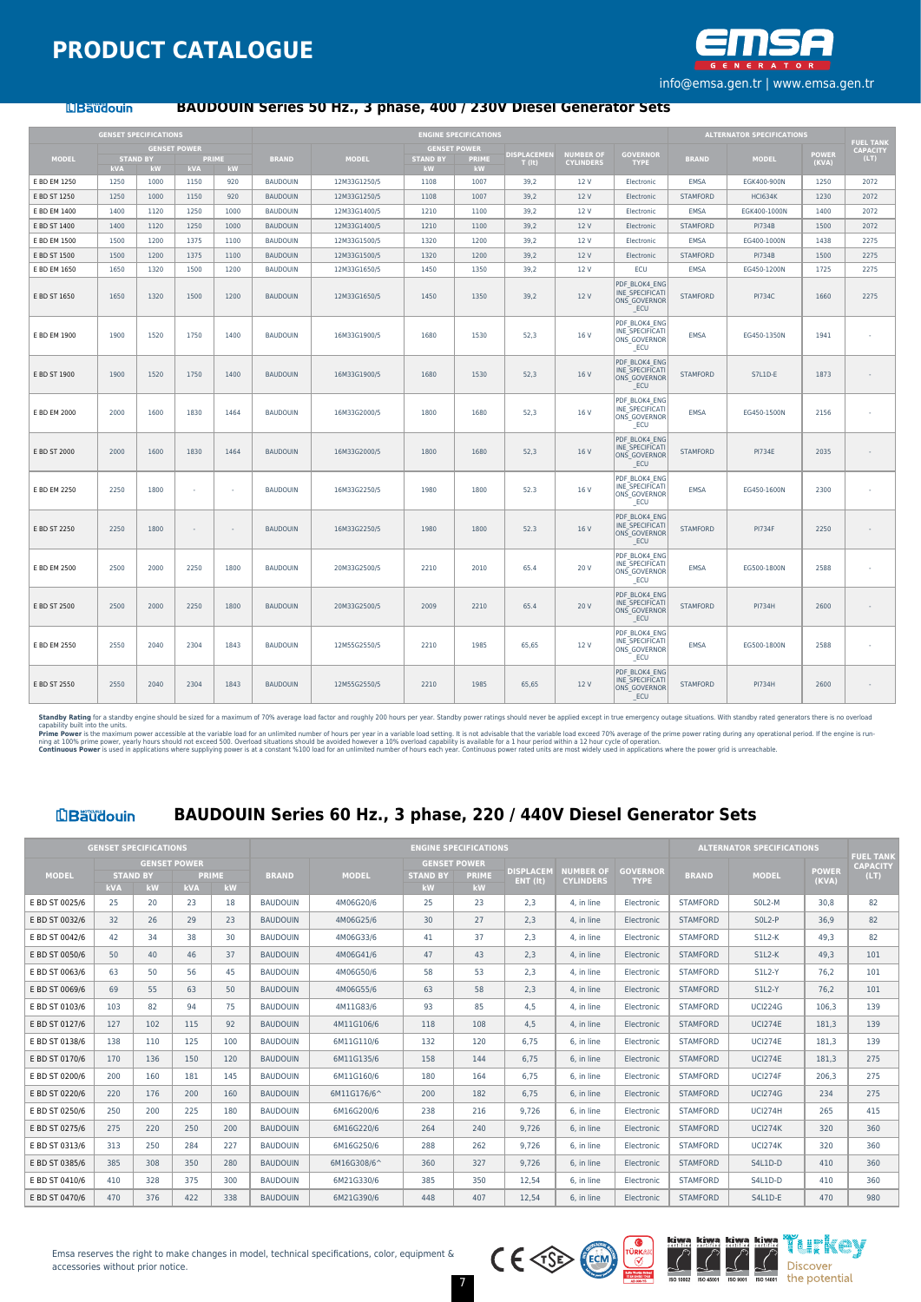

#### **LIBaudouin**

#### **BAUDOUIN Series 50 Hz., 3 phase, 400 / 230V Diesel Generator Sets**

|              |                        | <b>GENSET SPECIFICATIONS</b> |              |      |                 |              |                       | <b>ENGINE SPECIFICATIONS</b> |                            |                                      |                                                                |                 | <b>ALTERNATOR SPECIFICATIONS</b> |                       |                                     |
|--------------|------------------------|------------------------------|--------------|------|-----------------|--------------|-----------------------|------------------------------|----------------------------|--------------------------------------|----------------------------------------------------------------|-----------------|----------------------------------|-----------------------|-------------------------------------|
|              |                        | <b>GENSET POWER</b>          |              |      |                 |              | <b>GENSET POWER</b>   |                              |                            |                                      |                                                                |                 |                                  |                       | <b>FUEL TANK</b><br><b>CAPACITY</b> |
| <b>MODEL</b> | <b>STAND BY</b><br>kVA | kW                           | PRIME<br>kVA | kW   | <b>BRAND</b>    | <b>MODEL</b> | <b>STAND BY</b><br>kW | <b>PRIME</b><br>kW           | <b>DISPLACEMEN</b><br>T(h) | <b>NUMBER OF</b><br><b>CYLINDERS</b> | <b>GOVERNOR</b><br><b>TYPE</b>                                 | <b>BRAND</b>    | <b>MODEL</b>                     | <b>POWER</b><br>(KVA) | (LT)                                |
| E BD EM 1250 | 1250                   | 1000                         | 1150         | 920  | <b>BAUDOUIN</b> | 12M33G1250/5 | 1108                  | 1007                         | 39,2                       | 12 V                                 | Electronic                                                     | EMSA            | EGK400-900N                      | 1250                  | 2072                                |
| E BD ST 1250 | 1250                   | 1000                         | 1150         | 920  | <b>BAUDOUIN</b> | 12M33G1250/5 | 1108                  | 1007                         | 39,2                       | 12V                                  | Electronic                                                     | <b>STAMFORD</b> | <b>HCI634K</b>                   | 1230                  | 2072                                |
| E BD EM 1400 | 1400                   | 1120                         | 1250         | 1000 | <b>BAUDOUIN</b> | 12M33G1400/5 | 1210                  | 1100                         | 39,2                       | 12 V                                 | Electronic                                                     | EMSA            | EGK400-1000N                     | 1400                  | 2072                                |
| E BD ST 1400 | 1400                   | 1120                         | 1250         | 1000 | <b>BAUDOUIN</b> | 12M33G1400/5 | 1210                  | 1100                         | 39,2                       | 12 V                                 | Electronic                                                     | <b>STAMFORD</b> | <b>PI734B</b>                    | 1500                  | 2072                                |
| E BD EM 1500 | 1500                   | 1200                         | 1375         | 1100 | <b>BAUDOUIN</b> | 12M33G1500/5 | 1320                  | 1200                         | 39,2                       | 12 V                                 | Electronic                                                     | EMSA            | EG400-1000N                      | 1438                  | 2275                                |
| E BD ST 1500 | 1500                   | 1200                         | 1375         | 1100 | <b>BAUDOUIN</b> | 12M33G1500/5 | 1320                  | 1200                         | 39.2                       | 12 V                                 | Electronic                                                     | <b>STAMFORD</b> | <b>PI734B</b>                    | 1500                  | 2275                                |
| E BD EM 1650 | 1650                   | 1320                         | 1500         | 1200 | <b>BAUDOUIN</b> | 12M33G1650/5 | 1450                  | 1350                         | 39,2                       | 12 V                                 | ECU                                                            | EMSA            | EG450-1200N                      | 1725                  | 2275                                |
| E BD ST 1650 | 1650                   | 1320                         | 1500         | 1200 | <b>BAUDOUIN</b> | 12M33G1650/5 | 1450                  | 1350                         | 39.2                       | 12 V                                 | PDF BLOK4 ENG<br>INE SPECIFICATI<br>ONS GOVERNOR<br>ECU        | <b>STAMFORD</b> | <b>PI734C</b>                    | 1660                  | 2275                                |
| E BD EM 1900 | 1900                   | 1520                         | 1750         | 1400 | <b>BAUDOUIN</b> | 16M33G1900/5 | 1680                  | 1530                         | 52,3                       | 16 V                                 | PDF BLOK4 ENG<br>INE SPECIFICATI<br>ONS GOVERNOR<br>ECU        | <b>EMSA</b>     | EG450-1350N                      | 1941                  | ÷.                                  |
| E BD ST 1900 | 1900                   | 1520                         | 1750         | 1400 | <b>BAUDOUIN</b> | 16M33G1900/5 | 1680                  | 1530                         | 52.3                       | 16 V                                 | PDF BLOK4 ENG<br>INE SPECIFICATI<br>ONS GOVERNOR<br>ECU        | <b>STAMFORD</b> | S7L1D-E                          | 1873                  | $\sim$                              |
| E BD EM 2000 | 2000                   | 1600                         | 1830         | 1464 | <b>BAUDOUIN</b> | 16M33G2000/5 | 1800                  | 1680                         | 52.3                       | 16 V                                 | PDF BLOK4 ENG<br>INE SPECIFICATI<br>ONS GOVERNOR<br>ECU        | <b>EMSA</b>     | EG450-1500N                      | 2156                  | $\sim$                              |
| E BD ST 2000 | 2000                   | 1600                         | 1830         | 1464 | <b>BAUDOUIN</b> | 16M33G2000/5 | 1800                  | 1680                         | 52,3                       | 16 V                                 | PDF BLOK4 ENG<br>INE SPECIFICATI<br>ONS GOVERNOR<br>ECU        | <b>STAMFORD</b> | <b>PI734E</b>                    | 2035                  |                                     |
| E BD EM 2250 | 2250                   | 1800                         | $\sim$       | ×    | <b>BAUDOUIN</b> | 16M33G2250/5 | 1980                  | 1800                         | 52.3                       | 16 V                                 | PDF BLOK4 ENG<br>INE SPECIFICATI<br>ONS GOVERNOR<br>ECU        | EMSA            | EG450-1600N                      | 2300                  | $\sim$                              |
| E BD ST 2250 | 2250                   | 1800                         | $\sim$       | ×    | <b>BAUDOUIN</b> | 16M33G2250/5 | 1980                  | 1800                         | 52.3                       | 16 V                                 | PDF BLOK4 ENG<br>INE SPECIFICATI<br>ONS_GOVERNOR<br>ECU        | <b>STAMFORD</b> | <b>PI734F</b>                    | 2250                  | $\sim$                              |
| E BD EM 2500 | 2500                   | 2000                         | 2250         | 1800 | <b>BAUDOUIN</b> | 20M33G2500/5 | 2210                  | 2010                         | 65.4                       | 20 V                                 | PDF BLOK4 ENG<br>INE SPECIFICATI<br>ONS_GOVERNOR<br>ECU        | <b>EMSA</b>     | EG500-1800N                      | 2588                  | $\sim$                              |
| E BD ST 2500 | 2500                   | 2000                         | 2250         | 1800 | <b>BAUDOUIN</b> | 20M33G2500/5 | 2009                  | 2210                         | 65.4                       | 20 V                                 | PDF BLOK4 ENG<br><b>INE SPECIFICATI</b><br>ONS GOVERNOR<br>ECU | <b>STAMFORD</b> | <b>PI734H</b>                    | 2600                  | $\sim$                              |
| E BD EM 2550 | 2550                   | 2040                         | 2304         | 1843 | <b>BAUDOUIN</b> | 12M55G2550/5 | 2210                  | 1985                         | 65.65                      | 12 V                                 | PDF BLOK4 ENG<br>INE SPECIFICATI<br>ONS GOVERNOR<br>ECU        | <b>EMSA</b>     | EG500-1800N                      | 2588                  | $\sim$                              |
| E BD ST 2550 | 2550                   | 2040                         | 2304         | 1843 | <b>BAUDOUIN</b> | 12M55G2550/5 | 2210                  | 1985                         | 65.65                      | 12 V                                 | PDF BLOK4 ENG<br><b>INE SPECIFICATI</b><br>ONS GOVERNOR<br>ECU | <b>STAMFORD</b> | <b>PI734H</b>                    | 2600                  | $\sim$                              |

Standby Ration on the standby engine should be sized for a maximum of 70% average load factor and roughly 200 hours per year. Standby power ratings should never be applied except in true emergency outage situations. With s

#### **LBaudouin**

## **BAUDOUIN Series 60 Hz., 3 phase, 220 / 440V Diesel Generator Sets**

|                |            | <b>GENSET SPECIFICATIONS</b>                 |            |                    |                 |              |                                              | <b>ENGINE SPECIFICATIONS</b> |                              |                                      |                                |                 | <b>ALTERNATOR SPECIFICATIONS</b> |                       | <b>FUEL TANK</b>        |
|----------------|------------|----------------------------------------------|------------|--------------------|-----------------|--------------|----------------------------------------------|------------------------------|------------------------------|--------------------------------------|--------------------------------|-----------------|----------------------------------|-----------------------|-------------------------|
| <b>MODEL</b>   | <b>kVA</b> | <b>GENSET POWER</b><br><b>STAND BY</b><br>kW | <b>kVA</b> | <b>PRIME</b><br>kW | <b>BRAND</b>    | <b>MODEL</b> | <b>GENSET POWER</b><br><b>STAND BY</b><br>kW | <b>PRIME</b><br>kW           | <b>DISPLACEM</b><br>ENT (It) | <b>NUMBER OF</b><br><b>CYLINDERS</b> | <b>GOVERNOR</b><br><b>TYPE</b> | <b>BRAND</b>    | <b>MODEL</b>                     | <b>POWER</b><br>(KVA) | <b>CAPACITY</b><br>(LT) |
| E BD ST 0025/6 | 25         | 20                                           | 23         | 18                 | <b>BAUDOUIN</b> | 4M06G20/6    | 25                                           | 23                           | 2.3                          | 4. in line                           | Electronic                     | <b>STAMFORD</b> | SOL2-M                           | 30,8                  | 82                      |
| E BD ST 0032/6 | 32         | 26                                           | 29         | 23                 | <b>BAUDOUIN</b> | 4M06G25/6    | 30                                           | 27                           | 2,3                          | 4. in line                           | Electronic                     | <b>STAMFORD</b> | $SOL2-P$                         | 36.9                  | 82                      |
| E BD ST 0042/6 | 42         | 34                                           | 38         | 30                 | <b>BAUDOUIN</b> | 4M06G33/6    | 41                                           | 37                           | 2,3                          | 4. in line                           | Electronic                     | <b>STAMFORD</b> | <b>S1L2-K</b>                    | 49.3                  | 82                      |
| E BD ST 0050/6 | 50         | 40                                           | 46         | 37                 | <b>BAUDOUIN</b> | 4M06G41/6    | 47                                           | 43                           | 2,3                          | 4. in line                           | Electronic                     | <b>STAMFORD</b> | $S1L2-K$                         | 49.3                  | 101                     |
| E BD ST 0063/6 | 63         | 50                                           | 56         | 45                 | <b>BAUDOUIN</b> | 4M06G50/6    | 58                                           | 53                           | 2,3                          | 4. in line                           | Electronic                     | <b>STAMFORD</b> | <b>S1L2-Y</b>                    | 76.2                  | 101                     |
| E BD ST 0069/6 | 69         | 55                                           | 63         | 50                 | <b>BAUDOUIN</b> | 4M06G55/6    | 63                                           | 58                           | 2.3                          | 4. in line                           | Electronic                     | <b>STAMFORD</b> | <b>S1L2-Y</b>                    | 76.2                  | 101                     |
| E BD ST 0103/6 | 103        | 82                                           | 94         | 75                 | <b>BAUDOUIN</b> | 4M11G83/6    | 93                                           | 85                           | 4.5                          | 4. in line                           | Electronic                     | <b>STAMFORD</b> | <b>UCI224G</b>                   | 106.3                 | 139                     |
| E BD ST 0127/6 | 127        | 102                                          | 115        | 92                 | <b>BAUDOUIN</b> | 4M11G106/6   | 118                                          | 108                          | 4.5                          | 4. in line                           | Electronic                     | <b>STAMFORD</b> | <b>UCI274E</b>                   | 181.3                 | 139                     |
| E BD ST 0138/6 | 138        | 110                                          | 125        | 100                | <b>BAUDOUIN</b> | 6M11G110/6   | 132                                          | 120                          | 6,75                         | 6, in line                           | Electronic                     | <b>STAMFORD</b> | <b>UCI274E</b>                   | 181,3                 | 139                     |
| E BD ST 0170/6 | 170        | 136                                          | 150        | 120                | <b>BAUDOUIN</b> | 6M11G135/6   | 158                                          | 144                          | 6.75                         | 6. in line                           | Electronic                     | <b>STAMFORD</b> | <b>UCI274E</b>                   | 181.3                 | 275                     |
| E BD ST 0200/6 | 200        | 160                                          | 181        | 145                | <b>BAUDOUIN</b> | 6M11G160/6   | 180                                          | 164                          | 6.75                         | 6, in line                           | Electronic                     | <b>STAMFORD</b> | <b>UCI274F</b>                   | 206.3                 | 275                     |
| E BD ST 0220/6 | 220        | 176                                          | 200        | 160                | <b>BAUDOUIN</b> | 6M11G176/6^  | 200                                          | 182                          | 6.75                         | 6. in line                           | Electronic                     | <b>STAMFORD</b> | <b>UCI274G</b>                   | 234                   | 275                     |
| E BD ST 0250/6 | 250        | 200                                          | 225        | 180                | <b>BAUDOUIN</b> | 6M16G200/6   | 238                                          | 216                          | 9.726                        | 6. in line                           | Electronic                     | <b>STAMFORD</b> | <b>UCI274H</b>                   | 265                   | 415                     |
| E BD ST 0275/6 | 275        | 220                                          | 250        | 200                | <b>BAUDOUIN</b> | 6M16G220/6   | 264                                          | 240                          | 9.726                        | 6. in line                           | Electronic                     | <b>STAMFORD</b> | <b>UCI274K</b>                   | 320                   | 360                     |
| E BD ST 0313/6 | 313        | 250                                          | 284        | 227                | <b>BAUDOUIN</b> | 6M16G250/6   | 288                                          | 262                          | 9.726                        | 6. in line                           | Electronic                     | <b>STAMFORD</b> | <b>UCI274K</b>                   | 320                   | 360                     |
| E BD ST 0385/6 | 385        | 308                                          | 350        | 280                | <b>BAUDOUIN</b> | 6M16G308/6^  | 360                                          | 327                          | 9.726                        | 6. in line                           | Electronic                     | <b>STAMFORD</b> | S4L1D-D                          | 410                   | 360                     |
| E BD ST 0410/6 | 410        | 328                                          | 375        | 300                | <b>BAUDOUIN</b> | 6M21G330/6   | 385                                          | 350                          | 12,54                        | 6. in line                           | Electronic                     | <b>STAMFORD</b> | S4L1D-D                          | 410                   | 360                     |
| E BD ST 0470/6 | 470        | 376                                          | 422        | 338                | <b>BAUDOUIN</b> | 6M21G390/6   | 448                                          | 407                          | 12.54                        | 6. in line                           | Electronic                     | <b>STAMFORD</b> | S4L1D-E                          | 470                   | 980                     |

7





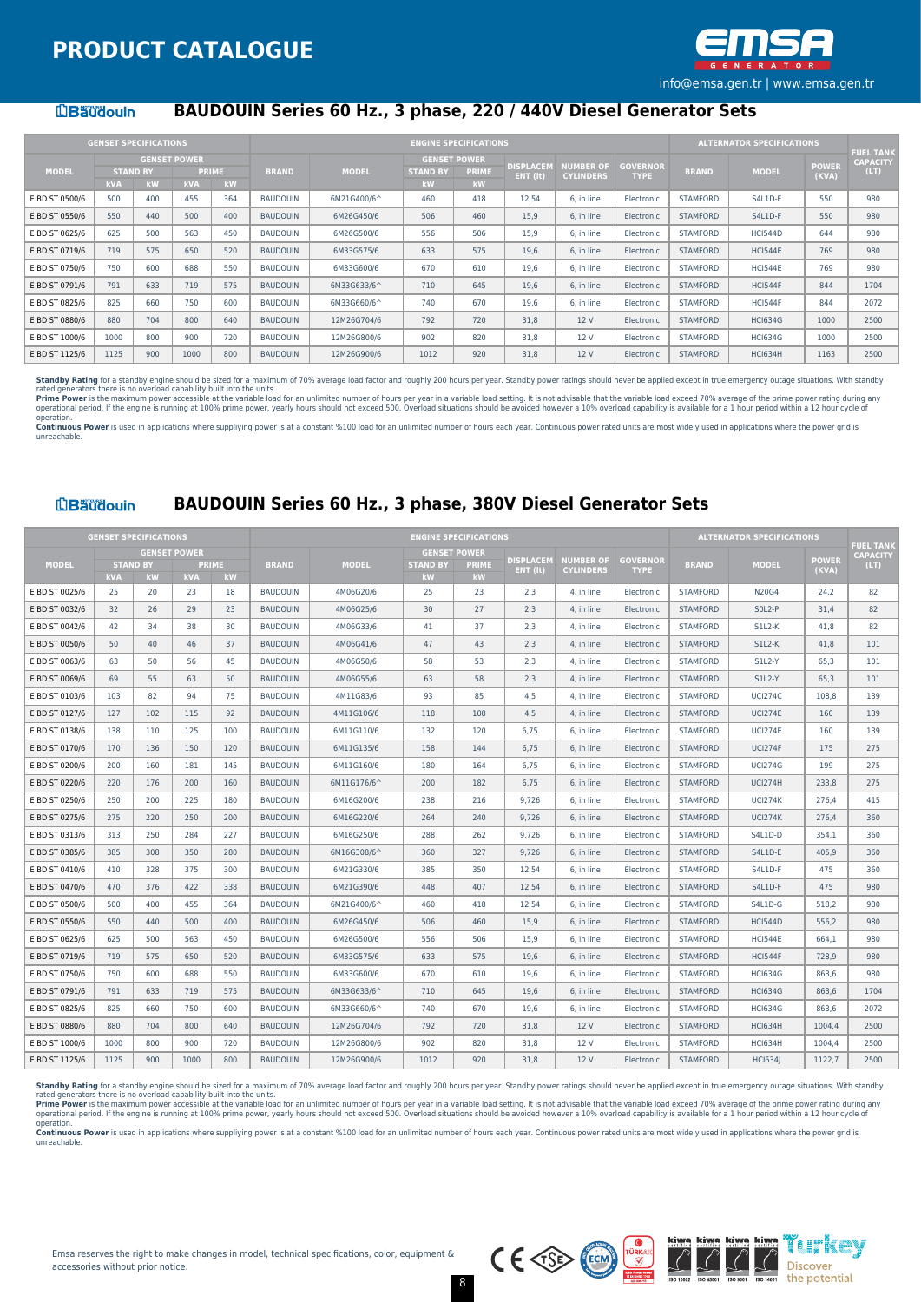

#### **LBaudouin**

## **BAUDOUIN Series 60 Hz., 3 phase, 220 / 440V Diesel Generator Sets**

|                |                               | <b>GENSET SPECIFICATIONS</b> |                     |                    |                 |              |                       | <b>ENGINE SPECIFICATIONS</b> |                  |                  |                 |                 | <b>ALTERNATOR SPECIFICATIONS</b> |              | <b>FUEL TANK</b> |
|----------------|-------------------------------|------------------------------|---------------------|--------------------|-----------------|--------------|-----------------------|------------------------------|------------------|------------------|-----------------|-----------------|----------------------------------|--------------|------------------|
|                |                               |                              | <b>GENSET POWER</b> |                    |                 |              |                       | <b>GENSET POWER</b>          | <b>DISPLACEM</b> | <b>NUMBER OF</b> | <b>GOVERNOR</b> |                 |                                  | <b>POWER</b> | <b>CAPACITY</b>  |
| <b>MODEL</b>   | <b>STAND BY</b><br><b>kVA</b> | kW                           | <b>kVA</b>          | <b>PRIME</b><br>kW | <b>BRAND</b>    | <b>MODEL</b> | <b>STAND BY</b><br>kW | <b>PRIME</b><br>kW           | ENT (It)         | <b>CYLINDERS</b> | <b>TYPE</b>     | <b>BRAND</b>    | <b>MODEL</b>                     | (KVA)        | (LT)             |
| E BD ST 0500/6 | 500                           | 400                          | 455                 | 364                | <b>BAUDOUIN</b> | 6M21G400/6^  | 460                   | 418                          | 12,54            | 6. in line       | Electronic      | <b>STAMFORD</b> | S4L1D-F                          | 550          | 980              |
| E BD ST 0550/6 | 550                           | 440                          | 500                 | 400                | <b>BAUDOUIN</b> | 6M26G450/6   | 506                   | 460                          | 15,9             | 6, in line       | Electronic      | <b>STAMFORD</b> | S4L1D-F                          | 550          | 980              |
| E BD ST 0625/6 | 625                           | 500                          | 563                 | 450                | <b>BAUDOUIN</b> | 6M26G500/6   | 556                   | 506                          | 15,9             | 6, in line       | Electronic      | <b>STAMFORD</b> | HCI544D                          | 644          | 980              |
| E BD ST 0719/6 | 719                           | 575                          | 650                 | 520                | <b>BAUDOUIN</b> | 6M33G575/6   | 633                   | 575                          | 19.6             | 6. in line       | Electronic      | <b>STAMFORD</b> | <b>HCI544E</b>                   | 769          | 980              |
| E BD ST 0750/6 | 750                           | 600                          | 688                 | 550                | <b>BAUDOUIN</b> | 6M33G600/6   | 670                   | 610                          | 19.6             | 6, in line       | Electronic      | <b>STAMFORD</b> | <b>HCI544E</b>                   | 769          | 980              |
| E BD ST 0791/6 | 791                           | 633                          | 719                 | 575                | <b>BAUDOUIN</b> | 6M33G633/6^  | 710                   | 645                          | 19.6             | 6, in line       | Electronic      | <b>STAMFORD</b> | HCI544F                          | 844          | 1704             |
| E BD ST 0825/6 | 825                           | 660                          | 750                 | 600                | <b>BAUDOUIN</b> | 6M33G660/6^  | 740                   | 670                          | 19.6             | 6. in line       | Electronic      | <b>STAMFORD</b> | HCI544F                          | 844          | 2072             |
| E BD ST 0880/6 | 880                           | 704                          | 800                 | 640                | <b>BAUDOUIN</b> | 12M26G704/6  | 792                   | 720                          | 31.8             | 12 V             | Electronic      | <b>STAMFORD</b> | <b>HCI634G</b>                   | 1000         | 2500             |
| E BD ST 1000/6 | 1000                          | 800                          | 900                 | 720                | <b>BAUDOUIN</b> | 12M26G800/6  | 902                   | 820                          | 31.8             | 12 V             | Electronic      | <b>STAMFORD</b> | <b>HCI634G</b>                   | 1000         | 2500             |
| E BD ST 1125/6 | 1125                          | 900                          | 1000                | 800                | <b>BAUDOUIN</b> | 12M26G900/6  | 1012                  | 920                          | 31,8             | 12 V             | Electronic      | <b>STAMFORD</b> | <b>HCI634H</b>                   | 1163         | 2500             |

Standby Rating for a standby engine should be sized for a maximum of 70% average load factor and roughly 200 hours per year. Standby power ratings should never be applied except in true emergency outage situations. With st rated generators there is no overload capability built into the units.<br>Prime Power is the maximum power accessible at the variable budden and himited number of hours per year in a variable load setting. It is not advisable

operation. Continuous Power is used in applications where suppliving power is at a constant %100 load for an unlimited number of hours each year. Continuous power rated units are most widely used in applications where the power grid unreachable.

#### **LBäudouin**

#### **BAUDOUIN Series 60 Hz., 3 phase, 380V Diesel Generator Sets**

|                | <b>GENSET SPECIFICATIONS</b> |                       |                     |                    |                 |              |                       | <b>ENGINE SPECIFICATIONS</b> |                  |                  |                 |                 | <b>ALTERNATOR SPECIFICATIONS</b> |              |                                     |
|----------------|------------------------------|-----------------------|---------------------|--------------------|-----------------|--------------|-----------------------|------------------------------|------------------|------------------|-----------------|-----------------|----------------------------------|--------------|-------------------------------------|
|                |                              |                       | <b>GENSET POWER</b> |                    |                 |              |                       | <b>GENSET POWER</b>          | <b>DISPLACEM</b> | <b>NUMBER OF</b> | <b>GOVERNOR</b> |                 |                                  | <b>POWER</b> | <b>FUEL TANK</b><br><b>CAPACITY</b> |
| <b>MODEL</b>   | <b>kVA</b>                   | <b>STAND BY</b><br>kW | <b>kVA</b>          | <b>PRIME</b><br>kW | <b>BRAND</b>    | <b>MODEL</b> | <b>STAND BY</b><br>kW | <b>PRIME</b><br>kW           | ENT (It)         | <b>CYLINDERS</b> | <b>TYPE</b>     | <b>BRAND</b>    | <b>MODEL</b>                     | (KVA)        | (LT)                                |
| E BD ST 0025/6 | 25                           | 20                    | 23                  | 18                 | <b>BAUDOUIN</b> | 4M06G20/6    | 25                    | 23                           | 2.3              | 4. in line       | Electronic      | <b>STAMFORD</b> | <b>N20G4</b>                     | 24,2         | 82                                  |
| E BD ST 0032/6 | 32                           | 26                    | 29                  | 23                 | <b>BAUDOUIN</b> | 4M06G25/6    | 30                    | 27                           | 2,3              | 4, in line       | Electronic      | <b>STAMFORD</b> | SOL2-P                           | 31,4         | 82                                  |
| E BD ST 0042/6 | 42                           | 34                    | 38                  | 30                 | <b>BAUDOUIN</b> | 4M06G33/6    | 41                    | 37                           | 2.3              | 4, in line       | Electronic      | <b>STAMFORD</b> | $S1L2-K$                         | 41,8         | 82                                  |
| E BD ST 0050/6 | 50                           | 40                    | 46                  | 37                 | <b>BAUDOUIN</b> | 4M06G41/6    | 47                    | 43                           | 2.3              | 4. in line       | Electronic      | <b>STAMFORD</b> | <b>S1L2-K</b>                    | 41.8         | 101                                 |
| E BD ST 0063/6 | 63                           | 50                    | 56                  | 45                 | <b>BAUDOUIN</b> | 4M06G50/6    | 58                    | 53                           | 2,3              | 4, in line       | Electronic      | <b>STAMFORD</b> | <b>S1L2-Y</b>                    | 65,3         | 101                                 |
| E BD ST 0069/6 | 69                           | 55                    | 63                  | 50                 | <b>BAUDOUIN</b> | 4M06G55/6    | 63                    | 58                           | 2.3              | 4. in line       | Electronic      | <b>STAMFORD</b> | <b>S1L2-Y</b>                    | 65.3         | 101                                 |
| E BD ST 0103/6 | 103                          | 82                    | 94                  | 75                 | <b>BAUDOUIN</b> | 4M11G83/6    | 93                    | 85                           | 4,5              | 4, in line       | Electronic      | <b>STAMFORD</b> | <b>UCI274C</b>                   | 108,8        | 139                                 |
| E BD ST 0127/6 | 127                          | 102                   | 115                 | 92                 | <b>BAUDOUIN</b> | 4M11G106/6   | 118                   | 108                          | 4.5              | 4. in line       | Electronic      | <b>STAMFORD</b> | <b>UCI274E</b>                   | 160          | 139                                 |
| E BD ST 0138/6 | 138                          | 110                   | 125                 | 100                | <b>BAUDOUIN</b> | 6M11G110/6   | 132                   | 120                          | 6,75             | 6, in line       | Electronic      | <b>STAMFORD</b> | <b>UCI274E</b>                   | 160          | 139                                 |
| E BD ST 0170/6 | 170                          | 136                   | 150                 | 120                | <b>BAUDOUIN</b> | 6M11G135/6   | 158                   | 144                          | 6,75             | 6, in line       | Electronic      | <b>STAMFORD</b> | <b>UCI274F</b>                   | 175          | 275                                 |
| E BD ST 0200/6 | 200                          | 160                   | 181                 | 145                | <b>BAUDOUIN</b> | 6M11G160/6   | 180                   | 164                          | 6.75             | 6. in line       | Electronic      | <b>STAMFORD</b> | <b>UCI274G</b>                   | 199          | 275                                 |
| E BD ST 0220/6 | 220                          | 176                   | 200                 | 160                | <b>BAUDOUIN</b> | 6M11G176/6^  | 200                   | 182                          | 6,75             | 6, in line       | Electronic      | <b>STAMFORD</b> | <b>UCI274H</b>                   | 233,8        | 275                                 |
| E BD ST 0250/6 | 250                          | 200                   | 225                 | 180                | <b>BAUDOUIN</b> | 6M16G200/6   | 238                   | 216                          | 9,726            | 6, in line       | Electronic      | <b>STAMFORD</b> | <b>UCI274K</b>                   | 276.4        | 415                                 |
| E BD ST 0275/6 | 275                          | 220                   | 250                 | 200                | <b>BAUDOUIN</b> | 6M16G220/6   | 264                   | 240                          | 9.726            | 6. in line       | Electronic      | <b>STAMFORD</b> | <b>UCI274K</b>                   | 276.4        | 360                                 |
| E BD ST 0313/6 | 313                          | 250                   | 284                 | 227                | <b>BAUDOUIN</b> | 6M16G250/6   | 288                   | 262                          | 9,726            | 6, in line       | Electronic      | <b>STAMFORD</b> | S4L1D-D                          | 354,1        | 360                                 |
| E BD ST 0385/6 | 385                          | 308                   | 350                 | 280                | <b>BAUDOUIN</b> | 6M16G308/6^  | 360                   | 327                          | 9.726            | 6. in line       | Electronic      | <b>STAMFORD</b> | S4L1D-E                          | 405.9        | 360                                 |
| E BD ST 0410/6 | 410                          | 328                   | 375                 | 300                | <b>BAUDOUIN</b> | 6M21G330/6   | 385                   | 350                          | 12,54            | 6, in line       | Electronic      | <b>STAMFORD</b> | S4L1D-F                          | 475          | 360                                 |
| E BD ST 0470/6 | 470                          | 376                   | 422                 | 338                | <b>BAUDOUIN</b> | 6M21G390/6   | 448                   | 407                          | 12.54            | 6. in line       | Electronic      | <b>STAMFORD</b> | S4L1D-F                          | 475          | 980                                 |
| E BD ST 0500/6 | 500                          | 400                   | 455                 | 364                | <b>BAUDOUIN</b> | 6M21G400/6^  | 460                   | 418                          | 12,54            | 6, in line       | Electronic      | <b>STAMFORD</b> | S4L1D-G                          | 518,2        | 980                                 |
| E BD ST 0550/6 | 550                          | 440                   | 500                 | 400                | <b>BAUDOUIN</b> | 6M26G450/6   | 506                   | 460                          | 15,9             | 6, in line       | Electronic      | <b>STAMFORD</b> | <b>HCI544D</b>                   | 556,2        | 980                                 |
| E BD ST 0625/6 | 625                          | 500                   | 563                 | 450                | <b>BAUDOUIN</b> | 6M26G500/6   | 556                   | 506                          | 15.9             | 6. in line       | Electronic      | <b>STAMFORD</b> | <b>HCI544E</b>                   | 664.1        | 980                                 |
| E BD ST 0719/6 | 719                          | 575                   | 650                 | 520                | <b>BAUDOUIN</b> | 6M33G575/6   | 633                   | 575                          | 19,6             | 6, in line       | Electronic      | <b>STAMFORD</b> | <b>HCI544F</b>                   | 728,9        | 980                                 |
| E BD ST 0750/6 | 750                          | 600                   | 688                 | 550                | <b>BAUDOUIN</b> | 6M33G600/6   | 670                   | 610                          | 19.6             | 6, in line       | Electronic      | <b>STAMFORD</b> | <b>HCI634G</b>                   | 863,6        | 980                                 |
| E BD ST 0791/6 | 791                          | 633                   | 719                 | 575                | <b>BAUDOUIN</b> | 6M33G633/6^  | 710                   | 645                          | 19.6             | 6. in line       | Electronic      | <b>STAMFORD</b> | <b>HCI634G</b>                   | 863.6        | 1704                                |
| E BD ST 0825/6 | 825                          | 660                   | 750                 | 600                | <b>BAUDOUIN</b> | 6M33G660/6^  | 740                   | 670                          | 19,6             | 6, in line       | Electronic      | <b>STAMFORD</b> | <b>HCI634G</b>                   | 863,6        | 2072                                |
| E BD ST 0880/6 | 880                          | 704                   | 800                 | 640                | <b>BAUDOUIN</b> | 12M26G704/6  | 792                   | 720                          | 31.8             | 12 V             | Electronic      | <b>STAMFORD</b> | <b>HCI634H</b>                   | 1004.4       | 2500                                |
| E BD ST 1000/6 | 1000                         | 800                   | 900                 | 720                | <b>BAUDOUIN</b> | 12M26G800/6  | 902                   | 820                          | 31,8             | 12 V             | Electronic      | <b>STAMFORD</b> | <b>HCI634H</b>                   | 1004,4       | 2500                                |
| E BD ST 1125/6 | 1125                         | 900                   | 1000                | 800                | <b>BAUDOUIN</b> | 12M26G900/6  | 1012                  | 920                          | 31.8             | 12 V             | Electronic      | <b>STAMFORD</b> | <b>HCI634</b>                    | 1122,7       | 2500                                |

Standby Rating for a standby engine should be sized for a maximum of 70% average load factor and roughly 200 hours per year. Standby power ratings should never be applied except in true emergency outage situations. With st rated generators there is no overload capability built into the units.<br>**Prime Power** is the maximum power accessible at the variable load for an unlimited number of hours per year in a variable load setting. It is not advi

**Continuous Power** is used in applications where suppliying power is at a constant %100 load for an unlimited number of hours each year. Continuous power rated units are most widely used in applications where the power gri

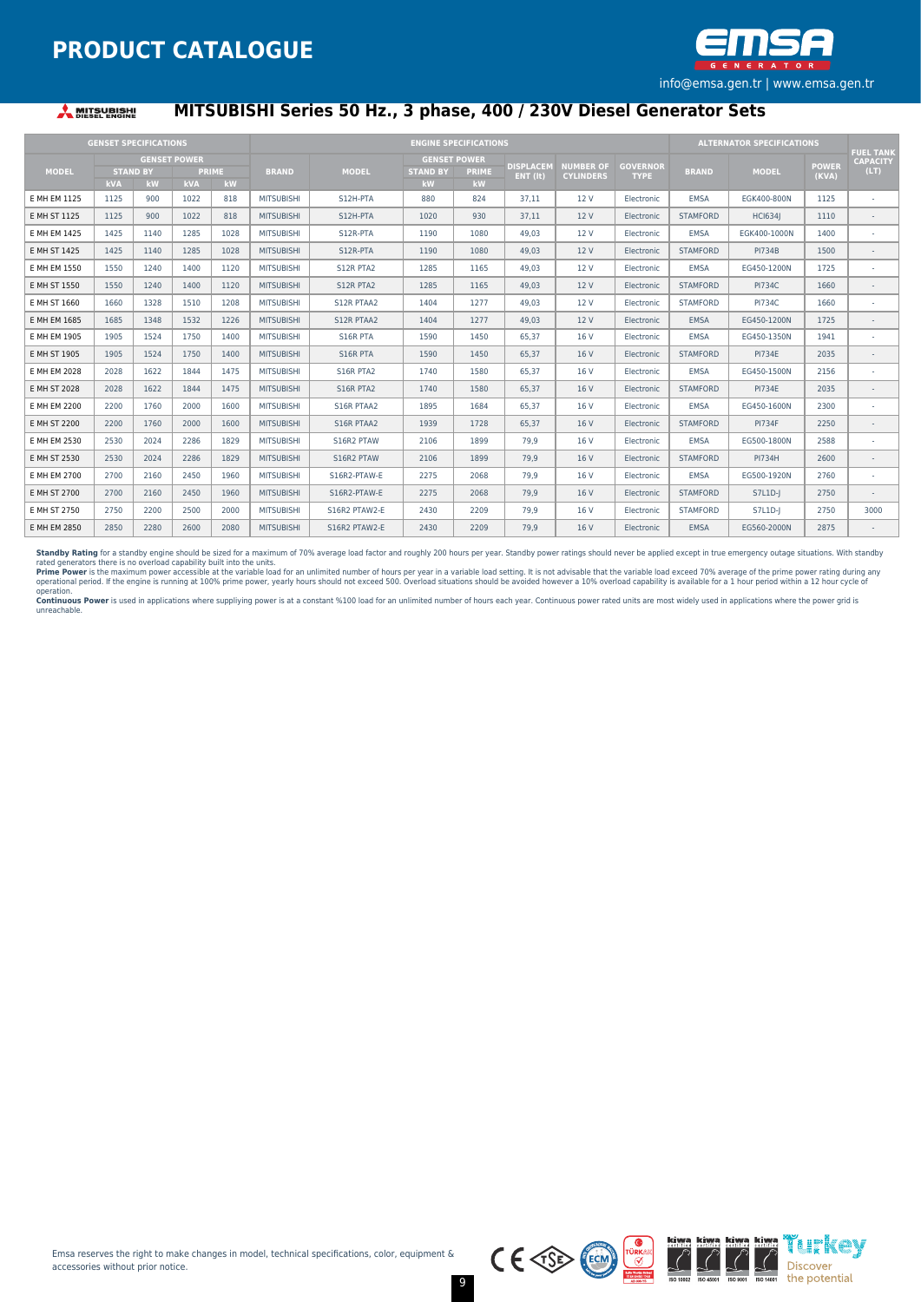

#### **A MITSUBISHI**

## **MITSUBISHI Series 50 Hz., 3 phase, 400 / 230V Diesel Generator Sets**

|              | <b>GENSET SPECIFICATIONS</b> |                       |                                   |                    |                   |               |                       | <b>ENGINE SPECIFICATIONS</b>              |                                        |                                      |                                |                 | <b>ALTERNATOR SPECIFICATIONS</b> |                       |                                             |
|--------------|------------------------------|-----------------------|-----------------------------------|--------------------|-------------------|---------------|-----------------------|-------------------------------------------|----------------------------------------|--------------------------------------|--------------------------------|-----------------|----------------------------------|-----------------------|---------------------------------------------|
| <b>MODEL</b> | <b>kVA</b>                   | <b>STAND BY</b><br>kW | <b>GENSET POWER</b><br><b>kVA</b> | <b>PRIME</b><br>kW | <b>BRAND</b>      | <b>MODEL</b>  | <b>STAND BY</b><br>kW | <b>GENSET POWER</b><br><b>PRIME</b><br>kW | <b>DISPLACEM</b><br>$ENT$ ( $\bf{t}$ ) | <b>NUMBER OF</b><br><b>CYLINDERS</b> | <b>GOVERNOR</b><br><b>TYPE</b> | <b>BRAND</b>    | <b>MODEL</b>                     | <b>POWER</b><br>(KVA) | <b>FUEL TANK</b><br><b>CAPACITY</b><br>(LT) |
| E MH EM 1125 | 1125                         | 900                   | 1022                              | 818                | <b>MITSUBISHI</b> | S12H-PTA      | 880                   | 824                                       | 37.11                                  | 12 V                                 | Electronic                     | EMSA            | EGK400-800N                      | 1125                  | $\sim$                                      |
| E MH ST 1125 | 1125                         | 900                   | 1022                              | 818                | <b>MITSUBISHI</b> | S12H-PTA      | 1020                  | 930                                       | 37,11                                  | 12 V                                 | Electronic                     | <b>STAMFORD</b> | <b>HCI634I</b>                   | 1110                  |                                             |
| E MH EM 1425 | 1425                         | 1140                  | 1285                              | 1028               | <b>MITSUBISHI</b> | S12R-PTA      | 1190                  | 1080                                      | 49.03                                  | 12 V                                 | Electronic                     | <b>EMSA</b>     | EGK400-1000N                     | 1400                  |                                             |
| E MH ST 1425 | 1425                         | 1140                  | 1285                              | 1028               | <b>MITSUBISHI</b> | S12R-PTA      | 1190                  | 1080                                      | 49.03                                  | 12 V                                 | Electronic                     | <b>STAMFORD</b> | <b>PI734B</b>                    | 1500                  |                                             |
| E MH EM 1550 | 1550                         | 1240                  | 1400                              | 1120               | <b>MITSUBISHI</b> | S12R PTA2     | 1285                  | 1165                                      | 49.03                                  | 12 V                                 | Electronic                     | EMSA            | EG450-1200N                      | 1725                  |                                             |
| E MH ST 1550 | 1550                         | 1240                  | 1400                              | 1120               | <b>MITSUBISHI</b> | S12R PTA2     | 1285                  | 1165                                      | 49,03                                  | 12 V                                 | Electronic                     | <b>STAMFORD</b> | <b>PI734C</b>                    | 1660                  | ٠                                           |
| E MH ST 1660 | 1660                         | 1328                  | 1510                              | 1208               | <b>MITSUBISHI</b> | S12R PTAA2    | 1404                  | 1277                                      | 49.03                                  | 12 V                                 | Electronic                     | <b>STAMFORD</b> | <b>PI734C</b>                    | 1660                  |                                             |
| E MH EM 1685 | 1685                         | 1348                  | 1532                              | 1226               | <b>MITSUBISHI</b> | S12R PTAA2    | 1404                  | 1277                                      | 49.03                                  | 12 V                                 | Electronic                     | <b>EMSA</b>     | EG450-1200N                      | 1725                  |                                             |
| E MH EM 1905 | 1905                         | 1524                  | 1750                              | 1400               | <b>MITSUBISHI</b> | S16R PTA      | 1590                  | 1450                                      | 65.37                                  | 16 V                                 | Electronic                     | <b>EMSA</b>     | EG450-1350N                      | 1941                  |                                             |
| E MH ST 1905 | 1905                         | 1524                  | 1750                              | 1400               | <b>MITSUBISHI</b> | S16R PTA      | 1590                  | 1450                                      | 65.37                                  | 16 V                                 | Electronic                     | <b>STAMFORD</b> | <b>PI734E</b>                    | 2035                  | $\sim$                                      |
| E MH EM 2028 | 2028                         | 1622                  | 1844                              | 1475               | <b>MITSUBISHI</b> | S16R PTA2     | 1740                  | 1580                                      | 65.37                                  | 16 V                                 | Electronic                     | EMSA            | EG450-1500N                      | 2156                  |                                             |
| E MH ST 2028 | 2028                         | 1622                  | 1844                              | 1475               | <b>MITSUBISHI</b> | S16R PTA2     | 1740                  | 1580                                      | 65,37                                  | 16 V                                 | Electronic                     | <b>STAMFORD</b> | <b>PI734E</b>                    | 2035                  |                                             |
| E MH EM 2200 | 2200                         | 1760                  | 2000                              | 1600               | <b>MITSUBISHI</b> | S16R PTAA2    | 1895                  | 1684                                      | 65,37                                  | 16 V                                 | Electronic                     | <b>EMSA</b>     | EG450-1600N                      | 2300                  |                                             |
| E MH ST 2200 | 2200                         | 1760                  | 2000                              | 1600               | <b>MITSUBISHI</b> | S16R PTAA2    | 1939                  | 1728                                      | 65,37                                  | 16 V                                 | Electronic                     | <b>STAMFORD</b> | <b>PI734F</b>                    | 2250                  |                                             |
| E MH EM 2530 | 2530                         | 2024                  | 2286                              | 1829               | <b>MITSUBISHI</b> | S16R2 PTAW    | 2106                  | 1899                                      | 79.9                                   | 16 V                                 | Electronic                     | EMSA            | EG500-1800N                      | 2588                  |                                             |
| E MH ST 2530 | 2530                         | 2024                  | 2286                              | 1829               | <b>MITSUBISHI</b> | S16R2 PTAW    | 2106                  | 1899                                      | 79.9                                   | 16 V                                 | Electronic                     | <b>STAMFORD</b> | <b>PI734H</b>                    | 2600                  | $\overline{\phantom{a}}$                    |
| E MH EM 2700 | 2700                         | 2160                  | 2450                              | 1960               | <b>MITSUBISHI</b> | S16R2-PTAW-E  | 2275                  | 2068                                      | 79.9                                   | 16 V                                 | Electronic                     | <b>EMSA</b>     | EG500-1920N                      | 2760                  |                                             |
| E MH ST 2700 | 2700                         | 2160                  | 2450                              | 1960               | <b>MITSUBISHI</b> | S16R2-PTAW-E  | 2275                  | 2068                                      | 79.9                                   | 16 V                                 | Electronic                     | <b>STAMFORD</b> | S7L1D-I                          | 2750                  |                                             |
| E MH ST 2750 | 2750                         | 2200                  | 2500                              | 2000               | <b>MITSUBISHI</b> | S16R2 PTAW2-E | 2430                  | 2209                                      | 79.9                                   | 16 V                                 | Electronic                     | <b>STAMFORD</b> | S7L1D-J                          | 2750                  | 3000                                        |
| E MH EM 2850 | 2850                         | 2280                  | 2600                              | 2080               | <b>MITSUBISHI</b> | S16R2 PTAW2-E | 2430                  | 2209                                      | 79.9                                   | 16 V                                 | Electronic                     | <b>EMSA</b>     | EG560-2000N                      | 2875                  |                                             |

**Standby Rating** for a standby engine should be sized for a maximum of 70% average load factor and roughly 200 hours per year. Standby power ratings should never be applied except in true emergency outage situations. With

unreachable.



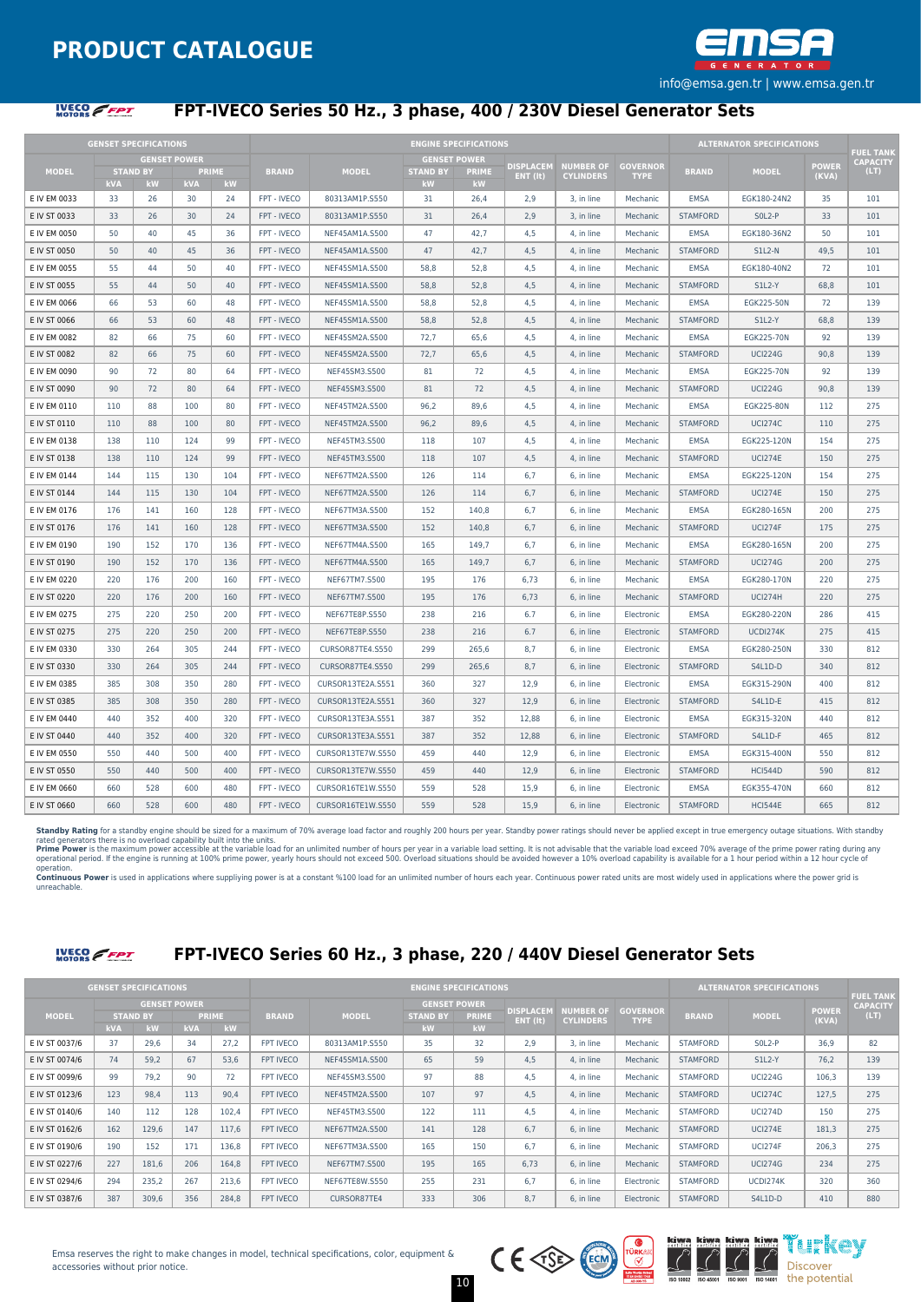



## **FPT-IVECO Series 50 Hz., 3 phase, 400 / 230V Diesel Generator Sets**

|              |     | <b>GENSET SPECIFICATIONS</b> |                     |                    |              |                   |                       | <b>ENGINE SPECIFICATIONS</b> |                  |                  |                 |                 | <b>ALTERNATOR SPECIFICATIONS</b> |              |                                     |
|--------------|-----|------------------------------|---------------------|--------------------|--------------|-------------------|-----------------------|------------------------------|------------------|------------------|-----------------|-----------------|----------------------------------|--------------|-------------------------------------|
|              |     |                              | <b>GENSET POWER</b> |                    |              |                   |                       | <b>GENSET POWER</b>          | <b>DISPLACEM</b> | <b>NUMBER OF</b> | <b>GOVERNOR</b> |                 |                                  | <b>POWER</b> | <b>FUEL TANK</b><br><b>CAPACITY</b> |
| <b>MODEL</b> | kVA | <b>STAND BY</b><br>kW        | kVA                 | <b>PRIME</b><br>kW | <b>BRAND</b> | <b>MODEL</b>      | <b>STAND BY</b><br>kW | <b>PRIME</b><br>kW           | ENT (It)         | <b>CYLINDERS</b> | <b>TYPE</b>     | <b>BRAND</b>    | <b>MODEL</b>                     | (KVA)        | (LT)                                |
| E IV EM 0033 | 33  | 26                           | 30                  | 24                 | FPT - IVECO  | 80313AM1P.S550    | 31                    | 26,4                         | 2.9              | 3, in line       | Mechanic        | <b>EMSA</b>     | EGK180-24N2                      | 35           | 101                                 |
| E IV ST 0033 | 33  | 26                           | 30                  | 24                 | FPT - IVECO  | 80313AM1P.S550    | 31                    | 26,4                         | 2,9              | 3, in line       | Mechanic        | <b>STAMFORD</b> | SOL2-P                           | 33           | 101                                 |
| E IV EM 0050 | 50  | 40                           | 45                  | 36                 | FPT - IVECO  | NEF45AM1A.S500    | 47                    | 42,7                         | 4,5              | 4, in line       | Mechanic        | <b>EMSA</b>     | EGK180-36N2                      | 50           | 101                                 |
| E IV ST 0050 | 50  | 40                           | 45                  | 36                 | FPT - IVECO  | NEF45AM1A.S500    | 47                    | 42,7                         | 4,5              | 4, in line       | Mechanic        | <b>STAMFORD</b> | <b>S1L2-N</b>                    | 49,5         | 101                                 |
| E IV EM 0055 | 55  | 44                           | 50                  | 40                 | FPT - IVECO  | NEF45SM1A.S500    | 58,8                  | 52,8                         | 4,5              | 4, in line       | Mechanic        | EMSA            | EGK180-40N2                      | 72           | 101                                 |
| E IV ST 0055 | 55  | 44                           | 50                  | 40                 | FPT - IVECO  | NEF45SM1A.S500    | 58,8                  | 52.8                         | 4,5              | 4. in line       | Mechanic        | <b>STAMFORD</b> | <b>S1L2-Y</b>                    | 68.8         | 101                                 |
| E IV EM 0066 | 66  | 53                           | 60                  | 48                 | FPT - IVECO  | NEF45SM1A.S500    | 58,8                  | 52,8                         | 4,5              | 4, in line       | Mechanic        | <b>EMSA</b>     | EGK225-50N                       | 72           | 139                                 |
| E IV ST 0066 | 66  | 53                           | 60                  | 48                 | FPT - IVECO  | NEF45SM1A.S500    | 58,8                  | 52,8                         | 4,5              | 4, in line       | Mechanic        | <b>STAMFORD</b> | <b>S1L2-Y</b>                    | 68,8         | 139                                 |
| E IV EM 0082 | 82  | 66                           | 75                  | 60                 | FPT - IVECO  | NEF45SM2A.S500    | 72,7                  | 65,6                         | 4,5              | 4, in line       | Mechanic        | <b>EMSA</b>     | EGK225-70N                       | 92           | 139                                 |
| E IV ST 0082 | 82  | 66                           | 75                  | 60                 | FPT - IVECO  | NEF45SM2A.S500    | 72,7                  | 65,6                         | 4,5              | 4, in line       | Mechanic        | <b>STAMFORD</b> | <b>UCI224G</b>                   | 90,8         | 139                                 |
| E IV EM 0090 | 90  | 72                           | 80                  | 64                 | FPT - IVECO  | NEF45SM3.S500     | 81                    | 72                           | 4,5              | 4, in line       | Mechanic        | <b>EMSA</b>     | EGK225-70N                       | 92           | 139                                 |
| E IV ST 0090 | 90  | 72                           | 80                  | 64                 | FPT - IVECO  | NEF45SM3.S500     | 81                    | 72                           | 4,5              | 4. in line       | Mechanic        | <b>STAMFORD</b> | <b>UCI224G</b>                   | 90.8         | 139                                 |
| E IV EM 0110 | 110 | 88                           | 100                 | 80                 | FPT - IVECO  | NEF45TM2A.S500    | 96,2                  | 89.6                         | 4.5              | 4, in line       | Mechanic        | <b>EMSA</b>     | EGK225-80N                       | 112          | 275                                 |
| E IV ST 0110 | 110 | 88                           | 100                 | 80                 | FPT - IVECO  | NEF45TM2A.S500    | 96.2                  | 89.6                         | 4,5              | 4. in line       | Mechanic        | <b>STAMFORD</b> | <b>UCI274C</b>                   | 110          | 275                                 |
| E IV EM 0138 | 138 | 110                          | 124                 | 99                 | FPT - IVECO  | NEF45TM3.S500     | 118                   | 107                          | 4,5              | 4, in line       | Mechanic        | <b>EMSA</b>     | EGK225-120N                      | 154          | 275                                 |
| E IV ST 0138 | 138 | 110                          | 124                 | 99                 | FPT - IVECO  | NEF45TM3.S500     | 118                   | 107                          | 4,5              | 4, in line       | Mechanic        | <b>STAMFORD</b> | <b>UCI274E</b>                   | 150          | 275                                 |
| E IV EM 0144 | 144 | 115                          | 130                 | 104                | FPT - IVECO  | NEF67TM2A.S500    | 126                   | 114                          | 6.7              | 6. in line       | Mechanic        | <b>EMSA</b>     | EGK225-120N                      | 154          | 275                                 |
| E IV ST 0144 | 144 | 115                          | 130                 | 104                | FPT - IVECO  | NEF67TM2A.S500    | 126                   | 114                          | 6,7              | 6, in line       | Mechanic        | <b>STAMFORD</b> | <b>UCI274E</b>                   | 150          | 275                                 |
| E IV EM 0176 | 176 | 141                          | 160                 | 128                | FPT - IVECO  | NEF67TM3A.S500    | 152                   | 140.8                        | 6,7              | 6, in line       | Mechanic        | <b>EMSA</b>     | EGK280-165N                      | 200          | 275                                 |
| E IV ST 0176 | 176 | 141                          | 160                 | 128                | FPT - IVECO  | NEF67TM3A.S500    | 152                   | 140,8                        | 6,7              | 6, in line       | Mechanic        | <b>STAMFORD</b> | <b>UCI274F</b>                   | 175          | 275                                 |
| E IV EM 0190 | 190 | 152                          | 170                 | 136                | FPT - IVECO  | NEF67TM4A.S500    | 165                   | 149,7                        | 6,7              | 6, in line       | Mechanic        | <b>EMSA</b>     | EGK280-165N                      | 200          | 275                                 |
| E IV ST 0190 | 190 | 152                          | 170                 | 136                | FPT - IVECO  | NEF67TM4A.S500    | 165                   | 149.7                        | 6.7              | 6. in line       | Mechanic        | <b>STAMFORD</b> | <b>UCI274G</b>                   | 200          | 275                                 |
| E IV EM 0220 | 220 | 176                          | 200                 | 160                | FPT - IVECO  | NEF67TM7.S500     | 195                   | 176                          | 6,73             | 6, in line       | Mechanic        | <b>EMSA</b>     | EGK280-170N                      | 220          | 275                                 |
| E IV ST 0220 | 220 | 176                          | 200                 | 160                | FPT - IVECO  | NEF67TM7.S500     | 195                   | 176                          | 6.73             | 6. in line       | Mechanic        | <b>STAMFORD</b> | <b>UCI274H</b>                   | 220          | 275                                 |
| E IV EM 0275 | 275 | 220                          | 250                 | 200                | FPT - IVECO  | NEF67TE8P.S550    | 238                   | 216                          | 6.7              | 6, in line       | Electronic      | <b>EMSA</b>     | EGK280-220N                      | 286          | 415                                 |
| E IV ST 0275 | 275 | 220                          | 250                 | 200                | FPT - IVECO  | NEF67TE8P.S550    | 238                   | 216                          | 6.7              | 6, in line       | Electronic      | <b>STAMFORD</b> | UCDI274K                         | 275          | 415                                 |
| E IV EM 0330 | 330 | 264                          | 305                 | 244                | FPT - IVECO  | CURSOR87TE4.S550  | 299                   | 265,6                        | 8,7              | 6, in line       | Electronic      | <b>EMSA</b>     | EGK280-250N                      | 330          | 812                                 |
| E IV ST 0330 | 330 | 264                          | 305                 | 244                | FPT - IVECO  | CURSOR87TE4.S550  | 299                   | 265,6                        | 8,7              | 6, in line       | Electronic      | <b>STAMFORD</b> | S4L1D-D                          | 340          | 812                                 |
| E IV EM 0385 | 385 | 308                          | 350                 | 280                | FPT - IVECO  | CURSOR13TE2A.S551 | 360                   | 327                          | 12,9             | 6, in line       | Electronic      | <b>EMSA</b>     | EGK315-290N                      | 400          | 812                                 |
| E IV ST 0385 | 385 | 308                          | 350                 | 280                | FPT - IVECO  | CURSOR13TE2A.S551 | 360                   | 327                          | 12,9             | 6, in line       | Electronic      | <b>STAMFORD</b> | S4L1D-E                          | 415          | 812                                 |
| E IV EM 0440 | 440 | 352                          | 400                 | 320                | FPT - IVECO  | CURSOR13TE3A.S551 | 387                   | 352                          | 12,88            | 6, in line       | Electronic      | <b>EMSA</b>     | EGK315-320N                      | 440          | 812                                 |
| E IV ST 0440 | 440 | 352                          | 400                 | 320                | FPT - IVECO  | CURSOR13TE3A.S551 | 387                   | 352                          | 12,88            | 6, in line       | Electronic      | <b>STAMFORD</b> | S4L1D-F                          | 465          | 812                                 |
| E IV EM 0550 | 550 | 440                          | 500                 | 400                | FPT - IVECO  | CURSOR13TE7W.S550 | 459                   | 440                          | 12.9             | 6. in line       | Electronic      | <b>EMSA</b>     | EGK315-400N                      | 550          | 812                                 |
| E IV ST 0550 | 550 | 440                          | 500                 | 400                | FPT - IVECO  | CURSOR13TE7W.S550 | 459                   | 440                          | 12.9             | 6, in line       | Electronic      | <b>STAMFORD</b> | <b>HCI544D</b>                   | 590          | 812                                 |
| E IV EM 0660 | 660 | 528                          | 600                 | 480                | FPT - IVECO  | CURSOR16TE1W.S550 | 559                   | 528                          | 15.9             | 6. in line       | Electronic      | <b>EMSA</b>     | EGK355-470N                      | 660          | 812                                 |
| E IV ST 0660 | 660 | 528                          | 600                 | 480                | FPT - IVECO  | CURSOR16TE1W.S550 | 559                   | 528                          | 15,9             | 6, in line       | Electronic      | <b>STAMFORD</b> | <b>HCI544E</b>                   | 665          | 812                                 |

Standby Rating for a standby engine should be sized for a maximum of 70% average load factor and roughly 200 hours per year. Standby power ratings should never be applied except in true emergency outage situations. With st rated generators there is no overload capability built into the units.<br>**Prime Power** is the maximum power accessible at the variable load for an unlimited number of hours per year in a variable load setting. It is not advi

Continuous Power is used in applications where suppliving power is at a constant %100 load for an unlimited number of hours each year. Continuous power rated units are most widely used in applications where the power grid unreachable.

**IVECO** FFPT

## **FPT-IVECO Series 60 Hz., 3 phase, 220 / 440V Diesel Generator Sets**

|                |                 | <b>GENSET SPECIFICATIONS</b> |            |              |                  |                |                                        | <b>ENGINE SPECIFICATIONS</b> |                              |                                      |                                |                 | <b>ALTERNATOR SPECIFICATIONS</b> |                       | <b>FUEL TANK</b>        |
|----------------|-----------------|------------------------------|------------|--------------|------------------|----------------|----------------------------------------|------------------------------|------------------------------|--------------------------------------|--------------------------------|-----------------|----------------------------------|-----------------------|-------------------------|
| <b>MODEL</b>   | <b>STAND BY</b> | <b>GENSET POWER</b>          |            | <b>PRIME</b> | <b>BRAND</b>     | <b>MODEL</b>   | <b>GENSET POWER</b><br><b>STAND BY</b> | <b>PRIME</b>                 | <b>DISPLACEM</b><br>ENT (It) | <b>NUMBER OF</b><br><b>CYLINDERS</b> | <b>GOVERNOR</b><br><b>TYPE</b> | <b>BRAND</b>    | <b>MODEL</b>                     | <b>POWER</b><br>(KVA) | <b>CAPACITY</b><br>(LT) |
|                | <b>kVA</b>      | kW                           | <b>kVA</b> | kW           |                  |                | kW                                     | kW                           |                              |                                      |                                |                 |                                  |                       |                         |
| E IV ST 0037/6 | 37              | 29,6                         | 34         | 27,2         | <b>FPT IVECO</b> | 80313AM1P.S550 | 35                                     | 32                           | 2,9                          | 3. in line                           | Mechanic                       | <b>STAMFORD</b> | $SOL2-P$                         | 36.9                  | 82                      |
| E IV ST 0074/6 | 74              | 59.2                         | 67         | 53.6         | <b>FPT IVECO</b> | NEF45SM1A.S500 | 65                                     | 59                           | 4,5                          | 4. in line                           | Mechanic                       | <b>STAMFORD</b> | <b>S1L2-Y</b>                    | 76.2                  | 139                     |
| E IV ST 0099/6 | 99              | 79.2                         | 90         | 72           | <b>FPT IVECO</b> | NEF45SM3.S500  | 97                                     | 88                           | 4.5                          | 4. in line                           | Mechanic                       | <b>STAMFORD</b> | <b>UCI224G</b>                   | 106,3                 | 139                     |
| E IV ST 0123/6 | 123             | 98.4                         | 113        | 90,4         | <b>FPT IVECO</b> | NEF45TM2A.S500 | 107                                    | 97                           | 4,5                          | 4. in line                           | Mechanic                       | <b>STAMFORD</b> | <b>UCI274C</b>                   | 127,5                 | 275                     |
| E IV ST 0140/6 | 140             | 112                          | 128        | 102,4        | <b>FPT IVECO</b> | NEF45TM3.S500  | 122                                    | 111                          | 4.5                          | 4. in line                           | Mechanic                       | <b>STAMFORD</b> | <b>UCI274D</b>                   | 150                   | 275                     |
| E IV ST 0162/6 | 162             | 129.6                        | 147        | 117,6        | <b>FPT IVECO</b> | NEF67TM2A.S500 | 141                                    | 128                          | 6.7                          | 6. in line                           | Mechanic                       | <b>STAMFORD</b> | <b>UCI274E</b>                   | 181.3                 | 275                     |
| E IV ST 0190/6 | 190             | 152                          | 171        | 136,8        | <b>FPT IVECO</b> | NEF67TM3A.S500 | 165                                    | 150                          | 6.7                          | 6. in line                           | Mechanic                       | <b>STAMFORD</b> | <b>UCI274F</b>                   | 206.3                 | 275                     |
| E IV ST 0227/6 | 227             | 181,6                        | 206        | 164,8        | <b>FPT IVECO</b> | NEF67TM7.S500  | 195                                    | 165                          | 6.73                         | 6, in line                           | Mechanic                       | <b>STAMFORD</b> | <b>UCI274G</b>                   | 234                   | 275                     |
| E IV ST 0294/6 | 294             | 235,2                        | 267        | 213,6        | <b>FPT IVECO</b> | NEF67TE8W.S550 | 255                                    | 231                          | 6.7                          | 6, in line                           | Electronic                     | <b>STAMFORD</b> | UCDI274K                         | 320                   | 360                     |
| E IV ST 0387/6 | 387             | 309,6                        | 356        | 284,8        | <b>FPT IVECO</b> | CURSOR87TE4    | 333                                    | 306                          | 8.7                          | 6, in line                           | Electronic                     | <b>STAMFORD</b> | S4L1D-D                          | 410                   | 880                     |





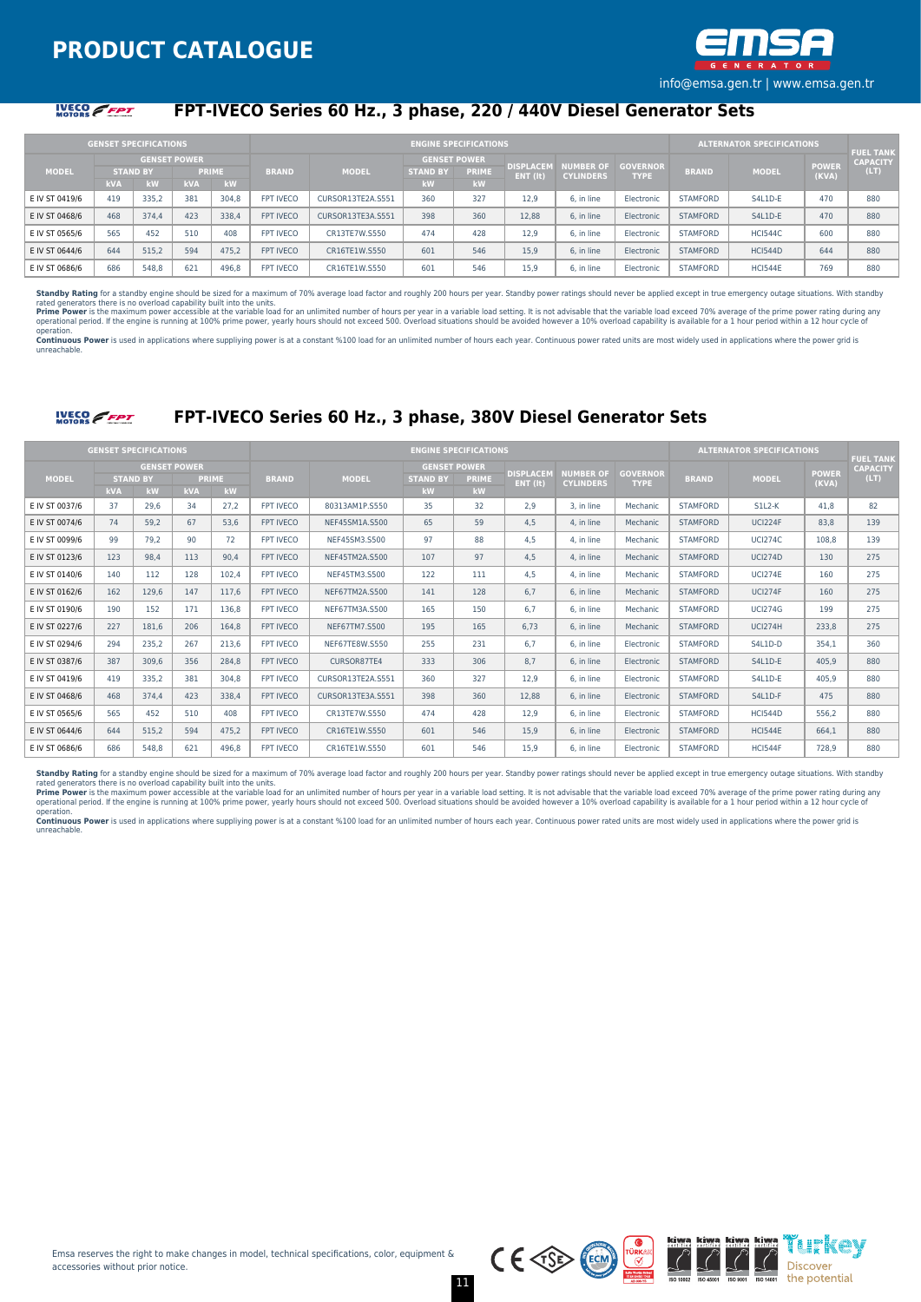

#### **IVECO** FFPT

## **FPT-IVECO Series 60 Hz., 3 phase, 220 / 440V Diesel Generator Sets**

|                |                 | <b>GENSET SPECIFICATIONS</b> |                     |              |                  |                   |                 | <b>ENGINE SPECIFICATIONS</b> |                              |                                      |                                |                 | <b>ALTERNATOR SPECIFICATIONS</b> |                       | <b>FUEL TANK</b> |
|----------------|-----------------|------------------------------|---------------------|--------------|------------------|-------------------|-----------------|------------------------------|------------------------------|--------------------------------------|--------------------------------|-----------------|----------------------------------|-----------------------|------------------|
|                |                 |                              | <b>GENSET POWER</b> |              |                  |                   |                 | <b>GENSET POWER</b>          |                              |                                      |                                |                 |                                  |                       | <b>CAPACITY</b>  |
| <b>MODEL</b>   | <b>STAND BY</b> |                              |                     | <b>PRIME</b> | <b>BRAND</b>     | <b>MODEL</b>      | <b>STAND BY</b> | PRIME                        | <b>DISPLACEM</b><br>ENT (it) | <b>NUMBER OF</b><br><b>CYLINDERS</b> | <b>GOVERNOR</b><br><b>TYPE</b> | <b>BRAND</b>    | <b>MODEL</b>                     | <b>POWER</b><br>(KVA) | (LT)             |
|                | <b>kVA</b>      | kW                           | <b>kVA</b>          | kW           |                  |                   | kW              | kW                           |                              |                                      |                                |                 |                                  |                       |                  |
| E IV ST 0419/6 | 419             | 335,2                        | 381                 | 304.8        | FPT IVECO        | CURSOR13TE2A.S551 | 360             | 327                          | 12.9                         | 6. in line                           | Electronic                     | <b>STAMFORD</b> | S4L1D-E                          | 470                   | 880              |
| E IV ST 0468/6 | 468             | 374.4                        | 423                 | 338.4        | <b>FPT IVECO</b> | CURSOR13TE3A.S551 | 398             | 360                          | 12.88                        | 6. in line                           | Electronic                     | <b>STAMFORD</b> | S4L1D-E                          | 470                   | 880              |
| E IV ST 0565/6 | 565             | 452                          | 510                 | 408          | <b>FPT IVECO</b> | CR13TE7W.S550     | 474             | 428                          | 12.9                         | 6. in line                           | Electronic                     | <b>STAMFORD</b> | <b>HCI544C</b>                   | 600                   | 880              |
| E IV ST 0644/6 | 644             | 515.2                        | 594                 | 475.2        | <b>FPT IVECO</b> | CR16TE1W.S550     | 601             | 546                          | 15.9                         | 6. in line                           | Electronic                     | <b>STAMFORD</b> | <b>HCI544D</b>                   | 644                   | 880              |
| E IV ST 0686/6 | 686             | 548.8                        | 621                 | 496.8        | <b>FPT IVECO</b> | CR16TE1W.S550     | 601             | 546                          | 15.9                         | 6. in line                           | Electronic                     | <b>STAMFORD</b> | <b>HCI544E</b>                   | 769                   | 880              |

Standby Rating for a standby engine should be sized for a maximum of 70% average load factor and roughly 200 hours per year. Standby power ratings should never be applied except in true emergency outage situations. With st

rated generators there is no overload capability built into the units.<br>Prime Power is the maximum power accessible at the variable bad for an unlimited number of hours per year in a variable load setting. It is not advisab operation.

Continuous Power is used in applications where suppliving power is at a constant %100 load for an unlimited number of hours each year. Continuous power rated units are most widely used in applications where the power grid unreachable.



## **FPT-IVECO Series 60 Hz., 3 phase, 380V Diesel Generator Sets**

|                | <b>GENSET SPECIFICATIONS</b> |                                              |            |                    |                  |                   |                                              | <b>ENGINE SPECIFICATIONS</b> |                              |                                      |                                |                 | <b>ALTERNATOR SPECIFICATIONS</b> |                       | <b>FUEL TANK</b>        |
|----------------|------------------------------|----------------------------------------------|------------|--------------------|------------------|-------------------|----------------------------------------------|------------------------------|------------------------------|--------------------------------------|--------------------------------|-----------------|----------------------------------|-----------------------|-------------------------|
| <b>MODEL</b>   | kVA                          | <b>GENSET POWER</b><br><b>STAND BY</b><br>kW | <b>kVA</b> | <b>PRIME</b><br>kW | <b>BRAND</b>     | <b>MODEL</b>      | <b>GENSET POWER</b><br><b>STAND BY</b><br>kW | <b>PRIME</b><br>kW           | <b>DISPLACEM</b><br>ENT (It) | <b>NUMBER OF</b><br><b>CYLINDERS</b> | <b>GOVERNOR</b><br><b>TYPE</b> | <b>BRAND</b>    | <b>MODEL</b>                     | <b>POWER</b><br>(KVA) | <b>CAPACITY</b><br>(LT) |
| E IV ST 0037/6 | 37                           | 29.6                                         | 34         | 27.2               | <b>FPT IVECO</b> | 80313AM1P.S550    | 35                                           | 32                           | 2.9                          | 3. in line                           | Mechanic                       | <b>STAMFORD</b> | $S1L2-K$                         | 41.8                  | 82                      |
| E IV ST 0074/6 | 74                           | 59.2                                         | 67         | 53,6               | <b>FPT IVECO</b> | NEF45SM1A.S500    | 65                                           | 59                           | 4.5                          | 4. in line                           | Mechanic                       | <b>STAMFORD</b> | <b>UCI224F</b>                   | 83.8                  | 139                     |
| E IV ST 0099/6 | 99                           | 79.2                                         | 90         | 72                 | <b>FPT IVECO</b> | NEF45SM3.S500     | 97                                           | 88                           | 4.5                          | 4. in line                           | Mechanic                       | <b>STAMFORD</b> | <b>UCI274C</b>                   | 108.8                 | 139                     |
| E IV ST 0123/6 | 123                          | 98.4                                         | 113        | 90,4               | <b>FPT IVECO</b> | NEF45TM2A.S500    | 107                                          | 97                           | 4.5                          | 4. in line                           | Mechanic                       | <b>STAMFORD</b> | <b>UCI274D</b>                   | 130                   | 275                     |
| E IV ST 0140/6 | 140                          | 112                                          | 128        | 102,4              | <b>FPT IVECO</b> | NEF45TM3.S500     | 122                                          | 111                          | 4.5                          | 4. in line                           | Mechanic                       | <b>STAMFORD</b> | <b>UCI274E</b>                   | 160                   | 275                     |
| E IV ST 0162/6 | 162                          | 129.6                                        | 147        | 117,6              | <b>FPT IVECO</b> | NEF67TM2A.S500    | 141                                          | 128                          | 6,7                          | 6. in line                           | Mechanic                       | <b>STAMFORD</b> | <b>UCI274F</b>                   | 160                   | 275                     |
| E IV ST 0190/6 | 190                          | 152                                          | 171        | 136,8              | FPT IVECO        | NEF67TM3A.S500    | 165                                          | 150                          | 6.7                          | 6. in line                           | Mechanic                       | <b>STAMFORD</b> | <b>UCI274G</b>                   | 199                   | 275                     |
| E IV ST 0227/6 | 227                          | 181.6                                        | 206        | 164,8              | <b>FPT IVECO</b> | NEF67TM7.S500     | 195                                          | 165                          | 6.73                         | 6. in line                           | Mechanic                       | <b>STAMFORD</b> | <b>UCI274H</b>                   | 233.8                 | 275                     |
| E IV ST 0294/6 | 294                          | 235.2                                        | 267        | 213,6              | FPT IVECO        | NEF67TE8W.S550    | 255                                          | 231                          | 6.7                          | 6. in line                           | Electronic                     | <b>STAMFORD</b> | S4L1D-D                          | 354.1                 | 360                     |
| E IV ST 0387/6 | 387                          | 309.6                                        | 356        | 284,8              | <b>FPT IVECO</b> | CURSOR87TE4       | 333                                          | 306                          | 8.7                          | 6. in line                           | Electronic                     | <b>STAMFORD</b> | S4L1D-E                          | 405.9                 | 880                     |
| E IV ST 0419/6 | 419                          | 335,2                                        | 381        | 304,8              | <b>FPT IVECO</b> | CURSOR13TE2A.S551 | 360                                          | 327                          | 12.9                         | 6. in line                           | Electronic                     | <b>STAMFORD</b> | S4L1D-E                          | 405.9                 | 880                     |
| E IV ST 0468/6 | 468                          | 374.4                                        | 423        | 338,4              | <b>FPT IVECO</b> | CURSOR13TE3A.S551 | 398                                          | 360                          | 12.88                        | 6. in line                           | Electronic                     | <b>STAMFORD</b> | S4L1D-F                          | 475                   | 880                     |
| E IV ST 0565/6 | 565                          | 452                                          | 510        | 408                | <b>FPT IVECO</b> | CR13TE7W.S550     | 474                                          | 428                          | 12,9                         | 6. in line                           | Electronic                     | <b>STAMFORD</b> | <b>HCI544D</b>                   | 556.2                 | 880                     |
| E IV ST 0644/6 | 644                          | 515.2                                        | 594        | 475.2              | <b>FPT IVECO</b> | CR16TE1W.S550     | 601                                          | 546                          | 15.9                         | 6. in line                           | Electronic                     | <b>STAMFORD</b> | <b>HCI544E</b>                   | 664.1                 | 880                     |
| E IV ST 0686/6 | 686                          | 548.8                                        | 621        | 496.8              | <b>FPT IVECO</b> | CR16TE1W.S550     | 601                                          | 546                          | 15.9                         | 6. in line                           | Electronic                     | <b>STAMFORD</b> | <b>HCI544F</b>                   | 728.9                 | 880                     |

**Standby Rating** for a standby engine should be sized for a maximum of 70% average load factor and roughly 200 hours per year. Standby power ratings should never be applied except in true emergency outage situations. With

Continuous Power is used in applications where suppliying power is at a constant %100 load for an unlimited number of hours each year. Continuous power rated units are most widely used in applications where the power grid unreachable.

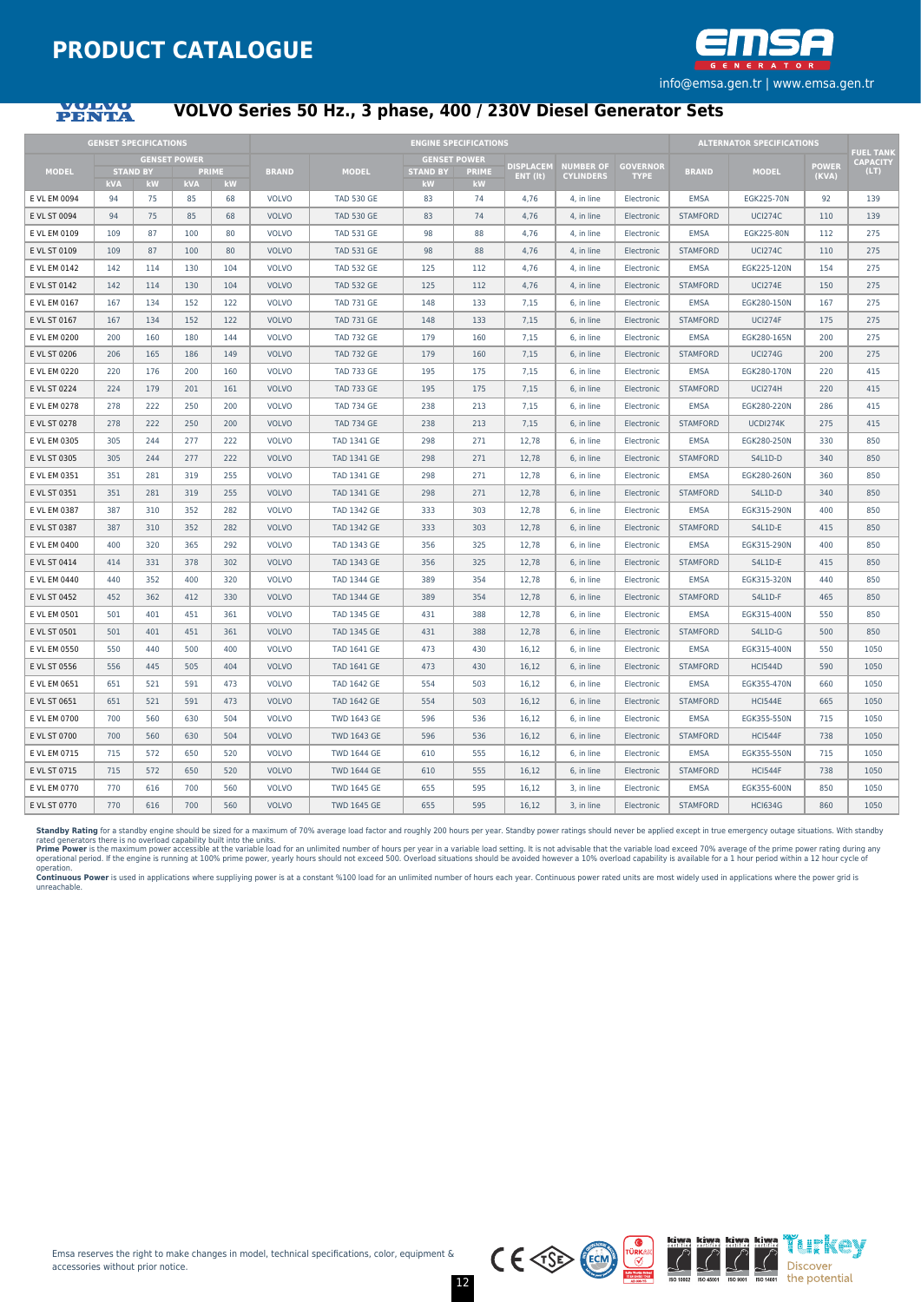

## **PENTA**

## **VOLVO Series 50 Hz., 3 phase, 400 / 230V Diesel Generator Sets**

|              | <b>GENSET SPECIFICATIONS</b> |                       |                     |                    |              |                    |                       | <b>ENGINE SPECIFICATIONS</b> |                  |                  |                                |                 | <b>ALTERNATOR SPECIFICATIONS</b> |              | <b>FUEL TANK</b> |
|--------------|------------------------------|-----------------------|---------------------|--------------------|--------------|--------------------|-----------------------|------------------------------|------------------|------------------|--------------------------------|-----------------|----------------------------------|--------------|------------------|
|              |                              |                       | <b>GENSET POWER</b> |                    |              |                    |                       | <b>GENSET POWER</b>          | <b>DISPLACEM</b> | <b>NUMBER OF</b> |                                |                 |                                  | <b>POWER</b> | <b>CAPACITY</b>  |
| <b>MODEL</b> | <b>kVA</b>                   | <b>STAND BY</b><br>kW | <b>kVA</b>          | <b>PRIME</b><br>kW | <b>BRAND</b> | <b>MODEL</b>       | <b>STAND BY</b><br>kW | <b>PRIME</b><br><b>kW</b>    | ENT (It)         | <b>CYLINDERS</b> | <b>GOVERNOR</b><br><b>TYPE</b> | <b>BRAND</b>    | <b>MODEL</b>                     | (KVA)        | (LT)             |
| E VL EM 0094 | 94                           | 75                    | 85                  | 68                 | <b>VOLVO</b> | <b>TAD 530 GE</b>  | 83                    | 74                           | 4,76             | 4, in line       | Electronic                     | <b>EMSA</b>     | EGK225-70N                       | 92           | 139              |
| E VL ST 0094 | 94                           | 75                    | 85                  | 68                 | <b>VOLVO</b> | <b>TAD 530 GE</b>  | 83                    | 74                           | 4.76             | 4. in line       | Electronic                     | <b>STAMFORD</b> | <b>UCI274C</b>                   | 110          | 139              |
| E VL EM 0109 | 109                          | 87                    | 100                 | 80                 | <b>VOLVO</b> | <b>TAD 531 GE</b>  | 98                    | 88                           | 4,76             | 4, in line       | Electronic                     | <b>EMSA</b>     | EGK225-80N                       | 112          | 275              |
| E VL ST 0109 | 109                          | 87                    | 100                 | 80                 | <b>VOLVO</b> | <b>TAD 531 GE</b>  | 98                    | 88                           | 4,76             | 4, in line       | Electronic                     | <b>STAMFORD</b> | <b>UCI274C</b>                   | 110          | 275              |
| E VL EM 0142 | 142                          | 114                   | 130                 | 104                | <b>VOLVO</b> | <b>TAD 532 GE</b>  | 125                   | 112                          | 4.76             | 4, in line       | Electronic                     | <b>EMSA</b>     | EGK225-120N                      | 154          | 275              |
| E VL ST 0142 | 142                          | 114                   | 130                 | 104                | <b>VOLVO</b> | <b>TAD 532 GE</b>  | 125                   | 112                          | 4,76             | 4. in line       | Electronic                     | <b>STAMFORD</b> | <b>UCI274E</b>                   | 150          | 275              |
| E VL EM 0167 | 167                          | 134                   | 152                 | 122                | <b>VOLVO</b> | <b>TAD 731 GE</b>  | 148                   | 133                          | 7,15             | 6, in line       | Electronic                     | <b>EMSA</b>     | EGK280-150N                      | 167          | 275              |
| E VL ST 0167 | 167                          | 134                   | 152                 | 122                | <b>VOLVO</b> | <b>TAD 731 GE</b>  | 148                   | 133                          | 7,15             | 6, in line       | Electronic                     | <b>STAMFORD</b> | <b>UCI274F</b>                   | 175          | 275              |
| E VL EM 0200 | 200                          | 160                   | 180                 | 144                | <b>VOLVO</b> | <b>TAD 732 GE</b>  | 179                   | 160                          | 7,15             | 6, in line       | Electronic                     | <b>EMSA</b>     | EGK280-165N                      | 200          | 275              |
| E VL ST 0206 | 206                          | 165                   | 186                 | 149                | <b>VOLVO</b> | <b>TAD 732 GE</b>  | 179                   | 160                          | 7,15             | 6, in line       | Electronic                     | <b>STAMFORD</b> | <b>UCI274G</b>                   | 200          | 275              |
| E VL EM 0220 | 220                          | 176                   | 200                 | 160                | <b>VOLVO</b> | <b>TAD 733 GE</b>  | 195                   | 175                          | 7,15             | 6. in line       | Electronic                     | <b>EMSA</b>     | EGK280-170N                      | 220          | 415              |
| E VL ST 0224 | 224                          | 179                   | 201                 | 161                | <b>VOLVO</b> | <b>TAD 733 GE</b>  | 195                   | 175                          | 7,15             | 6, in line       | Electronic                     | <b>STAMFORD</b> | <b>UCI274H</b>                   | 220          | 415              |
| E VL EM 0278 | 278                          | 222                   | 250                 | 200                | <b>VOLVO</b> | <b>TAD 734 GE</b>  | 238                   | 213                          | 7.15             | 6. in line       | Electronic                     | <b>EMSA</b>     | EGK280-220N                      | 286          | 415              |
| E VL ST 0278 | 278                          | 222                   | 250                 | 200                | <b>VOLVO</b> | <b>TAD 734 GE</b>  | 238                   | 213                          | 7,15             | 6, in line       | Electronic                     | <b>STAMFORD</b> | UCDI274K                         | 275          | 415              |
| E VL EM 0305 | 305                          | 244                   | 277                 | 222                | <b>VOLVO</b> | <b>TAD 1341 GE</b> | 298                   | 271                          | 12,78            | 6, in line       | Electronic                     | <b>EMSA</b>     | EGK280-250N                      | 330          | 850              |
| E VL ST 0305 | 305                          | 244                   | 277                 | 222                | <b>VOLVO</b> | <b>TAD 1341 GE</b> | 298                   | 271                          | 12,78            | 6, in line       | Electronic                     | <b>STAMFORD</b> | S4L1D-D                          | 340          | 850              |
| E VL EM 0351 | 351                          | 281                   | 319                 | 255                | <b>VOLVO</b> | <b>TAD 1341 GE</b> | 298                   | 271                          | 12,78            | 6, in line       | Electronic                     | <b>EMSA</b>     | EGK280-260N                      | 360          | 850              |
| E VL ST 0351 | 351                          | 281                   | 319                 | 255                | <b>VOLVO</b> | <b>TAD 1341 GE</b> | 298                   | 271                          | 12.78            | 6. in line       | Electronic                     | <b>STAMFORD</b> | S4L1D-D                          | 340          | 850              |
| E VL EM 0387 | 387                          | 310                   | 352                 | 282                | <b>VOLVO</b> | <b>TAD 1342 GE</b> | 333                   | 303                          | 12,78            | 6, in line       | Electronic                     | <b>EMSA</b>     | EGK315-290N                      | 400          | 850              |
| E VL ST 0387 | 387                          | 310                   | 352                 | 282                | <b>VOLVO</b> | <b>TAD 1342 GE</b> | 333                   | 303                          | 12,78            | 6, in line       | Electronic                     | <b>STAMFORD</b> | S4L1D-E                          | 415          | 850              |
| E VL EM 0400 | 400                          | 320                   | 365                 | 292                | <b>VOLVO</b> | <b>TAD 1343 GE</b> | 356                   | 325                          | 12,78            | 6, in line       | Electronic                     | <b>EMSA</b>     | EGK315-290N                      | 400          | 850              |
| E VL ST 0414 | 414                          | 331                   | 378                 | 302                | <b>VOLVO</b> | <b>TAD 1343 GE</b> | 356                   | 325                          | 12,78            | 6, in line       | Electronic                     | <b>STAMFORD</b> | S4L1D-E                          | 415          | 850              |
| E VL EM 0440 | 440                          | 352                   | 400                 | 320                | <b>VOLVO</b> | <b>TAD 1344 GE</b> | 389                   | 354                          | 12,78            | 6, in line       | Electronic                     | <b>EMSA</b>     | EGK315-320N                      | 440          | 850              |
| E VL ST 0452 | 452                          | 362                   | 412                 | 330                | <b>VOLVO</b> | <b>TAD 1344 GE</b> | 389                   | 354                          | 12.78            | 6, in line       | Electronic                     | <b>STAMFORD</b> | S4L1D-F                          | 465          | 850              |
| E VL EM 0501 | 501                          | 401                   | 451                 | 361                | <b>VOLVO</b> | <b>TAD 1345 GE</b> | 431                   | 388                          | 12,78            | 6, in line       | Electronic                     | <b>EMSA</b>     | EGK315-400N                      | 550          | 850              |
| E VL ST 0501 | 501                          | 401                   | 451                 | 361                | <b>VOLVO</b> | <b>TAD 1345 GE</b> | 431                   | 388                          | 12,78            | 6, in line       | Electronic                     | <b>STAMFORD</b> | S4L1D-G                          | 500          | 850              |
| E VL EM 0550 | 550                          | 440                   | 500                 | 400                | <b>VOLVO</b> | <b>TAD 1641 GE</b> | 473                   | 430                          | 16.12            | 6. in line       | Electronic                     | <b>EMSA</b>     | EGK315-400N                      | 550          | 1050             |
| E VL ST 0556 | 556                          | 445                   | 505                 | 404                | <b>VOLVO</b> | <b>TAD 1641 GE</b> | 473                   | 430                          | 16,12            | 6, in line       | Electronic                     | <b>STAMFORD</b> | <b>HCI544D</b>                   | 590          | 1050             |
| E VL EM 0651 | 651                          | 521                   | 591                 | 473                | <b>VOLVO</b> | <b>TAD 1642 GE</b> | 554                   | 503                          | 16,12            | 6, in line       | Electronic                     | <b>EMSA</b>     | EGK355-470N                      | 660          | 1050             |
| E VL ST 0651 | 651                          | 521                   | 591                 | 473                | <b>VOLVO</b> | <b>TAD 1642 GE</b> | 554                   | 503                          | 16,12            | 6, in line       | Electronic                     | <b>STAMFORD</b> | <b>HCI544E</b>                   | 665          | 1050             |
| E VL EM 0700 | 700                          | 560                   | 630                 | 504                | <b>VOLVO</b> | <b>TWD 1643 GE</b> | 596                   | 536                          | 16,12            | 6, in line       | Electronic                     | <b>EMSA</b>     | EGK355-550N                      | 715          | 1050             |
| E VL ST 0700 | 700                          | 560                   | 630                 | 504                | <b>VOLVO</b> | <b>TWD 1643 GE</b> | 596                   | 536                          | 16.12            | 6. in line       | Electronic                     | <b>STAMFORD</b> | <b>HCI544F</b>                   | 738          | 1050             |
| E VL EM 0715 | 715                          | 572                   | 650                 | 520                | <b>VOLVO</b> | <b>TWD 1644 GE</b> | 610                   | 555                          | 16,12            | 6, in line       | Electronic                     | <b>EMSA</b>     | EGK355-550N                      | 715          | 1050             |
| E VL ST 0715 | 715                          | 572                   | 650                 | 520                | <b>VOLVO</b> | <b>TWD 1644 GE</b> | 610                   | 555                          | 16.12            | 6. in line       | Electronic                     | <b>STAMFORD</b> | <b>HCI544F</b>                   | 738          | 1050             |
| E VL EM 0770 | 770                          | 616                   | 700                 | 560                | <b>VOLVO</b> | <b>TWD 1645 GE</b> | 655                   | 595                          | 16,12            | 3, in line       | Electronic                     | <b>EMSA</b>     | EGK355-600N                      | 850          | 1050             |
| E VL ST 0770 | 770                          | 616                   | 700                 | 560                | <b>VOLVO</b> | <b>TWD 1645 GE</b> | 655                   | 595                          | 16.12            | 3, in line       | Electronic                     | <b>STAMFORD</b> | <b>HCI634G</b>                   | 860          | 1050             |

**Standby Rating** for a standby engine should be sized for a maximum of 70% average load factor and roughly 200 hours per year. Standby power ratings should never be applied except in true emergency outage situations. With

Continuous Power is used in applications where suppliying power is at a constant %100 load for an unlimited number of hours each year. Continuous power rated units are most widely used in applications where the power grid unreachable.

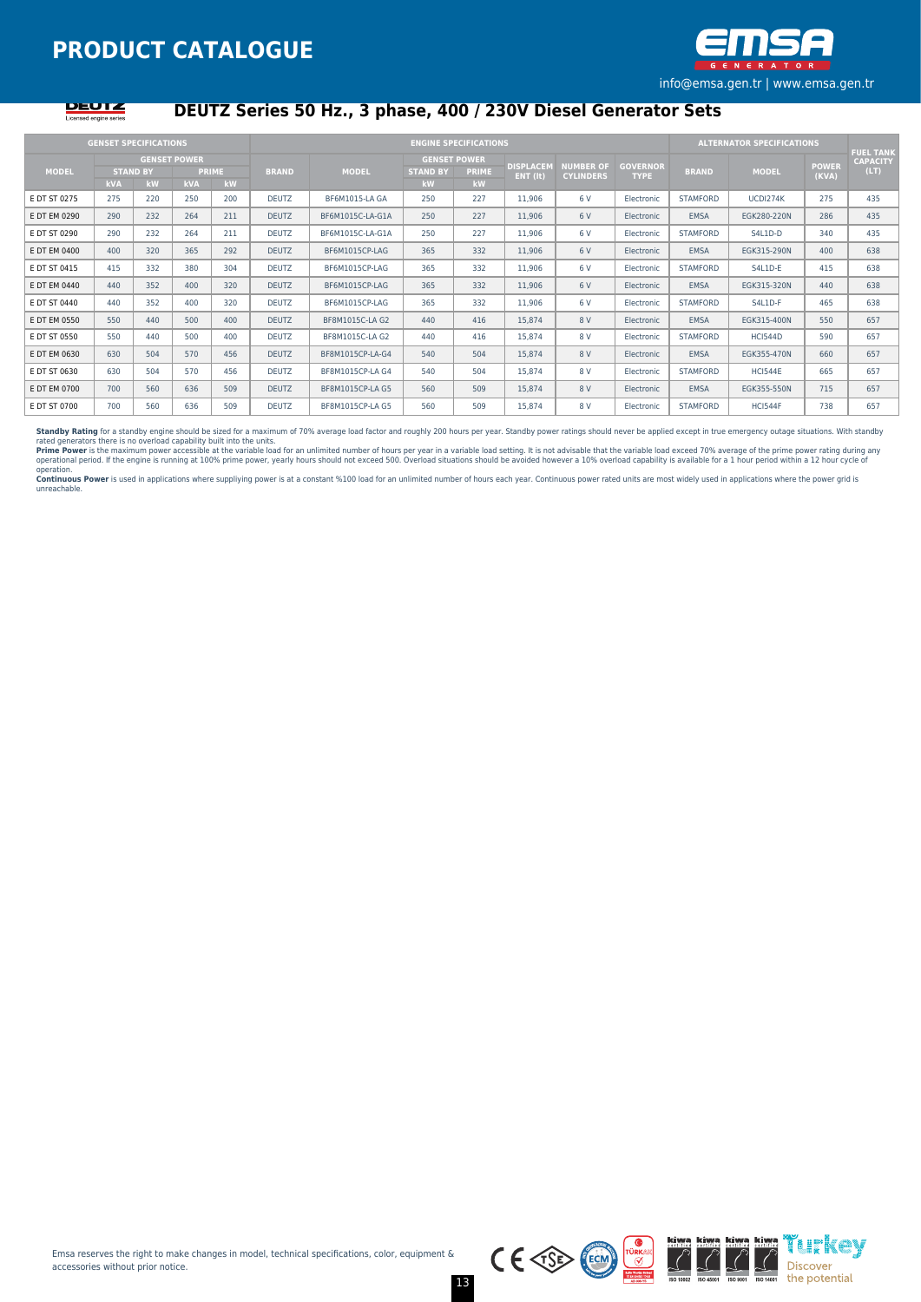



## **DEUTZ Series 50 Hz., 3 phase, 400 / 230V Diesel Generator Sets**

|              | <b>GENSET SPECIFICATIONS</b>  |                           |            |                    |              |                  |                                                     | <b>ENGINE SPECIFICATIONS</b> |                              |                                      |                                |                 | <b>ALTERNATOR SPECIFICATIONS</b> |                       |                                             |
|--------------|-------------------------------|---------------------------|------------|--------------------|--------------|------------------|-----------------------------------------------------|------------------------------|------------------------------|--------------------------------------|--------------------------------|-----------------|----------------------------------|-----------------------|---------------------------------------------|
| <b>MODEL</b> | <b>STAND BY</b><br><b>kVA</b> | <b>GENSET POWER</b><br>kW | <b>kVA</b> | <b>PRIME</b><br>kW | <b>BRAND</b> | <b>MODEL</b>     | <b>GENSET POWER</b><br><b>STAND BY</b><br><b>kW</b> | <b>PRIME</b><br>kW           | <b>DISPLACEM</b><br>ENT (It) | <b>NUMBER OF</b><br><b>CYLINDERS</b> | <b>GOVERNOR</b><br><b>TYPE</b> | <b>BRAND</b>    | <b>MODEL</b>                     | <b>POWER</b><br>(KVA) | <b>FUEL TANK</b><br><b>CAPACITY</b><br>(LT) |
| E DT ST 0275 | 275                           | 220                       | 250        | 200                | <b>DEUTZ</b> | BF6M1015-LA GA   | 250                                                 | 227                          | 11,906                       | 6 V                                  | Electronic                     | <b>STAMFORD</b> | UCDI274K                         | 275                   | 435                                         |
| E DT EM 0290 | 290                           | 232                       | 264        | 211                | <b>DEUTZ</b> | BF6M1015C-LA-G1A | 250                                                 | 227                          | 11,906                       | 6 V                                  | Electronic                     | EMSA            | EGK280-220N                      | 286                   | 435                                         |
| E DT ST 0290 | 290                           | 232                       | 264        | 211                | <b>DEUTZ</b> | BF6M1015C-LA-G1A | 250                                                 | 227                          | 11,906                       | 6 V                                  | Electronic                     | <b>STAMFORD</b> | S4L1D-D                          | 340                   | 435                                         |
| E DT EM 0400 | 400                           | 320                       | 365        | 292                | <b>DEUTZ</b> | BF6M1015CP-LAG   | 365                                                 | 332                          | 11,906                       | 6 V                                  | Electronic                     | <b>EMSA</b>     | EGK315-290N                      | 400                   | 638                                         |
| E DT ST 0415 | 415                           | 332                       | 380        | 304                | <b>DEUTZ</b> | BF6M1015CP-LAG   | 365                                                 | 332                          | 11,906                       | 6 V                                  | Electronic                     | <b>STAMFORD</b> | S4L1D-E                          | 415                   | 638                                         |
| E DT EM 0440 | 440                           | 352                       | 400        | 320                | <b>DEUTZ</b> | BF6M1015CP-LAG   | 365                                                 | 332                          | 11,906                       | 6 V                                  | Electronic                     | <b>EMSA</b>     | EGK315-320N                      | 440                   | 638                                         |
| E DT ST 0440 | 440                           | 352                       | 400        | 320                | <b>DEUTZ</b> | BF6M1015CP-LAG   | 365                                                 | 332                          | 11,906                       | 6 V                                  | Electronic                     | <b>STAMFORD</b> | S4L1D-F                          | 465                   | 638                                         |
| E DT EM 0550 | 550                           | 440                       | 500        | 400                | <b>DEUTZ</b> | BF8M1015C-LA G2  | 440                                                 | 416                          | 15,874                       | 8 V                                  | Electronic                     | <b>EMSA</b>     | EGK315-400N                      | 550                   | 657                                         |
| E DT ST 0550 | 550                           | 440                       | 500        | 400                | <b>DEUTZ</b> | BF8M1015C-LA G2  | 440                                                 | 416                          | 15,874                       | 8 V                                  | Electronic                     | <b>STAMFORD</b> | <b>HCI544D</b>                   | 590                   | 657                                         |
| E DT EM 0630 | 630                           | 504                       | 570        | 456                | <b>DEUTZ</b> | BF8M1015CP-LA-G4 | 540                                                 | 504                          | 15,874                       | 8 V                                  | Electronic                     | <b>EMSA</b>     | EGK355-470N                      | 660                   | 657                                         |
| E DT ST 0630 | 630                           | 504                       | 570        | 456                | <b>DEUTZ</b> | BF8M1015CP-LA G4 | 540                                                 | 504                          | 15.874                       | 8 V                                  | Electronic                     | <b>STAMFORD</b> | <b>HCI544E</b>                   | 665                   | 657                                         |
| E DT EM 0700 | 700                           | 560                       | 636        | 509                | <b>DEUTZ</b> | BF8M1015CP-LA G5 | 560                                                 | 509                          | 15,874                       | 8 V                                  | Electronic                     | <b>EMSA</b>     | EGK355-550N                      | 715                   | 657                                         |
| E DT ST 0700 | 700                           | 560                       | 636        | 509                | <b>DEUTZ</b> | BF8M1015CP-LA G5 | 560                                                 | 509                          | 15,874                       | 8 V                                  | Electronic                     | <b>STAMFORD</b> | HCI544F                          | 738                   | 657                                         |

**Standby Rating** for a standby engine should be sized for a maximum of 70% average load factor and roughly 200 hours per year. Standby power ratings should never be applied except in true emergency outage situations. With

operation.<br>**Continuous Power** is used in applications where suppliying power is at a constant %100 load for an unlimited number of hours each year. Continuous power rated units are most widely used in applications where th

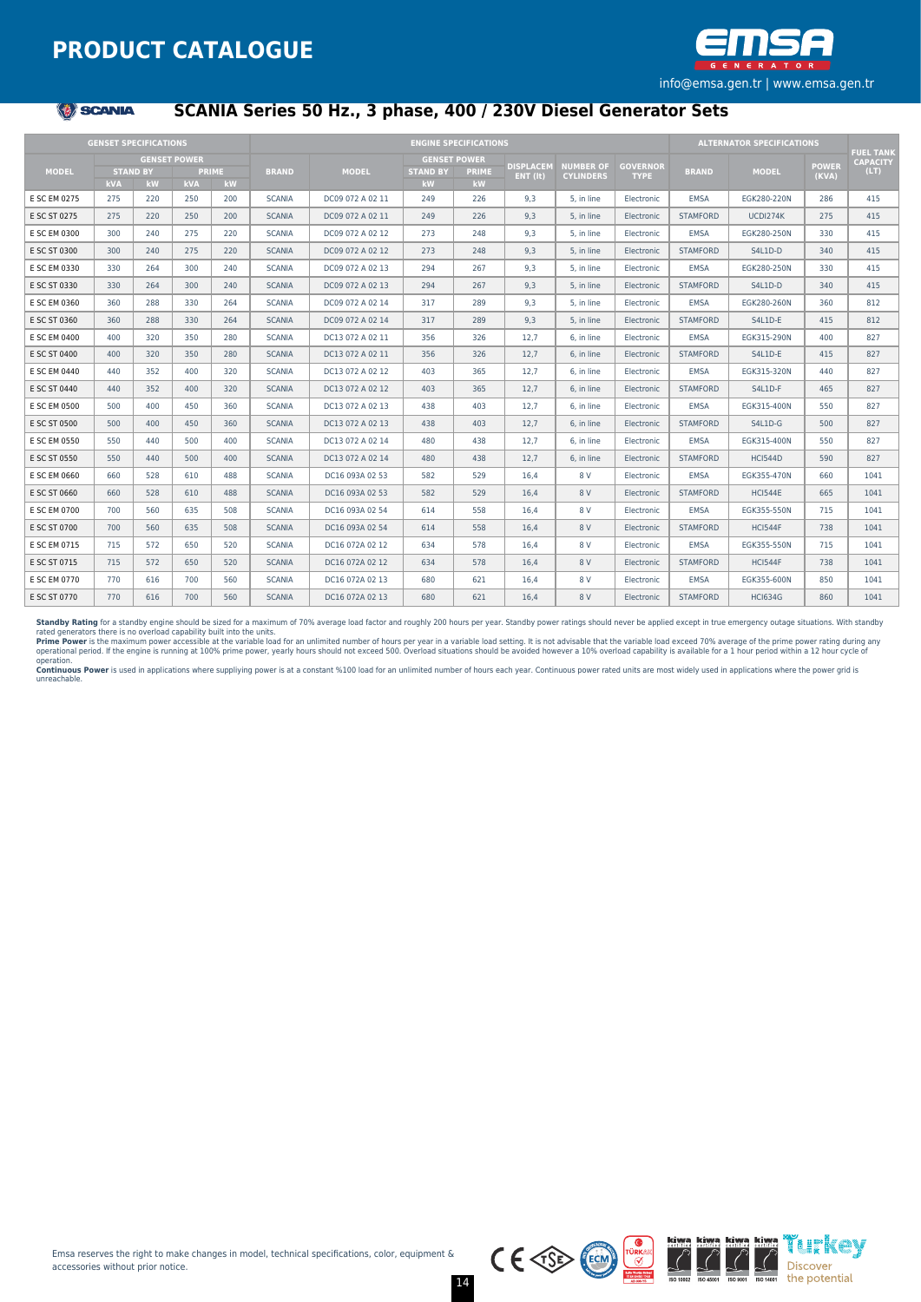

#### **《卷》SCANIA**

## **SCANIA Series 50 Hz., 3 phase, 400 / 230V Diesel Generator Sets**

|              | <b>GENSET SPECIFICATIONS</b> |                 |                     |              |               |                  | <b>ENGINE SPECIFICATIONS</b> |                     |                    |                  |                 | <b>ALTERNATOR SPECIFICATIONS</b> |                |              |                                     |
|--------------|------------------------------|-----------------|---------------------|--------------|---------------|------------------|------------------------------|---------------------|--------------------|------------------|-----------------|----------------------------------|----------------|--------------|-------------------------------------|
|              |                              |                 | <b>GENSET POWER</b> |              |               |                  |                              | <b>GENSET POWER</b> |                    |                  |                 |                                  |                |              | <b>FUEL TANK</b><br><b>CAPACITY</b> |
| <b>MODEL</b> |                              | <b>STAND BY</b> |                     | <b>PRIME</b> | <b>BRAND</b>  | <b>MODEL</b>     | <b>STAND BY</b>              | <b>PRIME</b>        | <b>DISPLACEM</b>   | <b>NUMBER OF</b> | <b>GOVERNOR</b> | <b>BRAND</b>                     | <b>MODEL</b>   | <b>POWER</b> | (LT)                                |
|              | <b>kVA</b>                   | <b>kW</b>       | <b>kVA</b>          | kW           |               |                  | kW                           | kW                  | $ENT$ ( $\bf{t}$ ) | <b>CYLINDERS</b> | <b>TYPE</b>     |                                  |                | (KVA)        |                                     |
| E SC EM 0275 | 275                          | 220             | 250                 | 200          | <b>SCANIA</b> | DC09 072 A 02 11 | 249                          | 226                 | 9.3                | 5. in line       | Electronic      | <b>EMSA</b>                      | EGK280-220N    | 286          | 415                                 |
| E SC ST 0275 | 275                          | 220             | 250                 | 200          | <b>SCANIA</b> | DC09 072 A 02 11 | 249                          | 226                 | 9.3                | 5. in line       | Electronic      | <b>STAMFORD</b>                  | UCDI274K       | 275          | 415                                 |
| E SC EM 0300 | 300                          | 240             | 275                 | 220          | <b>SCANIA</b> | DC09 072 A 02 12 | 273                          | 248                 | 9.3                | 5. in line       | Electronic      | <b>EMSA</b>                      | EGK280-250N    | 330          | 415                                 |
| E SC ST 0300 | 300                          | 240             | 275                 | 220          | <b>SCANIA</b> | DC09 072 A 02 12 | 273                          | 248                 | 9.3                | 5. in line       | Electronic      | <b>STAMFORD</b>                  | S4L1D-D        | 340          | 415                                 |
| E SC EM 0330 | 330                          | 264             | 300                 | 240          | <b>SCANIA</b> | DC09 072 A 02 13 | 294                          | 267                 | 9.3                | 5. in line       | Electronic      | <b>EMSA</b>                      | EGK280-250N    | 330          | 415                                 |
| E SC ST 0330 | 330                          | 264             | 300                 | 240          | <b>SCANIA</b> | DC09 072 A 02 13 | 294                          | 267                 | 9.3                | 5, in line       | Electronic      | <b>STAMFORD</b>                  | S4L1D-D        | 340          | 415                                 |
| E SC EM 0360 | 360                          | 288             | 330                 | 264          | <b>SCANIA</b> | DC09 072 A 02 14 | 317                          | 289                 | 9,3                | 5, in line       | Electronic      | <b>EMSA</b>                      | EGK280-260N    | 360          | 812                                 |
| E SC ST 0360 | 360                          | 288             | 330                 | 264          | <b>SCANIA</b> | DC09 072 A 02 14 | 317                          | 289                 | 9.3                | 5. in line       | Electronic      | <b>STAMFORD</b>                  | S4L1D-E        | 415          | 812                                 |
| E SC EM 0400 | 400                          | 320             | 350                 | 280          | <b>SCANIA</b> | DC13 072 A 02 11 | 356                          | 326                 | 12.7               | 6. in line       | Electronic      | <b>EMSA</b>                      | EGK315-290N    | 400          | 827                                 |
| E SC ST 0400 | 400                          | 320             | 350                 | 280          | <b>SCANIA</b> | DC13 072 A 02 11 | 356                          | 326                 | 12.7               | 6. in line       | Electronic      | <b>STAMFORD</b>                  | S4L1D-E        | 415          | 827                                 |
| E SC EM 0440 | 440                          | 352             | 400                 | 320          | <b>SCANIA</b> | DC13 072 A 02 12 | 403                          | 365                 | 12,7               | 6. in line       | Electronic      | <b>EMSA</b>                      | EGK315-320N    | 440          | 827                                 |
| E SC ST 0440 | 440                          | 352             | 400                 | 320          | <b>SCANIA</b> | DC13 072 A 02 12 | 403                          | 365                 | 12.7               | 6. in line       | Electronic      | <b>STAMFORD</b>                  | S4L1D-F        | 465          | 827                                 |
| E SC EM 0500 | 500                          | 400             | 450                 | 360          | <b>SCANIA</b> | DC13 072 A 02 13 | 438                          | 403                 | 12,7               | 6. in line       | Electronic      | <b>EMSA</b>                      | EGK315-400N    | 550          | 827                                 |
| E SC ST 0500 | 500                          | 400             | 450                 | 360          | <b>SCANIA</b> | DC13 072 A 02 13 | 438                          | 403                 | 12,7               | 6. in line       | Electronic      | <b>STAMFORD</b>                  | S4L1D-G        | 500          | 827                                 |
| E SC EM 0550 | 550                          | 440             | 500                 | 400          | <b>SCANIA</b> | DC13 072 A 02 14 | 480                          | 438                 | 12,7               | 6. in line       | Electronic      | <b>EMSA</b>                      | EGK315-400N    | 550          | 827                                 |
| E SC ST 0550 | 550                          | 440             | 500                 | 400          | <b>SCANIA</b> | DC13 072 A 02 14 | 480                          | 438                 | 12,7               | 6. in line       | Electronic      | <b>STAMFORD</b>                  | <b>HCI544D</b> | 590          | 827                                 |
| E SC EM 0660 | 660                          | 528             | 610                 | 488          | <b>SCANIA</b> | DC16 093A 02 53  | 582                          | 529                 | 16,4               | 8 V              | Electronic      | <b>EMSA</b>                      | EGK355-470N    | 660          | 1041                                |
| E SC ST 0660 | 660                          | 528             | 610                 | 488          | <b>SCANIA</b> | DC16 093A 02 53  | 582                          | 529                 | 16,4               | 8 V              | Electronic      | <b>STAMFORD</b>                  | <b>HCI544E</b> | 665          | 1041                                |
| E SC EM 0700 | 700                          | 560             | 635                 | 508          | <b>SCANIA</b> | DC16 093A 02 54  | 614                          | 558                 | 16,4               | 8 V              | Electronic      | <b>EMSA</b>                      | EGK355-550N    | 715          | 1041                                |
| E SC ST 0700 | 700                          | 560             | 635                 | 508          | <b>SCANIA</b> | DC16 093A 02 54  | 614                          | 558                 | 16.4               | 8 V              | Electronic      | <b>STAMFORD</b>                  | <b>HCI544F</b> | 738          | 1041                                |
| E SC EM 0715 | 715                          | 572             | 650                 | 520          | <b>SCANIA</b> | DC16 072A 02 12  | 634                          | 578                 | 16.4               | 8 V              | Electronic      | <b>EMSA</b>                      | EGK355-550N    | 715          | 1041                                |
| E SC ST 0715 | 715                          | 572             | 650                 | 520          | <b>SCANIA</b> | DC16 072A 02 12  | 634                          | 578                 | 16.4               | 8 V              | Electronic      | <b>STAMFORD</b>                  | <b>HCI544F</b> | 738          | 1041                                |
| E SC EM 0770 | 770                          | 616             | 700                 | 560          | <b>SCANIA</b> | DC16 072A 02 13  | 680                          | 621                 | 16.4               | 8 V              | Electronic      | <b>EMSA</b>                      | EGK355-600N    | 850          | 1041                                |
| E SC ST 0770 | 770                          | 616             | 700                 | 560          | <b>SCANIA</b> | DC16 072A 02 13  | 680                          | 621                 | 16.4               | 8 V              | Electronic      | <b>STAMFORD</b>                  | <b>HCI634G</b> | 860          | 1041                                |

Standby Rating for a standby engine should be sized for a maximum of 70% average load factor and roughly 200 hours per year. Standby power ratings should never be applied except in true emergency outage situations. With st

rated generators there is no overload capabilty built into the units.<br>Prime Power is the maximum power accessible at the variable load for an unlimited number of hours per year in a variable load setting. It is not advisab

unreachable.



Ťurkey

Discover the potential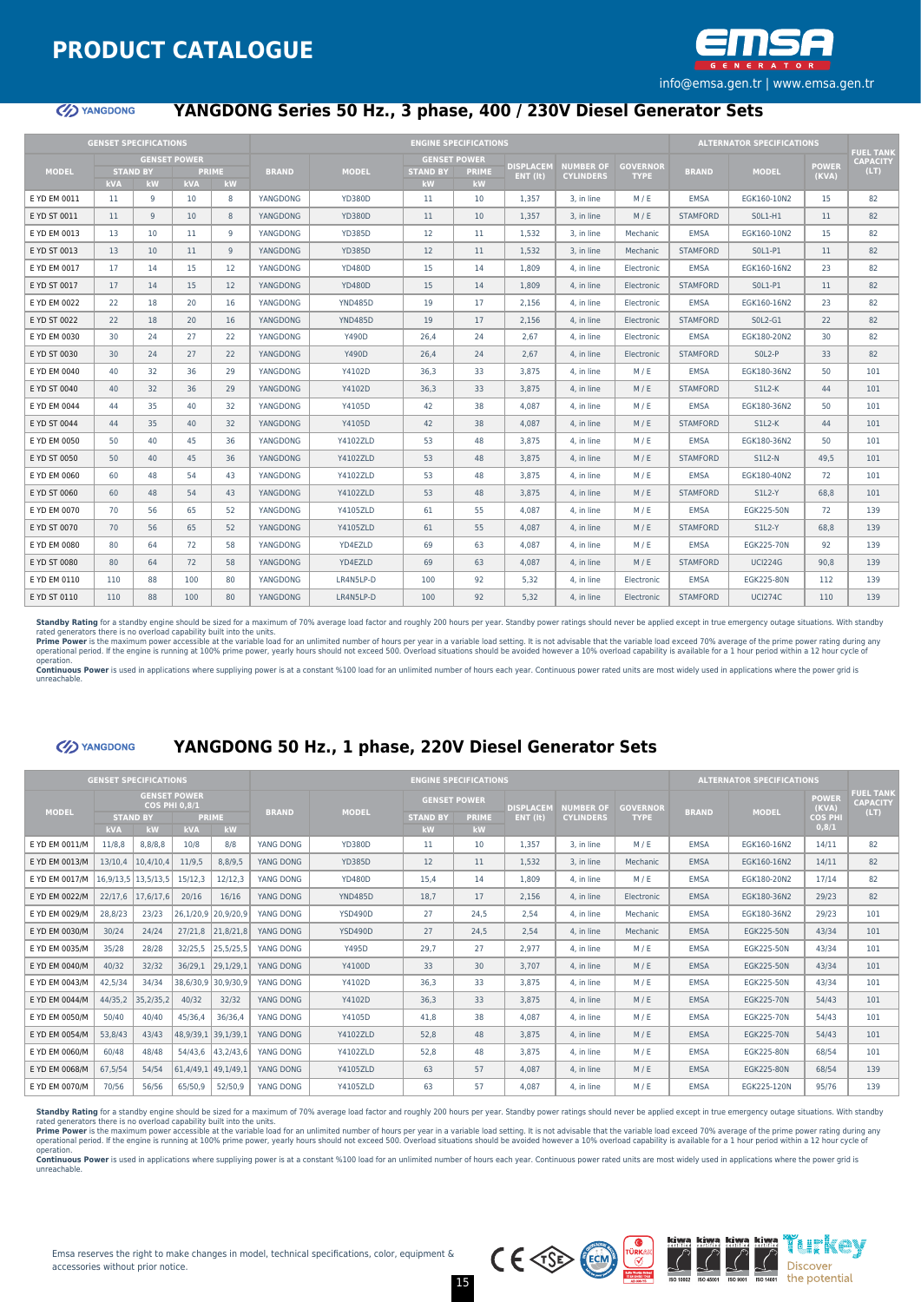

#### **YANGDONG**

## **YANGDONG Series 50 Hz., 3 phase, 400 / 230V Diesel Generator Sets**

| <b>GENSET SPECIFICATIONS</b> |            |                 |                     |              |                 |                 |                 | <b>ENGINE SPECIFICATIONS</b>        |                   |                  |                 |                 | <b>ALTERNATOR SPECIFICATIONS</b> |              |                         |
|------------------------------|------------|-----------------|---------------------|--------------|-----------------|-----------------|-----------------|-------------------------------------|-------------------|------------------|-----------------|-----------------|----------------------------------|--------------|-------------------------|
|                              |            |                 |                     |              |                 |                 |                 |                                     |                   |                  |                 |                 |                                  |              | <b>FUEL TANK</b>        |
| <b>MODEL</b>                 |            | <b>STAND BY</b> | <b>GENSET POWER</b> | <b>PRIME</b> | <b>BRAND</b>    | <b>MODEL</b>    | <b>STAND BY</b> | <b>GENSET POWER</b><br><b>PRIME</b> | <b>DISPLACEM</b>  | <b>NUMBER OF</b> | <b>GOVERNOR</b> | <b>BRAND</b>    | <b>MODEL</b>                     | <b>POWER</b> | <b>CAPACITY</b><br>(LT) |
|                              | <b>kVA</b> | <b>kW</b>       | <b>kVA</b>          | kW           |                 |                 | kW              | kW                                  | $ENT$ ( $\{t\}$ ) | <b>CYLINDERS</b> | <b>TYPE</b>     |                 |                                  | (KVA)        |                         |
| E YD EM 0011                 | 11         | 9               | 10                  | 8            | YANGDONG        | <b>YD380D</b>   | 11              | 10                                  | 1,357             | 3, in line       | M/E             | <b>EMSA</b>     | EGK160-10N2                      | 15           | 82                      |
| E YD ST 0011                 | 11         | $\overline{9}$  | 10                  | 8            | YANGDONG        | <b>YD380D</b>   | 11              | 10                                  | 1.357             | 3, in line       | M/E             | <b>STAMFORD</b> | S0L1-H1                          | 11           | 82                      |
| E YD EM 0013                 | 13         | 10              | 11                  | 9            | YANGDONG        | <b>YD385D</b>   | 12              | 11                                  | 1,532             | 3. in line       | Mechanic        | <b>EMSA</b>     | EGK160-10N2                      | 15           | 82                      |
| E YD ST 0013                 | 13         | 10              | 11                  | 9            | YANGDONG        | <b>YD385D</b>   | 12              | 11                                  | 1.532             | 3. in line       | Mechanic        | <b>STAMFORD</b> | S0L1-P1                          | 11           | 82                      |
| E YD EM 0017                 | 17         | 14              | 15                  | 12           | YANGDONG        | <b>YD480D</b>   | 15              | 14                                  | 1,809             | 4. in line       | Electronic      | <b>EMSA</b>     | EGK160-16N2                      | 23           | 82                      |
| E YD ST 0017                 | 17         | 14              | 15                  | 12           | YANGDONG        | <b>YD480D</b>   | 15              | 14                                  | 1.809             | 4. in line       | Electronic      | <b>STAMFORD</b> | S0L1-P1                          | 11           | 82                      |
| E YD EM 0022                 | 22         | 18              | 20                  | 16           | YANGDONG        | <b>YND485D</b>  | 19              | 17                                  | 2.156             | 4. in line       | Electronic      | EMSA            | EGK160-16N2                      | 23           | 82                      |
| E YD ST 0022                 | 22         | 18              | 20                  | 16           | YANGDONG        | <b>YND485D</b>  | 19              | 17                                  | 2.156             | 4. in line       | Electronic      | <b>STAMFORD</b> | $SOL2-G1$                        | 22           | 82                      |
| E YD EM 0030                 | 30         | 24              | 27                  | 22           | YANGDONG        | Y490D           | 26.4            | 24                                  | 2.67              | 4. in line       | Electronic      | <b>EMSA</b>     | EGK180-20N2                      | 30           | 82                      |
| E YD ST 0030                 | 30         | 24              | 27                  | 22           | <b>YANGDONG</b> | <b>Y490D</b>    | 26.4            | 24                                  | 2.67              | 4. in line       | Electronic      | <b>STAMFORD</b> | $SOL2-P$                         | 33           | 82                      |
| E YD EM 0040                 | 40         | 32              | 36                  | 29           | YANGDONG        | Y4102D          | 36.3            | 33                                  | 3.875             | 4. in line       | M/E             | <b>EMSA</b>     | EGK180-36N2                      | 50           | 101                     |
| E YD ST 0040                 | 40         | 32              | 36                  | 29           | YANGDONG        | Y4102D          | 36.3            | 33                                  | 3.875             | 4. in line       | M/E             | <b>STAMFORD</b> | $S1L2-K$                         | 44           | 101                     |
| E YD EM 0044                 | 44         | 35              | 40                  | 32           | YANGDONG        | Y4105D          | 42              | 38                                  | 4.087             | 4. in line       | M/E             | EMSA            | EGK180-36N2                      | 50           | 101                     |
| E YD ST 0044                 | 44         | 35              | 40                  | 32           | YANGDONG        | Y4105D          | 42              | 38                                  | 4,087             | 4, in line       | M/E             | <b>STAMFORD</b> | $S1L2-K$                         | 44           | 101                     |
| E YD EM 0050                 | 50         | 40              | 45                  | 36           | YANGDONG        | Y4102ZLD        | 53              | 48                                  | 3.875             | 4. in line       | M/E             | <b>EMSA</b>     | EGK180-36N2                      | 50           | 101                     |
| E YD ST 0050                 | 50         | 40              | 45                  | 36           | YANGDONG        | <b>Y4102ZLD</b> | 53              | 48                                  | 3.875             | 4. in line       | M/E             | <b>STAMFORD</b> | $SLL2-N$                         | 49.5         | 101                     |
| E YD EM 0060                 | 60         | 48              | 54                  | 43           | YANGDONG        | Y4102ZLD        | 53              | 48                                  | 3.875             | 4. in line       | M/E             | <b>EMSA</b>     | EGK180-40N2                      | 72           | 101                     |
| E YD ST 0060                 | 60         | 48              | 54                  | 43           | YANGDONG        | Y4102ZLD        | 53              | 48                                  | 3.875             | 4. in line       | M/E             | <b>STAMFORD</b> | $SLL2-Y$                         | 68.8         | 101                     |
| E YD EM 0070                 | 70         | 56              | 65                  | 52           | YANGDONG        | Y4105ZLD        | 61              | 55                                  | 4.087             | 4. in line       | M/E             | <b>EMSA</b>     | EGK225-50N                       | 72           | 139                     |
| E YD ST 0070                 | 70         | 56              | 65                  | 52           | YANGDONG        | Y4105ZLD        | 61              | 55                                  | 4,087             | 4, in line       | M/E             | <b>STAMFORD</b> | <b>S1L2-Y</b>                    | 68,8         | 139                     |
| E YD EM 0080                 | 80         | 64              | 72                  | 58           | YANGDONG        | YD4EZLD         | 69              | 63                                  | 4.087             | 4. in line       | M/E             | <b>EMSA</b>     | EGK225-70N                       | 92           | 139                     |
| E YD ST 0080                 | 80         | 64              | 72                  | 58           | YANGDONG        | YD4EZLD         | 69              | 63                                  | 4.087             | 4. in line       | M/E             | <b>STAMFORD</b> | <b>UCI224G</b>                   | 90.8         | 139                     |
| E YD EM 0110                 | 110        | 88              | 100                 | 80           | YANGDONG        | LR4N5LP-D       | 100             | 92                                  | 5.32              | 4. in line       | Electronic      | <b>EMSA</b>     | EGK225-80N                       | 112          | 139                     |
| E YD ST 0110                 | 110        | 88              | 100                 | 80           | YANGDONG        | LR4N5LP-D       | 100             | 92                                  | 5.32              | 4. in line       | Electronic      | <b>STAMFORD</b> | <b>UCI274C</b>                   | 110          | 139                     |

**Standby Rating** for a standby engine should be sized for a maximum of 70% average load factor and roughly 200 hours per year. Standby power ratings should never be applied except in true emergency outage situations. With

unreachable.

(1) YANGDONG

#### **YANGDONG 50 Hz., 1 phase, 220V Diesel Generator Sets**

|                | <b>GENSET SPECIFICATIONS</b> |                     |                                             |                         |              |                |                 | <b>ENGINE SPECIFICATIONS</b> |                  |                  |                 |              | <b>ALTERNATOR SPECIFICATIONS</b> |                       |                                             |
|----------------|------------------------------|---------------------|---------------------------------------------|-------------------------|--------------|----------------|-----------------|------------------------------|------------------|------------------|-----------------|--------------|----------------------------------|-----------------------|---------------------------------------------|
| <b>MODEL</b>   |                              |                     | <b>GENSET POWER</b><br><b>COS PHI 0,8/1</b> |                         | <b>BRAND</b> | <b>MODEL</b>   |                 | <b>GENSET POWER</b>          | <b>DISPLACEM</b> | <b>NUMBER OF</b> | <b>GOVERNOR</b> | <b>BRAND</b> | <b>MODEL</b>                     | <b>POWER</b><br>(KVA) | <b>FUEL TANK</b><br><b>CAPACITY</b><br>(LT) |
|                |                              | <b>STAND BY</b>     |                                             | <b>PRIME</b>            |              |                | <b>STAND BY</b> | <b>PRIME</b>                 | ENT (it)         | <b>CYLINDERS</b> | <b>TYPE</b>     |              |                                  | <b>COS PHI</b>        |                                             |
|                | <b>kVA</b>                   | kW                  | <b>kVA</b>                                  | kW                      |              |                | kW              | <b>kW</b>                    |                  |                  |                 |              |                                  | 0,8/1                 |                                             |
| E YD EM 0011/M | 11/8,8                       | 8,8/8,8             | 10/8                                        | 8/8                     | YANG DONG    | <b>YD380D</b>  | 11              | 10                           | 1.357            | 3. in line       | M/E             | <b>EMSA</b>  | EGK160-16N2                      | 14/11                 | 82                                          |
| E YD EM 0013/M | 13/10,4                      | 10,4/10,4           | 11/9.5                                      | 8,8/9,5                 | YANG DONG    | <b>YD385D</b>  | 12              | 11                           | 1,532            | 3. in line       | Mechanic        | <b>EMSA</b>  | EGK160-16N2                      | 14/11                 | 82                                          |
| E YD EM 0017/M |                              | 16,9/13,5 13,5/13,5 | 15/12,3                                     | 12/12,3                 | YANG DONG    | <b>YD480D</b>  | 15,4            | 14                           | 1,809            | 4. in line       | M/E             | <b>EMSA</b>  | EGK180-20N2                      | 17/14                 | 82                                          |
| E YD EM 0022/M | 22/17,6                      | 17,6/17,6           | 20/16                                       | 16/16                   | YANG DONG    | <b>YND485D</b> | 18.7            | 17                           | 2,156            | 4. in line       | Electronic      | <b>EMSA</b>  | EGK180-36N2                      | 29/23                 | 82                                          |
| E YD EM 0029/M | 28,8/23                      | 23/23               |                                             | 26,1/20,9 20,9/20,9     | YANG DONG    | <b>YSD490D</b> | 27              | 24.5                         | 2,54             | 4. in line       | Mechanic        | <b>EMSA</b>  | EGK180-36N2                      | 29/23                 | 101                                         |
| E YD EM 0030/M | 30/24                        | 24/24               | 27/21,8                                     | 21,8/21,8               | YANG DONG    | <b>YSD490D</b> | 27              | 24.5                         | 2.54             | 4. in line       | Mechanic        | <b>EMSA</b>  | EGK225-50N                       | 43/34                 | 101                                         |
| E YD EM 0035/M | 35/28                        | 28/28               | 32/25,5                                     | 25,5/25,5               | YANG DONG    | Y495D          | 29.7            | 27                           | 2.977            | 4. in line       | M/E             | <b>EMSA</b>  | EGK225-50N                       | 43/34                 | 101                                         |
| E YD EM 0040/M | 40/32                        | 32/32               | 36/29,1                                     | 29,1/29,1               | YANG DONG    | Y4100D         | 33              | 30                           | 3.707            | 4. in line       | M/E             | <b>EMSA</b>  | EGK225-50N                       | 43/34                 | 101                                         |
| E YD EM 0043/M | 42,5/34                      | 34/34               |                                             | 38,6/30,9 30,9/30,9     | YANG DONG    | Y4102D         | 36.3            | 33                           | 3.875            | 4. in line       | M/E             | <b>EMSA</b>  | EGK225-50N                       | 43/34                 | 101                                         |
| E YD EM 0044/M | 44/35,2                      | 35,2/35,2           | 40/32                                       | 32/32                   | YANG DONG    | Y4102D         | 36,3            | 33                           | 3.875            | 4. in line       | M/E             | <b>EMSA</b>  | EGK225-70N                       | 54/43                 | 101                                         |
| E YD EM 0050/M | 50/40                        | 40/40               | 45/36,4                                     | 36/36,4                 | YANG DONG    | Y4105D         | 41,8            | 38                           | 4.087            | 4. in line       | M/E             | <b>EMSA</b>  | EGK225-70N                       | 54/43                 | 101                                         |
| E YD EM 0054/M | 53,8/43                      | 43/43               |                                             | 48, 9/39, 1 39, 1/39, 1 | YANG DONG    | Y4102ZLD       | 52.8            | 48                           | 3.875            | 4. in line       | M/E             | <b>EMSA</b>  | <b>EGK225-70N</b>                | 54/43                 | 101                                         |
| E YD EM 0060/M | 60/48                        | 48/48               |                                             | 54/43,6 43,2/43,6       | YANG DONG    | Y4102ZLD       | 52,8            | 48                           | 3.875            | 4. in line       | M/E             | <b>EMSA</b>  | EGK225-80N                       | 68/54                 | 101                                         |
| E YD EM 0068/M | 67,5/54                      | 54/54               |                                             | 61,4/49,1 49,1/49,1     | YANG DONG    | Y4105ZLD       | 63              | 57                           | 4.087            | 4. in line       | M/E             | <b>EMSA</b>  | EGK225-80N                       | 68/54                 | 139                                         |
| E YD EM 0070/M | 70/56                        | 56/56               | 65/50,9                                     | 52/50,9                 | YANG DONG    | Y4105ZLD       | 63              | 57                           | 4.087            | 4. in line       | M/E             | <b>EMSA</b>  | EGK225-120N                      | 95/76                 | 139                                         |

Standby Rating for a standby engine should be sized for a maximum of 70% average load factor and roughly 200 hours per year. Standby power ratings should never be applied except in true emergency outage situations. With st rated generators there is no overload capability built into the units.<br>Prime Power is the maximum power accessible at the variable bad for an unlimited number of hours per year in a variable load setting. It is not advisab

15

operation.<br>**Continuous Power** is used in applications where suppliying power is at a constant %100 load for an unlimited number of hours each year. Continuous power rated units are most widely used in applications where th

unreachable.

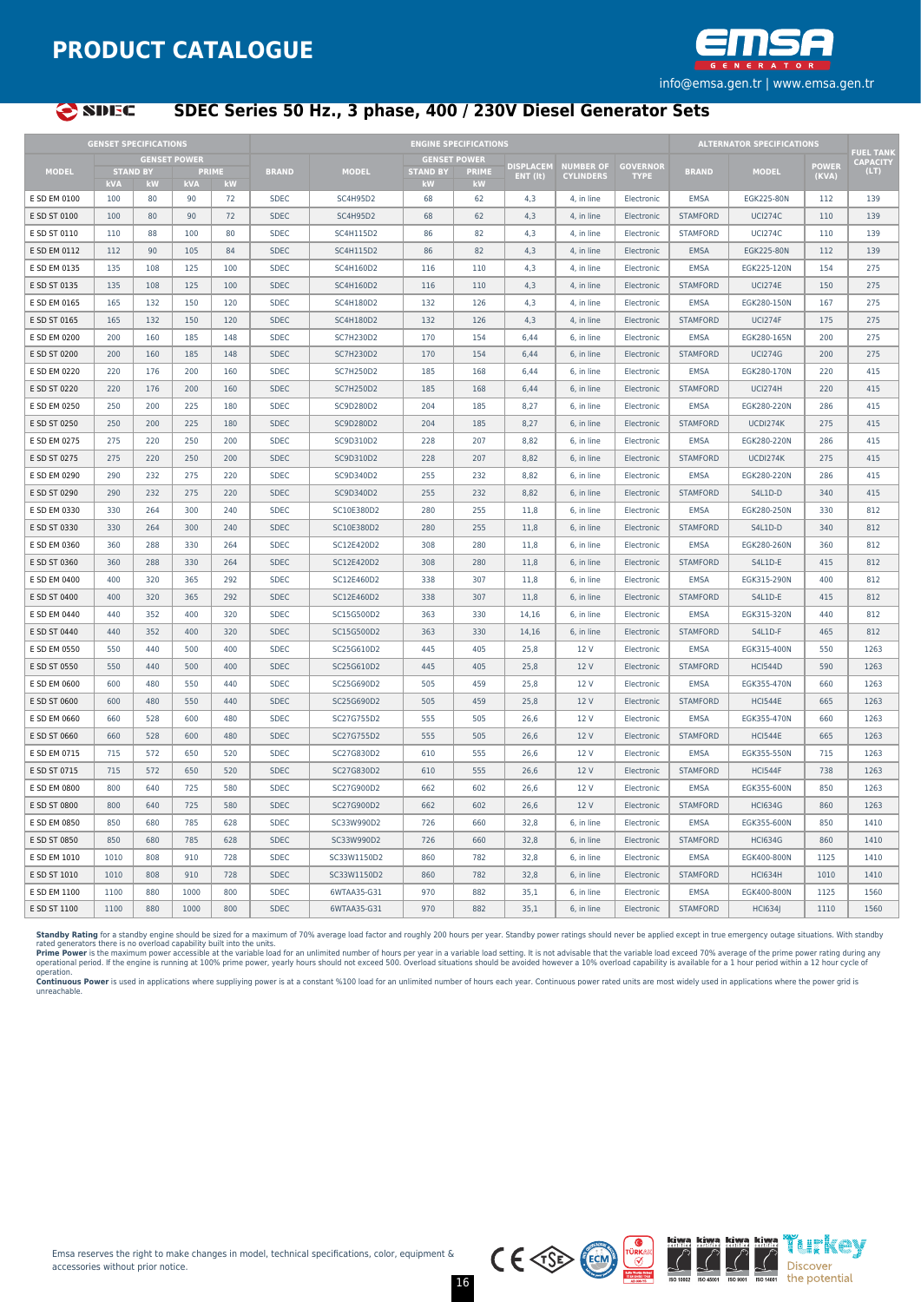



## **SDEC Series 50 Hz., 3 phase, 400 / 230V Diesel Generator Sets**

|              | <b>GENSET SPECIFICATIONS</b>  |                     |                            |     |              |                 |                       | <b>ENGINE SPECIFICATIONS</b> |                  |                               |                                |                 | <b>ALTERNATOR SPECIFICATIONS</b> |                |                                     |
|--------------|-------------------------------|---------------------|----------------------------|-----|--------------|-----------------|-----------------------|------------------------------|------------------|-------------------------------|--------------------------------|-----------------|----------------------------------|----------------|-------------------------------------|
|              |                               | <b>GENSET POWER</b> |                            |     |              |                 | <b>GENSET POWER</b>   |                              | <b>DISPLACEM</b> |                               |                                |                 |                                  |                | <b>FUEL TANK</b><br><b>CAPACITY</b> |
| <b>MODEL</b> | <b>STAND BY</b><br><b>kVA</b> | <b>kW</b>           | <b>PRIME</b><br><b>kVA</b> | kW  | <b>BRAND</b> | <b>MODEL</b>    | <b>STAND BY</b><br>kW | <b>PRIME</b><br><b>kW</b>    | ENT (It)         | NUMBER OF<br><b>CYLINDERS</b> | <b>GOVERNOR</b><br><b>TYPE</b> | <b>BRAND</b>    | <b>MODEL</b>                     | POWER<br>(KVA) | (LT)                                |
| E SD EM 0100 | 100                           | 80                  | 90                         | 72  | <b>SDEC</b>  | <b>SC4H95D2</b> | 68                    | 62                           | 4.3              | 4. in line                    | Electronic                     | <b>EMSA</b>     | EGK225-80N                       | 112            | 139                                 |
| E SD ST 0100 | 100                           | 80                  | 90                         | 72  | <b>SDEC</b>  | <b>SC4H95D2</b> | 68                    | 62                           | 4,3              | 4, in line                    | Electronic                     | <b>STAMFORD</b> | <b>UCI274C</b>                   | 110            | 139                                 |
| E SD ST 0110 | 110                           | 88                  | 100                        | 80  | <b>SDEC</b>  | SC4H115D2       | 86                    | 82                           | 4,3              | 4, in line                    | Electronic                     | <b>STAMFORD</b> | <b>UCI274C</b>                   | 110            | 139                                 |
| E SD EM 0112 | 112                           | 90                  | 105                        | 84  | <b>SDEC</b>  | SC4H115D2       | 86                    | 82                           | 4,3              | 4. in line                    | Electronic                     | <b>EMSA</b>     | EGK225-80N                       | 112            | 139                                 |
| E SD EM 0135 | 135                           | 108                 | 125                        | 100 | <b>SDEC</b>  | SC4H160D2       | 116                   | 110                          | 4,3              | 4, in line                    | Electronic                     | <b>EMSA</b>     | EGK225-120N                      | 154            | 275                                 |
| E SD ST 0135 | 135                           | 108                 | 125                        | 100 | SDEC         | SC4H160D2       | 116                   | 110                          | 4,3              | 4, in line                    | Electronic                     | <b>STAMFORD</b> | <b>UCI274E</b>                   | 150            | 275                                 |
| E SD EM 0165 | 165                           | 132                 | 150                        | 120 | <b>SDEC</b>  | SC4H180D2       | 132                   | 126                          | 4,3              | 4, in line                    | Electronic                     | <b>EMSA</b>     | EGK280-150N                      | 167            | 275                                 |
| E SD ST 0165 | 165                           | 132                 | 150                        | 120 | <b>SDEC</b>  | SC4H180D2       | 132                   | 126                          | 4,3              | 4, in line                    | Electronic                     | <b>STAMFORD</b> | <b>UCI274F</b>                   | 175            | 275                                 |
| E SD EM 0200 | 200                           | 160                 | 185                        | 148 | <b>SDEC</b>  | SC7H230D2       | 170                   | 154                          | 6,44             | 6, in line                    | Electronic                     | <b>EMSA</b>     | EGK280-165N                      | 200            | 275                                 |
| E SD ST 0200 | 200                           | 160                 | 185                        | 148 | <b>SDEC</b>  | SC7H230D2       | 170                   | 154                          | 6,44             | 6, in line                    | Electronic                     | <b>STAMFORD</b> | <b>UCI274G</b>                   | 200            | 275                                 |
| E SD EM 0220 | 220                           | 176                 | 200                        | 160 | <b>SDEC</b>  | SC7H250D2       | 185                   | 168                          | 6,44             | 6. in line                    | Electronic                     | <b>EMSA</b>     | EGK280-170N                      | 220            | 415                                 |
| E SD ST 0220 | 220                           | 176                 | 200                        | 160 | <b>SDEC</b>  | SC7H250D2       | 185                   | 168                          | 6,44             | 6, in line                    | Electronic                     | <b>STAMFORD</b> | <b>UCI274H</b>                   | 220            | 415                                 |
| E SD EM 0250 | 250                           | 200                 | 225                        | 180 | <b>SDEC</b>  | SC9D280D2       | 204                   | 185                          | 8.27             | 6, in line                    | Electronic                     | EMSA            | EGK280-220N                      | 286            | 415                                 |
| E SD ST 0250 | 250                           | 200                 | 225                        | 180 | <b>SDEC</b>  | SC9D280D2       | 204                   | 185                          | 8,27             | 6, in line                    | Electronic                     | <b>STAMFORD</b> | UCDI274K                         | 275            | 415                                 |
| E SD EM 0275 | 275                           | 220                 | 250                        | 200 | <b>SDEC</b>  | SC9D310D2       | 228                   | 207                          | 8,82             | 6, in line                    | Electronic                     | EMSA            | EGK280-220N                      | 286            | 415                                 |
| E SD ST 0275 | 275                           | 220                 | 250                        | 200 | <b>SDEC</b>  | SC9D310D2       | 228                   | 207                          | 8.82             | 6, in line                    | Electronic                     | <b>STAMFORD</b> | UCDI274K                         | 275            | 415                                 |
| E SD EM 0290 | 290                           | 232                 | 275                        | 220 | <b>SDEC</b>  | SC9D340D2       | 255                   | 232                          | 8,82             | 6, in line                    | Electronic                     | <b>EMSA</b>     | EGK280-220N                      | 286            | 415                                 |
| E SD ST 0290 | 290                           | 232                 | 275                        | 220 | SDEC.        | SC9D340D2       | 255                   | 232                          | 8,82             | 6. in line                    | Electronic                     | <b>STAMFORD</b> | S4L1D-D                          | 340            | 415                                 |
| E SD EM 0330 | 330                           | 264                 | 300                        | 240 | <b>SDEC</b>  | SC10E380D2      | 280                   | 255                          | 11,8             | 6, in line                    | Electronic                     | <b>EMSA</b>     | EGK280-250N                      | 330            | 812                                 |
| E SD ST 0330 | 330                           | 264                 | 300                        | 240 | <b>SDEC</b>  | SC10E380D2      | 280                   | 255                          | 11,8             | 6, in line                    | Electronic                     | <b>STAMFORD</b> | S4L1D-D                          | 340            | 812                                 |
| E SD EM 0360 | 360                           | 288                 | 330                        | 264 | SDEC         | SC12E420D2      | 308                   | 280                          | 11,8             | 6. in line                    | Electronic                     | <b>EMSA</b>     | EGK280-260N                      | 360            | 812                                 |
| E SD ST 0360 | 360                           | 288                 | 330                        | 264 | <b>SDEC</b>  | SC12E420D2      | 308                   | 280                          | 11,8             | 6, in line                    | Electronic                     | <b>STAMFORD</b> | S4L1D-E                          | 415            | 812                                 |
| E SD EM 0400 | 400                           | 320                 | 365                        | 292 | <b>SDEC</b>  | SC12E460D2      | 338                   | 307                          | 11.8             | 6, in line                    | Electronic                     | <b>EMSA</b>     | EGK315-290N                      | 400            | 812                                 |
| E SD ST 0400 | 400                           | 320                 | 365                        | 292 | <b>SDEC</b>  | SC12E460D2      | 338                   | 307                          | 11,8             | 6, in line                    | Electronic                     | <b>STAMFORD</b> | S4L1D-E                          | 415            | 812                                 |
| E SD EM 0440 | 440                           | 352                 | 400                        | 320 | <b>SDEC</b>  | SC15G500D2      | 363                   | 330                          | 14,16            | 6, in line                    | Electronic                     | EMSA            | EGK315-320N                      | 440            | 812                                 |
| E SD ST 0440 | 440                           | 352                 | 400                        | 320 | <b>SDEC</b>  | SC15G500D2      | 363                   | 330                          | 14,16            | 6. in line                    | Electronic                     | <b>STAMFORD</b> | S4L1D-F                          | 465            | 812                                 |
| E SD EM 0550 | 550                           | 440                 | 500                        | 400 | <b>SDEC</b>  | SC25G610D2      | 445                   | 405                          | 25,8             | 12 V                          | Electronic                     | <b>EMSA</b>     | EGK315-400N                      | 550            | 1263                                |
| E SD ST 0550 | 550                           | 440                 | 500                        | 400 | <b>SDEC</b>  | SC25G610D2      | 445                   | 405                          | 25.8             | 12V                           | Electronic                     | <b>STAMFORD</b> | <b>HCI544D</b>                   | 590            | 1263                                |
| E SD EM 0600 | 600                           | 480                 | 550                        | 440 | <b>SDEC</b>  | SC25G690D2      | 505                   | 459                          | 25,8             | 12 V                          | Electronic                     | <b>EMSA</b>     | EGK355-470N                      | 660            | 1263                                |
| E SD ST 0600 | 600                           | 480                 | 550                        | 440 | <b>SDEC</b>  | SC25G690D2      | 505                   | 459                          | 25,8             | 12 V                          | Electronic                     | <b>STAMFORD</b> | HCI544E                          | 665            | 1263                                |
| E SD EM 0660 | 660                           | 528                 | 600                        | 480 | SDEC.        | SC27G755D2      | 555                   | 505                          | 26,6             | 12 V                          | <b>Electronic</b>              | <b>EMSA</b>     | EGK355-470N                      | 660            | 1263                                |
| E SD ST 0660 | 660                           | 528                 | 600                        | 480 | <b>SDEC</b>  | SC27G755D2      | 555                   | 505                          | 26,6             | 12 V                          | Electronic                     | <b>STAMFORD</b> | <b>HCI544E</b>                   | 665            | 1263                                |
| E SD EM 0715 | 715                           | 572                 | 650                        | 520 | <b>SDEC</b>  | SC27G830D2      | 610                   | 555                          | 26,6             | 12 V                          | Electronic                     | <b>EMSA</b>     | EGK355-550N                      | 715            | 1263                                |
| E SD ST 0715 | 715                           | 572                 | 650                        | 520 | <b>SDEC</b>  | SC27G830D2      | 610                   | 555                          | 26,6             | 12 V                          | Electronic                     | <b>STAMFORD</b> | <b>HCI544F</b>                   | 738            | 1263                                |
| E SD EM 0800 | 800                           | 640                 | 725                        | 580 | SDEC         | SC27G900D2      | 662                   | 602                          | 26,6             | 12V                           | Electronic                     | <b>EMSA</b>     | EGK355-600N                      | 850            | 1263                                |
| E SD ST 0800 | 800                           | 640                 | 725                        | 580 | <b>SDEC</b>  | SC27G900D2      | 662                   | 602                          | 26,6             | 12 V                          | Electronic                     | <b>STAMFORD</b> | <b>HCI634G</b>                   | 860            | 1263                                |
| E SD EM 0850 | 850                           | 680                 | 785                        | 628 | <b>SDEC</b>  | SC33W990D2      | 726                   | 660                          | 32,8             | 6, in line                    | Electronic                     | <b>EMSA</b>     | EGK355-600N                      | 850            | 1410                                |
| E SD ST 0850 | 850                           | 680                 | 785                        | 628 | SDEC.        | SC33W990D2      | 726                   | 660                          | 32.8             | 6. in line                    | Electronic                     | <b>STAMFORD</b> | <b>HCI634G</b>                   | 860            | 1410                                |
| E SD EM 1010 | 1010                          | 808                 | 910                        | 728 | <b>SDEC</b>  | SC33W1150D2     | 860                   | 782                          | 32,8             | 6, in line                    | Electronic                     | <b>EMSA</b>     | EGK400-800N                      | 1125           | 1410                                |
| E SD ST 1010 | 1010                          | 808                 | 910                        | 728 | <b>SDEC</b>  | SC33W1150D2     | 860                   | 782                          | 32,8             | 6, in line                    | Electronic                     | <b>STAMFORD</b> | <b>HCI634H</b>                   | 1010           | 1410                                |
| E SD EM 1100 | 1100                          | 880                 | 1000                       | 800 | <b>SDEC</b>  | 6WTAA35-G31     | 970                   | 882                          | 35,1             | 6. in line                    | Electronic                     | <b>EMSA</b>     | EGK400-800N                      | 1125           | 1560                                |
| E SD ST 1100 | 1100                          | 880                 | 1000                       | 800 | SDEC         | 6WTAA35-G31     | 970                   | 882                          | 35,1             | 6, in line                    | Electronic                     | <b>STAMFORD</b> | <b>HCI634J</b>                   | 1110           | 1560                                |

**Standby Rating** for a standby engine should be sized for a maximum of 70% average load factor and roughly 200 hours per year. Standby power ratings should never be applied except in true emergency outage situations. With

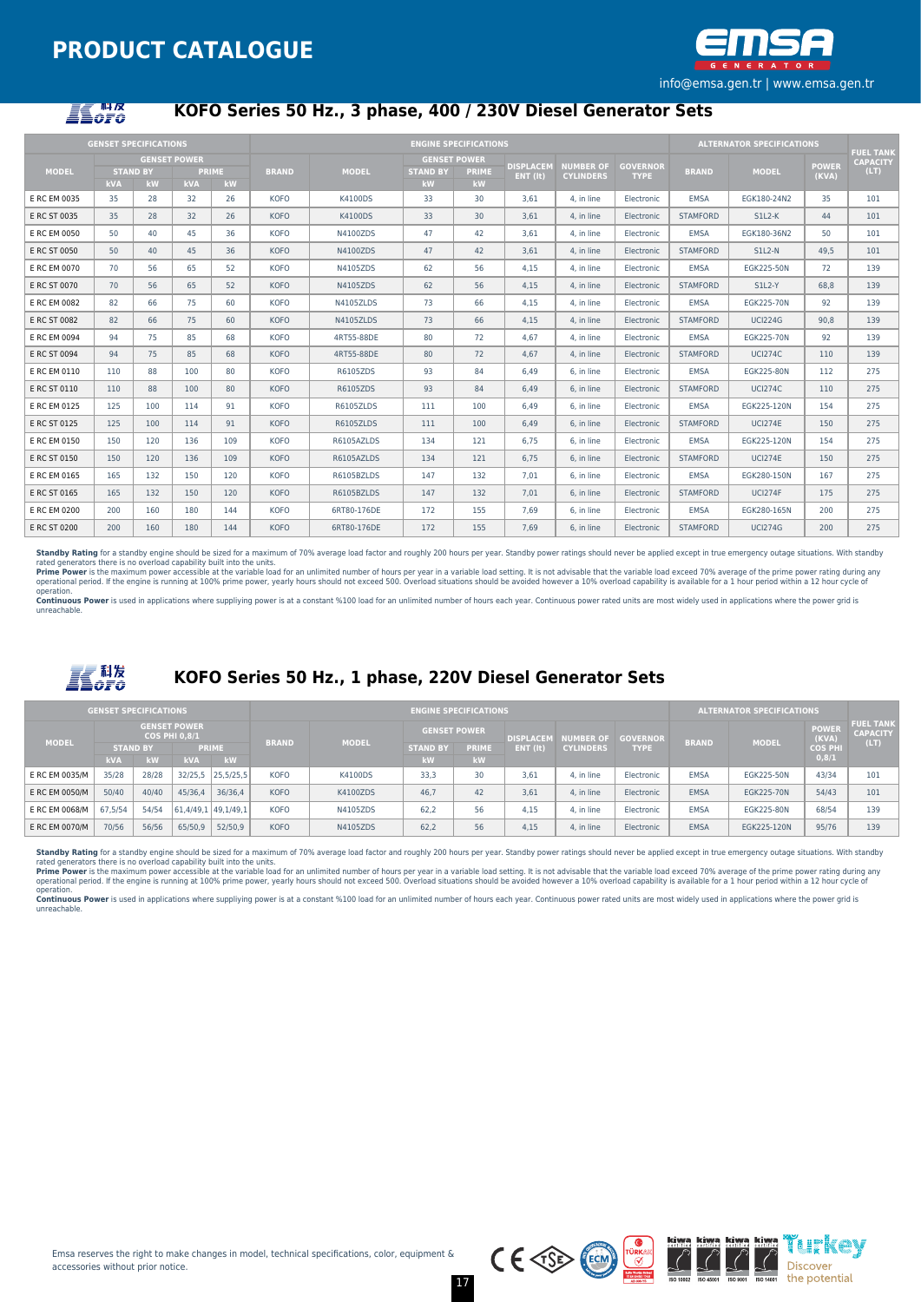

# **ILOFO**

## **KOFO Series 50 Hz., 3 phase, 400 / 230V Diesel Generator Sets**

|              | <b>GENSET SPECIFICATIONS</b> |                                              |            |                    |              |              |                       | <b>ENGINE SPECIFICATIONS</b>              |                              |                                      |                                |                 | <b>ALTERNATOR SPECIFICATIONS</b> |                       |                                             |
|--------------|------------------------------|----------------------------------------------|------------|--------------------|--------------|--------------|-----------------------|-------------------------------------------|------------------------------|--------------------------------------|--------------------------------|-----------------|----------------------------------|-----------------------|---------------------------------------------|
| <b>MODEL</b> | kVA                          | <b>GENSET POWER</b><br><b>STAND BY</b><br>kW | <b>kVA</b> | <b>PRIME</b><br>kW | <b>BRAND</b> | <b>MODEL</b> | <b>STAND BY</b><br>kW | <b>GENSET POWER</b><br><b>PRIME</b><br>kW | <b>DISPLACEM</b><br>ENT (It) | <b>NUMBER OF</b><br><b>CYLINDERS</b> | <b>GOVERNOR</b><br><b>TYPE</b> | <b>BRAND</b>    | <b>MODEL</b>                     | <b>POWER</b><br>(KVA) | <b>FUEL TANK</b><br><b>CAPACITY</b><br>(LT) |
| E RC EM 0035 | 35                           | 28                                           | 32         | 26                 | <b>KOFO</b>  | K4100DS      | 33                    | 30                                        | 3.61                         | 4. in line                           | Electronic                     | <b>EMSA</b>     | EGK180-24N2                      | 35                    | 101                                         |
| E RC ST 0035 | 35                           | 28                                           | 32         | 26                 | <b>KOFO</b>  | K4100DS      | 33                    | 30                                        | 3.61                         | 4. in line                           | Electronic                     | <b>STAMFORD</b> | $SL2-K$                          | 44                    | 101                                         |
| E RC EM 0050 | 50                           | 40                                           | 45         | 36                 | <b>KOFO</b>  | N4100ZDS     | 47                    | 42                                        | 3.61                         | 4. in line                           | Electronic                     | <b>EMSA</b>     | EGK180-36N2                      | 50                    | 101                                         |
| E RC ST 0050 | 50                           | 40                                           | 45         | 36                 | <b>KOFO</b>  | N4100ZDS     | 47                    | 42                                        | 3,61                         | 4, in line                           | Electronic                     | <b>STAMFORD</b> | $SLL2-N$                         | 49.5                  | 101                                         |
| E RC EM 0070 | 70                           | 56                                           | 65         | 52                 | <b>KOFO</b>  | N4105ZDS     | 62                    | 56                                        | 4.15                         | 4. in line                           | Electronic                     | EMSA            | EGK225-50N                       | 72                    | 139                                         |
| E RC ST 0070 | 70                           | 56                                           | 65         | 52                 | <b>KOFO</b>  | N4105ZDS     | 62                    | 56                                        | 4,15                         | 4. in line                           | Electronic                     | <b>STAMFORD</b> | S1L2-Y                           | 68,8                  | 139                                         |
| E RC EM 0082 | 82                           | 66                                           | 75         | 60                 | <b>KOFO</b>  | N4105ZLDS    | 73                    | 66                                        | 4.15                         | 4. in line                           | Electronic                     | <b>EMSA</b>     | EGK225-70N                       | 92                    | 139                                         |
| E RC ST 0082 | 82                           | 66                                           | 75         | 60                 | <b>KOFO</b>  | N4105ZLDS    | 73                    | 66                                        | 4,15                         | 4. in line                           | Electronic                     | <b>STAMFORD</b> | <b>UCI224G</b>                   | 90,8                  | 139                                         |
| E RC EM 0094 | 94                           | 75                                           | 85         | 68                 | <b>KOFO</b>  | 4RT55-88DE   | 80                    | 72                                        | 4.67                         | 4. in line                           | Electronic                     | EMSA            | EGK225-70N                       | 92                    | 139                                         |
| E RC ST 0094 | 94                           | 75                                           | 85         | 68                 | <b>KOFO</b>  | 4RT55-88DE   | 80                    | 72                                        | 4.67                         | 4. in line                           | Electronic                     | <b>STAMFORD</b> | <b>UCI274C</b>                   | 110                   | 139                                         |
| E RC EM 0110 | 110                          | 88                                           | 100        | 80                 | <b>KOFO</b>  | R6105ZDS     | 93                    | 84                                        | 6,49                         | 6. in line                           | Electronic                     | <b>EMSA</b>     | EGK225-80N                       | 112                   | 275                                         |
| E RC ST 0110 | 110                          | 88                                           | 100        | 80                 | <b>KOFO</b>  | R6105ZDS     | 93                    | 84                                        | 6.49                         | 6. in line                           | Electronic                     | <b>STAMFORD</b> | <b>UCI274C</b>                   | 110                   | 275                                         |
| E RC EM 0125 | 125                          | 100                                          | 114        | 91                 | <b>KOFO</b>  | R6105ZLDS    | 111                   | 100                                       | 6.49                         | 6. in line                           | Electronic                     | <b>EMSA</b>     | EGK225-120N                      | 154                   | 275                                         |
| E RC ST 0125 | 125                          | 100                                          | 114        | 91                 | <b>KOFO</b>  | R6105ZLDS    | 111                   | 100                                       | 6.49                         | 6. in line                           | Electronic                     | <b>STAMFORD</b> | <b>UCI274E</b>                   | 150                   | 275                                         |
| E RC EM 0150 | 150                          | 120                                          | 136        | 109                | <b>KOFO</b>  | R6105AZLDS   | 134                   | 121                                       | 6.75                         | 6. in line                           | Electronic                     | <b>EMSA</b>     | EGK225-120N                      | 154                   | 275                                         |
| E RC ST 0150 | 150                          | 120                                          | 136        | 109                | <b>KOFO</b>  | R6105AZLDS   | 134                   | 121                                       | 6,75                         | 6. in line                           | Electronic                     | <b>STAMFORD</b> | <b>UCI274E</b>                   | 150                   | 275                                         |
| E RC EM 0165 | 165                          | 132                                          | 150        | 120                | <b>KOFO</b>  | R6105BZLDS   | 147                   | 132                                       | 7.01                         | 6. in line                           | Electronic                     | <b>EMSA</b>     | EGK280-150N                      | 167                   | 275                                         |
| E RC ST 0165 | 165                          | 132                                          | 150        | 120                | <b>KOFO</b>  | R6105BZLDS   | 147                   | 132                                       | 7,01                         | 6, in line                           | Electronic                     | <b>STAMFORD</b> | <b>UCI274F</b>                   | 175                   | 275                                         |
| E RC EM 0200 | 200                          | 160                                          | 180        | 144                | <b>KOFO</b>  | 6RT80-176DE  | 172                   | 155                                       | 7.69                         | 6. in line                           | Electronic                     | <b>EMSA</b>     | EGK280-165N                      | 200                   | 275                                         |
| E RC ST 0200 | 200                          | 160                                          | 180        | 144                | <b>KOFO</b>  | 6RT80-176DE  | 172                   | 155                                       | 7.69                         | 6. in line                           | Electronic                     | <b>STAMFORD</b> | <b>UCI274G</b>                   | 200                   | 275                                         |

**Standby Rating** for a standby engine should be sized for a maximum of 70% average load factor and roughly 200 hours per year. Standby power ratings should never be applied except in true emergency outage situations. With

unreachable.



## **KOFO Series 50 Hz., 1 phase, 220V Diesel Generator Sets**

|                | <b>GENSET SPECIFICATIONS</b>                |       |                     |              | <b>ENGINE SPECIFICATIONS</b> |              |                     |          |                  |                  |                 |              | <b>ALTERNATOR SPECIFICATIONS</b> |                       |                                     |
|----------------|---------------------------------------------|-------|---------------------|--------------|------------------------------|--------------|---------------------|----------|------------------|------------------|-----------------|--------------|----------------------------------|-----------------------|-------------------------------------|
| <b>MODEL</b>   | <b>GENSET POWER</b><br><b>COS PHI 0.8/1</b> |       |                     |              |                              | <b>MODEL</b> | <b>GENSET POWER</b> |          | <b>DISPLACEM</b> | <b>NUMBER OF</b> | <b>GOVERNOR</b> |              |                                  | <b>POWER</b><br>(KVA) | <b>FUEL TANK</b><br><b>CAPACITY</b> |
|                | <b>PRIME</b><br><b>STAND BY</b>             |       |                     | <b>BRAND</b> | <b>STAND BY</b>              |              | <b>PRIME</b>        | ENT (It) | <b>CYLINDERS</b> | <b>TYPE</b>      | <b>BRAND</b>    | <b>MODEL</b> | <b>COS PHI</b>                   | (LT)                  |                                     |
|                | <b>kVA</b>                                  | kW    | <b>kVA</b>          | kw.          |                              |              | kW.                 | kW.      |                  |                  |                 |              |                                  | 0,8/1                 |                                     |
| E RC EM 0035/M | 35/28                                       | 28/28 | 32/25,5             | 25,5/25,5    | <b>KOFO</b>                  | K4100DS      | 33.3                | 30       | 3.61             | 4. in line       | Electronic      | <b>EMSA</b>  | EGK225-50N                       | 43/34                 | 101                                 |
| E RC EM 0050/M | 50/40                                       | 40/40 | 45/36,4             | 36/36.4      | <b>KOFO</b>                  | K4100ZDS     | 46.7                | 42       | 3.61             | 4. in line       | Electronic      | <b>EMSA</b>  | EGK225-70N                       | 54/43                 | 101                                 |
| E RC EM 0068/M | 67.5/54                                     | 54/54 | 61.4/49.1 49.1/49.1 |              | <b>KOFO</b>                  | N4105ZDS     | 62.2                | 56       | 4.15             | 4. in line       | Electronic      | <b>EMSA</b>  | EGK225-80N                       | 68/54                 | 139                                 |
| E RC EM 0070/M | 70/56                                       | 56/56 | 65/50,9             | 52/50,9      | <b>KOFO</b>                  | N4105ZDS     | 62,2                | 56       | 4,15             | 4. in line       | Electronic      | <b>EMSA</b>  | EGK225-120N                      | 95/76                 | 139                                 |

Standby Rating for a standby engine should be sized for a maximum of 70% average load factor and roughly 200 hours per year. Standby power ratings should never be applied except in true emergency outage situations. With st

rated generators there is no overload capability built into the units.<br>Prime Power is the maximum power accessible at the variable load for an unlimited number of hours per year in a variable load setting. It is not advisa

unreachable.

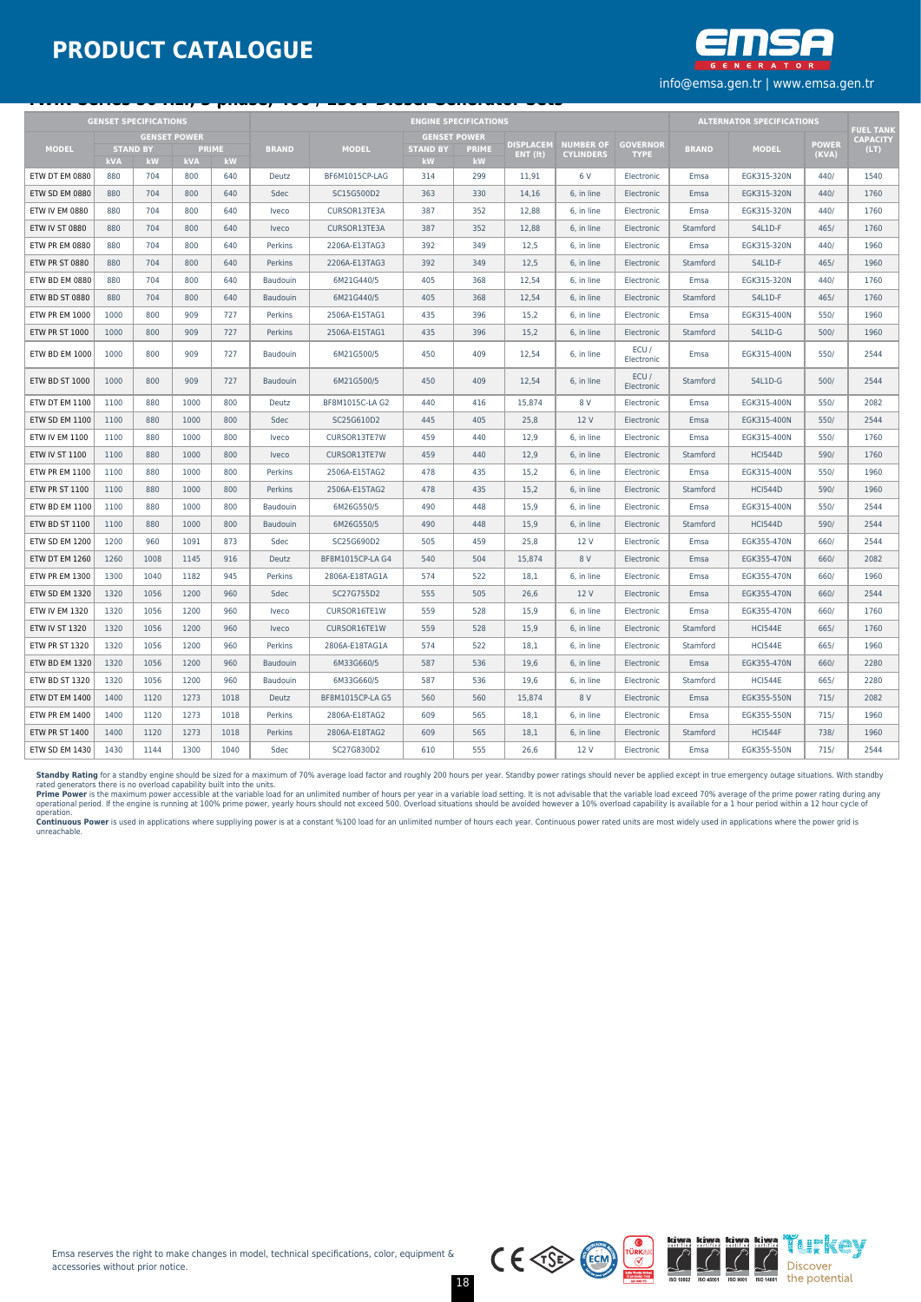

|                       |            | <b>GENSET SPECIFICATIONS</b> |            |                    |                     | <b>ENGINE SPECIFICATIONS</b> |                       |                    |          |                  |                                |              | <b>ALTERNATOR SPECIFICATIONS</b>    |       |      |
|-----------------------|------------|------------------------------|------------|--------------------|---------------------|------------------------------|-----------------------|--------------------|----------|------------------|--------------------------------|--------------|-------------------------------------|-------|------|
| <b>GENSET POWER</b>   |            |                              |            |                    | <b>GENSET POWER</b> |                              | <b>DISPLACEM</b>      | <b>NUMBER OF</b>   |          |                  |                                | <b>POWER</b> | <b>FUEL TANK</b><br><b>CAPACITY</b> |       |      |
| <b>MODEL</b>          | <b>kVA</b> | <b>STAND BY</b><br>kW        | <b>kVA</b> | <b>PRIME</b><br>kW | <b>BRAND</b>        | <b>MODEL</b>                 | <b>STAND BY</b><br>kW | <b>PRIME</b><br>kW | ENT (It) | <b>CYLINDERS</b> | <b>GOVERNOR</b><br><b>TYPE</b> | <b>BRAND</b> | <b>MODEL</b>                        | (KVA) | (LT) |
| ETW DT EM 0880        | 880        | 704                          | 800        | 640                | Deutz               | BF6M1015CP-LAG               | 314                   | 299                | 11.91    | 6 V              | Electronic                     | Emsa         | EGK315-320N                         | 440/  | 1540 |
| ETW SD EM 0880        | 880        | 704                          | 800        | 640                | Sdec                | SC15G500D2                   | 363                   | 330                | 14.16    | 6. in line       | Electronic                     | Emsa         | EGK315-320N                         | 440/  | 1760 |
| ETW IV EM 0880        | 880        | 704                          | 800        | 640                | Iveco               | CURSOR13TE3A                 | 387                   | 352                | 12,88    | 6, in line       | Electronic                     | Emsa         | EGK315-320N                         | 440/  | 1760 |
| <b>ETW IV ST 0880</b> | 880        | 704                          | 800        | 640                | Iveco               | CURSOR13TE3A                 | 387                   | 352                | 12,88    | 6. in line       | Electronic                     | Stamford     | S4L1D-F                             | 465/  | 1760 |
| ETW PR EM 0880        | 880        | 704                          | 800        | 640                | Perkins             | 2206A-E13TAG3                | 392                   | 349                | 12,5     | 6, in line       | Electronic                     | Emsa         | EGK315-320N                         | 440/  | 1960 |
| ETW PR ST 0880        | 880        | 704                          | 800        | 640                | <b>Perkins</b>      | 2206A-E13TAG3                | 392                   | 349                | 12.5     | 6. in line       | Electronic                     | Stamford     | S4L1D-F                             | 465/  | 1960 |
| ETW BD EM 0880        | 880        | 704                          | 800        | 640                | Baudouin            | 6M21G440/5                   | 405                   | 368                | 12,54    | 6. in line       | Electronic                     | Emsa         | EGK315-320N                         | 440/  | 1760 |
| ETW BD ST 0880        | 880        | 704                          | 800        | 640                | Baudouin            | 6M21G440/5                   | 405                   | 368                | 12.54    | 6. in line       | Electronic                     | Stamford     | S4L1D-F                             | 465/  | 1760 |
| <b>ETW PR EM 1000</b> | 1000       | 800                          | 909        | 727                | Perkins             | 2506A-E15TAG1                | 435                   | 396                | 15,2     | 6. in line       | Electronic                     | Emsa         | EGK315-400N                         | 550/  | 1960 |
| <b>ETW PR ST 1000</b> | 1000       | 800                          | 909        | 727                | Perkins             | 2506A-E15TAG1                | 435                   | 396                | 15,2     | 6, in line       | Electronic                     | Stamford     | S4L1D-G                             | 500/  | 1960 |
| ETW BD EM 1000        | 1000       | 800                          | 909        | 727                | Baudouin            | 6M21G500/5                   | 450                   | 409                | 12,54    | 6, in line       | ECU/<br>Electronic             | Emsa         | EGK315-400N                         | 550/  | 2544 |
| <b>ETW BD ST 1000</b> | 1000       | 800                          | 909        | 727                | <b>Baudouin</b>     | 6M21G500/5                   | 450                   | 409                | 12.54    | 6. in line       | ECU/<br>Electronic             | Stamford     | S4L1D-G                             | 500/  | 2544 |
| ETW DT EM 1100        | 1100       | 880                          | 1000       | 800                | Deutz               | BF8M1015C-LA G2              | 440                   | 416                | 15.874   | 8 V              | Electronic                     | Emsa         | EGK315-400N                         | 550/  | 2082 |
| ETW SD EM 1100        | 1100       | 880                          | 1000       | 800                | Sdec                | SC25G610D2                   | 445                   | 405                | 25,8     | 12 V             | Electronic                     | Emsa         | EGK315-400N                         | 550/  | 2544 |
| ETW IV EM 1100        | 1100       | 880                          | 1000       | 800                | Iveco               | CURSOR13TE7W                 | 459                   | 440                | 12,9     | 6, in line       | Electronic                     | Emsa         | EGK315-400N                         | 550/  | 1760 |
| <b>ETW IV ST 1100</b> | 1100       | 880                          | 1000       | 800                | Iveco               | CURSOR13TE7W                 | 459                   | 440                | 12.9     | 6, in line       | Electronic                     | Stamford     | <b>HCI544D</b>                      | 590/  | 1760 |
| <b>ETW PR EM 1100</b> | 1100       | 880                          | 1000       | 800                | Perkins             | 2506A-E15TAG2                | 478                   | 435                | 15,2     | 6. in line       | Electronic                     | Emsa         | EGK315-400N                         | 550/  | 1960 |
| <b>ETW PR ST 1100</b> | 1100       | 880                          | 1000       | 800                | <b>Perkins</b>      | 2506A-E15TAG2                | 478                   | 435                | 15,2     | 6. in line       | Electronic                     | Stamford     | <b>HCI544D</b>                      | 590/  | 1960 |
| <b>ETW BD EM 1100</b> | 1100       | 880                          | 1000       | 800                | Baudouin            | 6M26G550/5                   | 490                   | 448                | 15.9     | 6. in line       | Electronic                     | Emsa         | EGK315-400N                         | 550/  | 2544 |
| ETW BD ST 1100        | 1100       | 880                          | 1000       | 800                | Baudouin            | 6M26G550/5                   | 490                   | 448                | 15,9     | 6, in line       | Electronic                     | Stamford     | <b>HCI544D</b>                      | 590/  | 2544 |
| ETW SD EM 1200        | 1200       | 960                          | 1091       | 873                | Sdec                | SC25G690D2                   | 505                   | 459                | 25,8     | 12 V             | Electronic                     | Emsa         | EGK355-470N                         | 660/  | 2544 |
| ETW DT EM 1260        | 1260       | 1008                         | 1145       | 916                | Deutz               | BF8M1015CP-LA G4             | 540                   | 504                | 15,874   | 8 V              | Electronic                     | Emsa         | EGK355-470N                         | 660/  | 2082 |
| ETW PR EM 1300        | 1300       | 1040                         | 1182       | 945                | Perkins             | 2806A-E18TAG1A               | 574                   | 522                | 18,1     | 6, in line       | Electronic                     | Emsa         | EGK355-470N                         | 660/  | 1960 |
| ETW SD EM 1320        | 1320       | 1056                         | 1200       | 960                | Sdec                | SC27G755D2                   | 555                   | 505                | 26,6     | 12 V             | Electronic                     | Emsa         | EGK355-470N                         | 660/  | 2544 |
| <b>ETW IV EM 1320</b> | 1320       | 1056                         | 1200       | 960                | Iveco               | CURSOR16TE1W                 | 559                   | 528                | 15,9     | 6, in line       | Electronic                     | Emsa         | EGK355-470N                         | 660/  | 1760 |
| <b>ETW IV ST 1320</b> | 1320       | 1056                         | 1200       | 960                | Iveco               | CURSOR16TE1W                 | 559                   | 528                | 15,9     | 6, in line       | Electronic                     | Stamford     | <b>HCI544E</b>                      | 665/  | 1760 |
| <b>ETW PR ST 1320</b> | 1320       | 1056                         | 1200       | 960                | Perkins             | 2806A-E18TAG1A               | 574                   | 522                | 18,1     | 6, in line       | Electronic                     | Stamford     | <b>HCI544E</b>                      | 665/  | 1960 |
| ETW BD EM 1320        | 1320       | 1056                         | 1200       | 960                | Baudouin            | 6M33G660/5                   | 587                   | 536                | 19,6     | 6, in line       | Electronic                     | Emsa         | EGK355-470N                         | 660/  | 2280 |
| ETW BD ST 1320        | 1320       | 1056                         | 1200       | 960                | Baudouin            | 6M33G660/5                   | 587                   | 536                | 19,6     | 6, in line       | Electronic                     | Stamford     | <b>HCI544E</b>                      | 665/  | 2280 |
| ETW DT EM 1400        | 1400       | 1120                         | 1273       | 1018               | Deutz               | BF8M1015CP-LA G5             | 560                   | 560                | 15,874   | 8 V              | Electronic                     | Emsa         | EGK355-550N                         | 715/  | 2082 |
| <b>ETW PR EM 1400</b> | 1400       | 1120                         | 1273       | 1018               | Perkins             | 2806A-E18TAG2                | 609                   | 565                | 18,1     | 6. in line       | Electronic                     | Emsa         | EGK355-550N                         | 715/  | 1960 |
| <b>ETW PR ST 1400</b> | 1400       | 1120                         | 1273       | 1018               | <b>Perkins</b>      | 2806A-E18TAG2                | 609                   | 565                | 18.1     | 6. in line       | Electronic                     | Stamford     | <b>HCI544F</b>                      | 738/  | 1960 |
| ETW SD EM 1430        | 1430       | 1144                         | 1300       | 1040               | Sdec                | SC27G830D2                   | 610                   | 555                | 26,6     | 12 V             | Electronic                     | Emsa         | EGK355-550N                         | 715/  | 2544 |

**Standby Rating** for a standby engine should be sized for a maximum of 70% average load factor and roughly 200 hours per year. Standby power ratings should never be applied except in true emergency outage situations. With

operation.<br>**Continuous Power** is used in applications where suppliying power is at a constant %100 load for an unlimited number of hours each year. Continuous power rated units are most widely used in applications where th



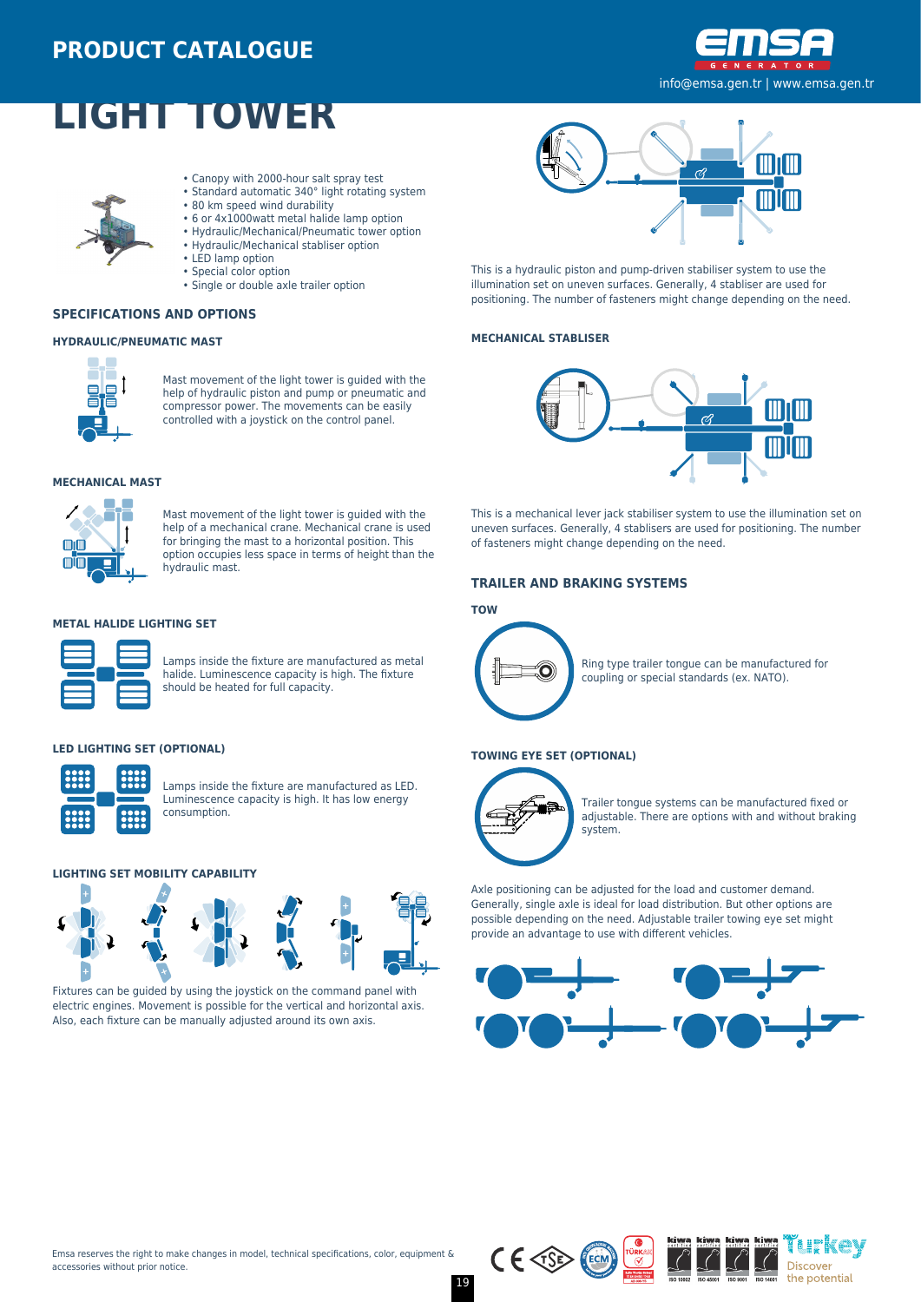

# **LIGHT TOWER**



**SPECIFICATIONS AND OPTIONS**

**HYDRAULIC/PNEUMATIC MAST**

- Canopy with 2000-hour salt spray test
- Standard automatic 340° light rotating system
- 80 km speed wind durability
- 6 or 4x1000watt metal halide lamp option
- Hydraulic/Mechanical/Pneumatic tower option
- Hydraulic/Mechanical stabliser option
- LED lamp option

hydraulic mast.

consumption.

- Special color option
- Single or double axle trailer option



This is a hydraulic piston and pump-driven stabiliser system to use the illumination set on uneven surfaces. Generally, 4 stabliser are used for positioning. The number of fasteners might change depending on the need.

#### **MECHANICAL STABLISER**



**MECHANICAL MAST**

mm mīm

**METAL HALIDE LIGHTING SET**

**LED LIGHTING SET (OPTIONAL)**

Mast movement of the light tower is guided with the help of hydraulic piston and pump or pneumatic and compressor power. The movements can be easily controlled with a joystick on the control panel.

Mast movement of the light tower is guided with the help of a mechanical crane. Mechanical crane is used for bringing the mast to a horizontal position. This option occupies less space in terms of height than the

Lamps inside the fixture are manufactured as metal halide. Luminescence capacity is high. The fixture

Lamps inside the fixture are manufactured as LED. Luminescence capacity is high. It has low energy

should be heated for full capacity.



This is a mechanical lever jack stabiliser system to use the illumination set on uneven surfaces. Generally, 4 stablisers are used for positioning. The number of fasteners might change depending on the need.

#### **TRAILER AND BRAKING SYSTEMS**

#### **TOW**



Ring type trailer tongue can be manufactured for coupling or special standards (ex. NATO).

#### **TOWING EYE SET (OPTIONAL)**



Trailer tongue systems can be manufactured fixed or adjustable. There are options with and without braking system.

Axle positioning can be adjusted for the load and customer demand. Generally, single axle is ideal for load distribution. But other options are possible depending on the need. Adjustable trailer towing eye set might provide an advantage to use with different vehicles.









**LIGHTING SET MOBILITY CAPABILITY**



Fixtures can be guided by using the joystick on the command panel with electric engines. Movement is possible for the vertical and horizontal axis. Also, each fixture can be manually adjusted around its own axis.

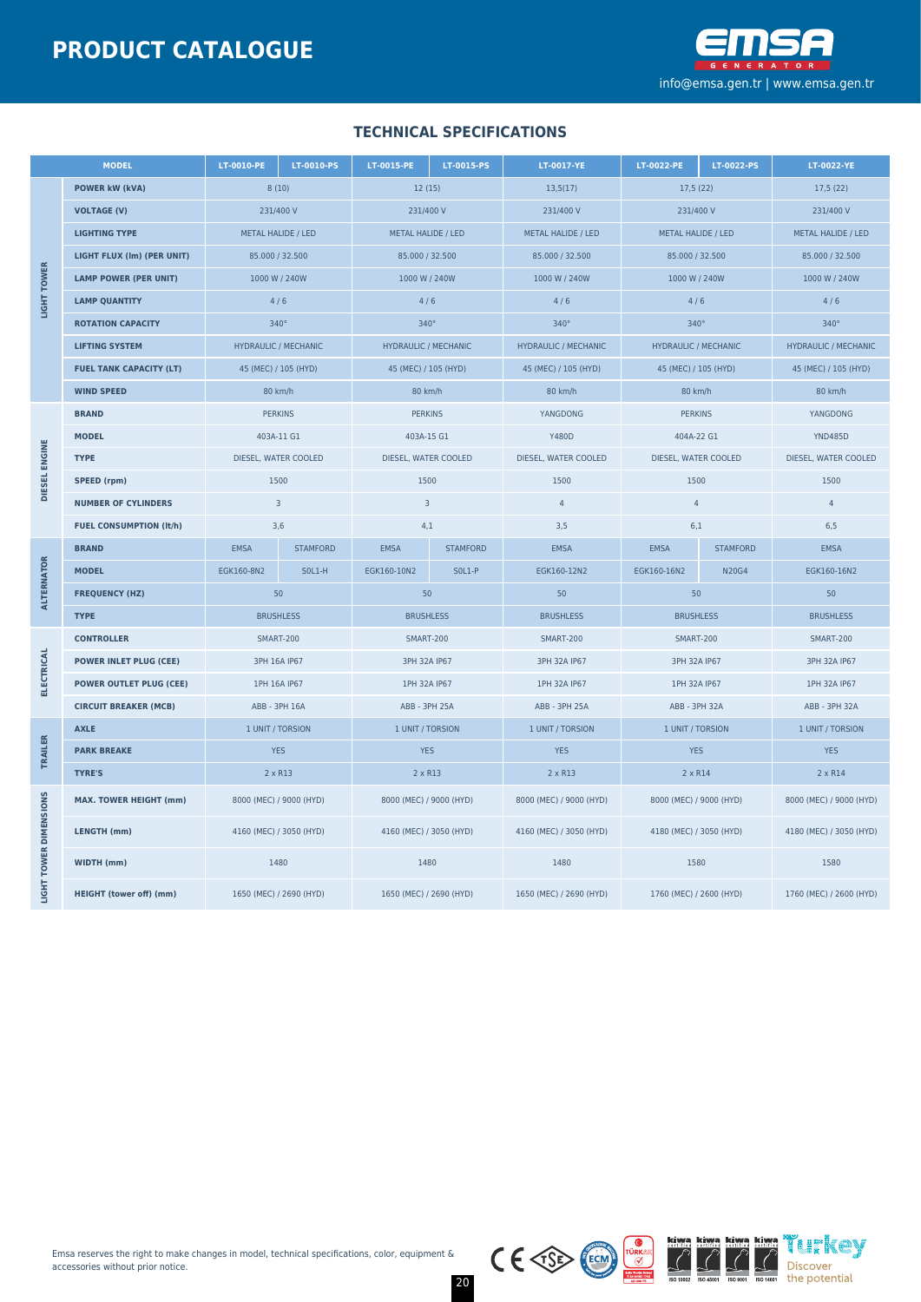

## **TECHNICAL SPECIFICATIONS**

| <b>MODEL</b>            |                                | LT-0010-PE<br>LT-0010-PS    |                                                    | LT-0015-PE                  | LT-0015-PS      | LT-0017-YE                                         | LT-0022-PE<br>LT-0022-PS    |                 | LT-0022-YE                  |  |
|-------------------------|--------------------------------|-----------------------------|----------------------------------------------------|-----------------------------|-----------------|----------------------------------------------------|-----------------------------|-----------------|-----------------------------|--|
|                         | <b>POWER kW (kVA)</b>          | 8(10)                       |                                                    | 12(15)                      |                 | 13,5(17)                                           | 17,5(22)                    |                 | 17,5(22)                    |  |
|                         | <b>VOLTAGE (V)</b>             | 231/400 V                   |                                                    | 231/400 V                   |                 | 231/400 V                                          | 231/400 V                   |                 | 231/400 V                   |  |
|                         | <b>LIGHTING TYPE</b>           | METAL HALIDE / LED          |                                                    | METAL HALIDE / LED          |                 | METAL HALIDE / LED                                 | METAL HALIDE / LED          |                 | METAL HALIDE / LED          |  |
| LIGHT TOWER             | LIGHT FLUX (Im) (PER UNIT)     | 85.000 / 32.500             |                                                    | 85.000 / 32.500             |                 | 85.000 / 32.500                                    | 85.000 / 32.500             |                 | 85.000 / 32.500             |  |
|                         | <b>LAMP POWER (PER UNIT)</b>   | 1000 W / 240W               |                                                    | 1000 W / 240W               |                 | 1000 W / 240W                                      | 1000 W / 240W               |                 | 1000 W / 240W               |  |
|                         | <b>LAMP QUANTITY</b>           | 4/6                         |                                                    | 4/6                         |                 | 4/6                                                | 4/6                         |                 | 4/6                         |  |
|                         | <b>ROTATION CAPACITY</b>       | $340^\circ$                 |                                                    | $340^\circ$                 |                 | $340^\circ$                                        | $340^\circ$                 |                 | $340^\circ$                 |  |
|                         | <b>LIFTING SYSTEM</b>          | <b>HYDRAULIC / MECHANIC</b> |                                                    | <b>HYDRAULIC / MECHANIC</b> |                 | <b>HYDRAULIC / MECHANIC</b>                        | <b>HYDRAULIC / MECHANIC</b> |                 | <b>HYDRAULIC / MECHANIC</b> |  |
|                         | <b>FUEL TANK CAPACITY (LT)</b> | 45 (MEC) / 105 (HYD)        |                                                    | 45 (MEC) / 105 (HYD)        |                 | 45 (MEC) / 105 (HYD)                               | 45 (MEC) / 105 (HYD)        |                 | 45 (MEC) / 105 (HYD)        |  |
|                         | <b>WIND SPEED</b>              | 80 km/h                     |                                                    | 80 km/h                     |                 | 80 km/h                                            | 80 km/h                     |                 | 80 km/h                     |  |
|                         | <b>BRAND</b>                   | <b>PERKINS</b>              |                                                    | <b>PERKINS</b>              |                 | YANGDONG                                           | <b>PERKINS</b>              |                 | YANGDONG                    |  |
|                         | <b>MODEL</b>                   | 403A-11 G1                  |                                                    | 403A-15 G1                  |                 | <b>Y480D</b>                                       | 404A-22 G1                  |                 | <b>YND485D</b>              |  |
|                         | <b>TYPE</b>                    | DIESEL, WATER COOLED        |                                                    | DIESEL, WATER COOLED        |                 | DIESEL, WATER COOLED                               | DIESEL, WATER COOLED        |                 | DIESEL, WATER COOLED        |  |
| DIESEL ENGINE           | SPEED (rpm)                    | 1500                        |                                                    | 1500                        |                 | 1500                                               | 1500                        |                 | 1500                        |  |
|                         | <b>NUMBER OF CYLINDERS</b>     |                             | $\overline{3}$<br>$\overline{3}$<br>$\overline{4}$ |                             | $\overline{4}$  |                                                    | $\overline{4}$              |                 |                             |  |
|                         | <b>FUEL CONSUMPTION (It/h)</b> | 3,6                         |                                                    | 4,1                         |                 | 3,5                                                | 6,1                         |                 | 6, 5                        |  |
|                         | <b>BRAND</b>                   | <b>EMSA</b>                 | <b>STAMFORD</b>                                    | <b>EMSA</b>                 | <b>STAMFORD</b> | <b>EMSA</b>                                        | <b>EMSA</b>                 | <b>STAMFORD</b> | <b>EMSA</b>                 |  |
| <b>ALTERNATOR</b>       | <b>MODEL</b>                   | EGK160-8N2                  | $SOL1-H$                                           | EGK160-10N2                 | <b>SOL1-P</b>   | EGK160-12N2                                        | EGK160-16N2                 | <b>N20G4</b>    | EGK160-16N2                 |  |
|                         | <b>FREQUENCY (HZ)</b>          | 50                          |                                                    | 50                          |                 | 50                                                 | 50                          |                 | 50                          |  |
|                         | <b>TYPE</b>                    | <b>BRUSHLESS</b>            |                                                    | <b>BRUSHLESS</b>            |                 | <b>BRUSHLESS</b>                                   | <b>BRUSHLESS</b>            |                 | <b>BRUSHLESS</b>            |  |
|                         | <b>CONTROLLER</b>              | <b>SMART-200</b>            |                                                    | SMART-200                   |                 | <b>SMART-200</b>                                   | SMART-200                   |                 | <b>SMART-200</b>            |  |
| <b>ELECTRICAL</b>       | <b>POWER INLET PLUG (CEE)</b>  | 3PH 16A IP67                |                                                    | 3PH 32A IP67                |                 | 3PH 32A IP67                                       | 3PH 32A IP67                |                 | 3PH 32A IP67                |  |
|                         | <b>POWER OUTLET PLUG (CEE)</b> | 1PH 16A IP67                |                                                    | 1PH 32A IP67                |                 | 1PH 32A IP67                                       | 1PH 32A IP67                |                 | 1PH 32A IP67                |  |
|                         | <b>CIRCUIT BREAKER (MCB)</b>   | ABB - 3PH 16A               |                                                    | ABB - 3PH 25A               |                 | ABB - 3PH 25A                                      | ABB - 3PH 32A               |                 | ABB - 3PH 32A               |  |
|                         | <b>AXLE</b>                    | 1 UNIT / TORSION            |                                                    | 1 UNIT / TORSION            |                 | 1 UNIT / TORSION                                   | 1 UNIT / TORSION            |                 | 1 UNIT / TORSION            |  |
| TRAILER                 | <b>PARK BREAKE</b>             | <b>YES</b>                  |                                                    | <b>YES</b>                  |                 | <b>YES</b>                                         | <b>YES</b>                  |                 | <b>YES</b>                  |  |
|                         | <b>TYRE'S</b>                  | $2 \times R13$              |                                                    | 2 x R13                     |                 | 2 x R13                                            | 2 x R14                     |                 | 2 x R14                     |  |
| <b>TOWER DIMENSIONS</b> | <b>MAX. TOWER HEIGHT (mm)</b>  |                             | 8000 (MEC) / 9000 (HYD)                            | 8000 (MEC) / 9000 (HYD)     |                 | 8000 (MEC) / 9000 (HYD)                            | 8000 (MEC) / 9000 (HYD)     |                 | 8000 (MEC) / 9000 (HYD)     |  |
|                         | LENGTH (mm)                    | 4160 (MEC) / 3050 (HYD)     |                                                    | 4160 (MEC) / 3050 (HYD)     |                 | 4160 (MEC) / 3050 (HYD)                            | 4180 (MEC) / 3050 (HYD)     |                 | 4180 (MEC) / 3050 (HYD)     |  |
|                         | <b>WIDTH (mm)</b>              | 1480                        |                                                    | 1480                        |                 | 1480                                               | 1580                        |                 | 1580                        |  |
| <b>IGHT</b>             | <b>HEIGHT (tower off) (mm)</b> | 1650 (MEC) / 2690 (HYD)     |                                                    | 1650 (MEC) / 2690 (HYD)     |                 | 1650 (MEC) / 2690 (HYD)<br>1760 (MEC) / 2600 (HYD) |                             |                 | 1760 (MEC) / 2600 (HYD)     |  |



20